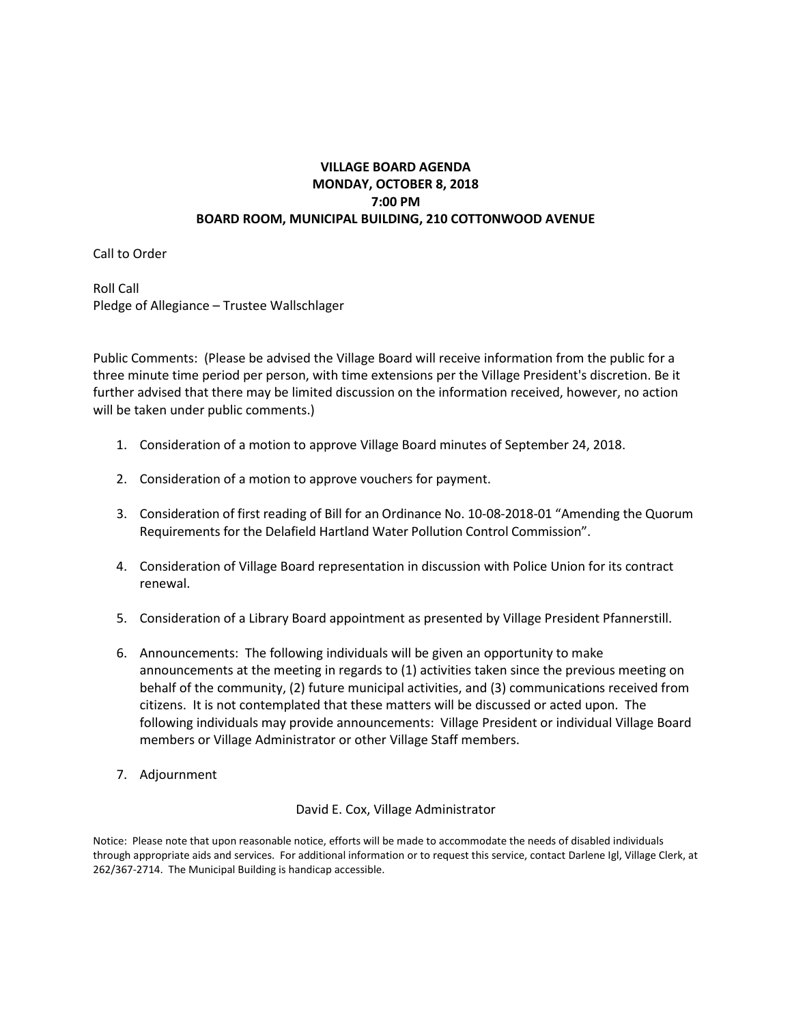### **VILLAGE BOARD AGENDA MONDAY, OCTOBER 8, 2018 7:00 PM BOARD ROOM, MUNICIPAL BUILDING, 210 COTTONWOOD AVENUE**

Call to Order

Roll Call Pledge of Allegiance – Trustee Wallschlager

Public Comments: (Please be advised the Village Board will receive information from the public for a three minute time period per person, with time extensions per the Village President's discretion. Be it further advised that there may be limited discussion on the information received, however, no action will be taken under public comments.)

- 1. Consideration of a motion to approve Village Board minutes of September 24, 2018.
- 2. Consideration of a motion to approve vouchers for payment.
- 3. Consideration of first reading of Bill for an Ordinance No. 10-08-2018-01 "Amending the Quorum Requirements for the Delafield Hartland Water Pollution Control Commission".
- 4. Consideration of Village Board representation in discussion with Police Union for its contract renewal.
- 5. Consideration of a Library Board appointment as presented by Village President Pfannerstill.
- 6. Announcements: The following individuals will be given an opportunity to make announcements at the meeting in regards to (1) activities taken since the previous meeting on behalf of the community, (2) future municipal activities, and (3) communications received from citizens. It is not contemplated that these matters will be discussed or acted upon. The following individuals may provide announcements: Village President or individual Village Board members or Village Administrator or other Village Staff members.
- 7. Adjournment

#### David E. Cox, Village Administrator

Notice: Please note that upon reasonable notice, efforts will be made to accommodate the needs of disabled individuals through appropriate aids and services. For additional information or to request this service, contact Darlene Igl, Village Clerk, at 262/367-2714. The Municipal Building is handicap accessible.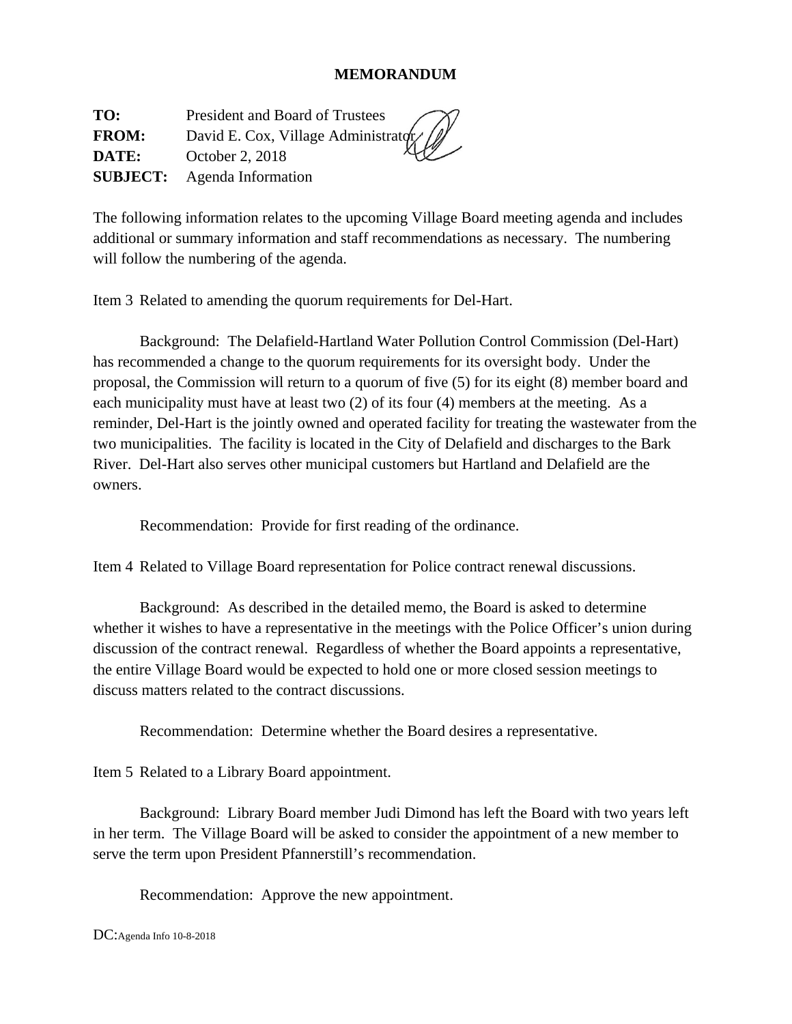### **MEMORANDUM**

**TO:** President and Board of Trustees **FROM:** David E. Cox, Village Administratory **DATE:** October 2, 2018 **SUBJECT:** Agenda Information

The following information relates to the upcoming Village Board meeting agenda and includes additional or summary information and staff recommendations as necessary. The numbering will follow the numbering of the agenda.

Item 3 Related to amending the quorum requirements for Del-Hart.

 Background: The Delafield-Hartland Water Pollution Control Commission (Del-Hart) has recommended a change to the quorum requirements for its oversight body. Under the proposal, the Commission will return to a quorum of five (5) for its eight (8) member board and each municipality must have at least two (2) of its four (4) members at the meeting. As a reminder, Del-Hart is the jointly owned and operated facility for treating the wastewater from the two municipalities. The facility is located in the City of Delafield and discharges to the Bark River. Del-Hart also serves other municipal customers but Hartland and Delafield are the owners.

Recommendation: Provide for first reading of the ordinance.

Item 4 Related to Village Board representation for Police contract renewal discussions.

 Background: As described in the detailed memo, the Board is asked to determine whether it wishes to have a representative in the meetings with the Police Officer's union during discussion of the contract renewal. Regardless of whether the Board appoints a representative, the entire Village Board would be expected to hold one or more closed session meetings to discuss matters related to the contract discussions.

Recommendation: Determine whether the Board desires a representative.

Item 5 Related to a Library Board appointment.

 Background: Library Board member Judi Dimond has left the Board with two years left in her term. The Village Board will be asked to consider the appointment of a new member to serve the term upon President Pfannerstill's recommendation.

Recommendation: Approve the new appointment.

DC:Agenda Info 10-8-2018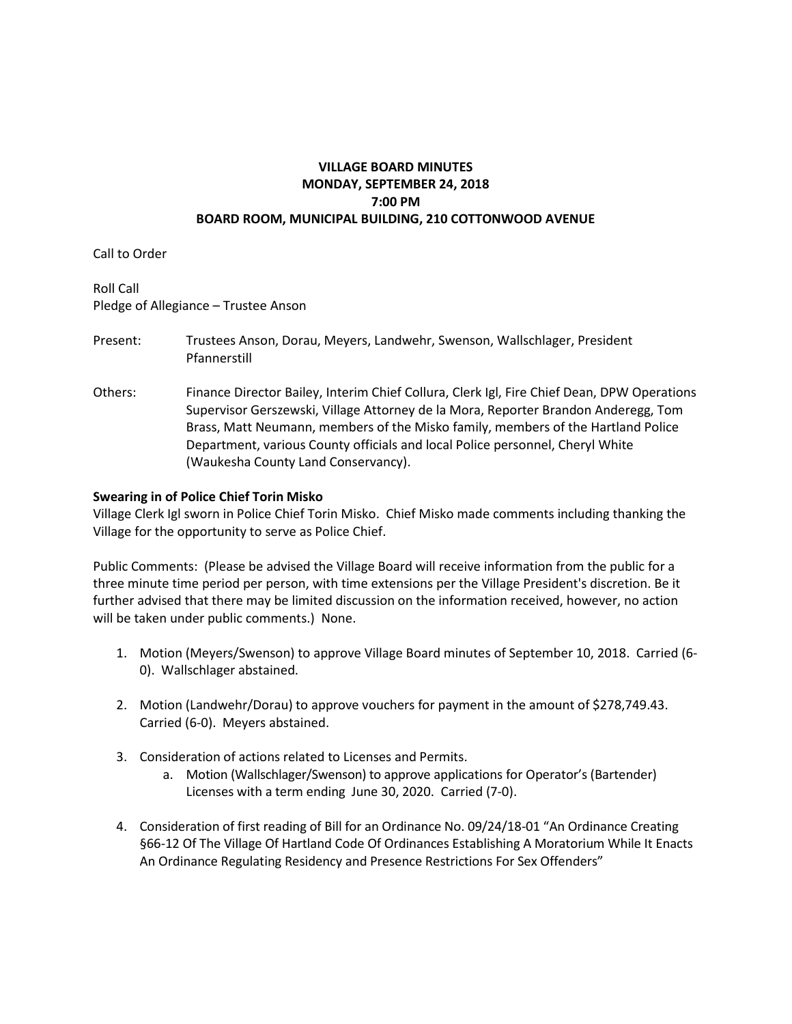### **VILLAGE BOARD MINUTES MONDAY, SEPTEMBER 24, 2018 7:00 PM BOARD ROOM, MUNICIPAL BUILDING, 210 COTTONWOOD AVENUE**

Call to Order

Roll Call Pledge of Allegiance – Trustee Anson

- Present: Trustees Anson, Dorau, Meyers, Landwehr, Swenson, Wallschlager, President Pfannerstill
- Others: Finance Director Bailey, Interim Chief Collura, Clerk Igl, Fire Chief Dean, DPW Operations Supervisor Gerszewski, Village Attorney de la Mora, Reporter Brandon Anderegg, Tom Brass, Matt Neumann, members of the Misko family, members of the Hartland Police Department, various County officials and local Police personnel, Cheryl White (Waukesha County Land Conservancy).

#### **Swearing in of Police Chief Torin Misko**

Village Clerk Igl sworn in Police Chief Torin Misko. Chief Misko made comments including thanking the Village for the opportunity to serve as Police Chief.

Public Comments: (Please be advised the Village Board will receive information from the public for a three minute time period per person, with time extensions per the Village President's discretion. Be it further advised that there may be limited discussion on the information received, however, no action will be taken under public comments.) None.

- 1. Motion (Meyers/Swenson) to approve Village Board minutes of September 10, 2018. Carried (6- 0). Wallschlager abstained.
- 2. Motion (Landwehr/Dorau) to approve vouchers for payment in the amount of \$278,749.43. Carried (6-0). Meyers abstained.
- 3. Consideration of actions related to Licenses and Permits.
	- a. Motion (Wallschlager/Swenson) to approve applications for Operator's (Bartender) Licenses with a term ending June 30, 2020. Carried (7-0).
- 4. Consideration of first reading of Bill for an Ordinance No. 09/24/18-01 "An Ordinance Creating §66-12 Of The Village Of Hartland Code Of Ordinances Establishing A Moratorium While It Enacts An Ordinance Regulating Residency and Presence Restrictions For Sex Offenders"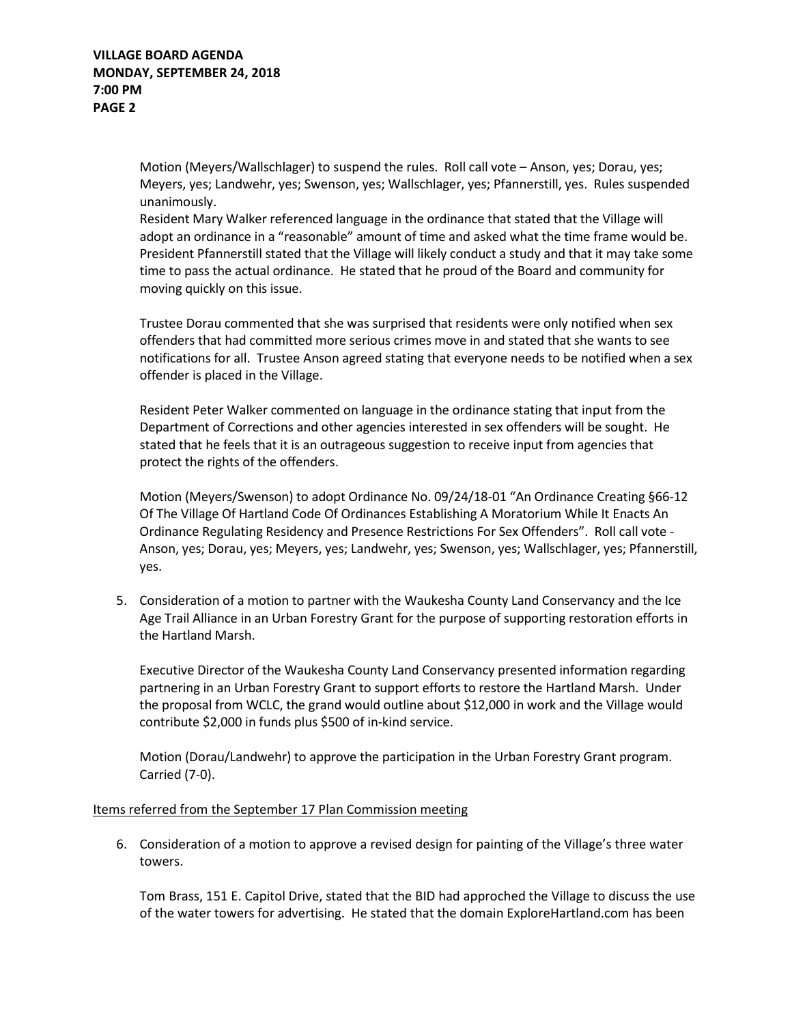Motion (Meyers/Wallschlager) to suspend the rules. Roll call vote – Anson, yes; Dorau, yes; Meyers, yes; Landwehr, yes; Swenson, yes; Wallschlager, yes; Pfannerstill, yes. Rules suspended unanimously.

Resident Mary Walker referenced language in the ordinance that stated that the Village will adopt an ordinance in a "reasonable" amount of time and asked what the time frame would be. President Pfannerstill stated that the Village will likely conduct a study and that it may take some time to pass the actual ordinance. He stated that he proud of the Board and community for moving quickly on this issue.

Trustee Dorau commented that she was surprised that residents were only notified when sex offenders that had committed more serious crimes move in and stated that she wants to see notifications for all. Trustee Anson agreed stating that everyone needs to be notified when a sex offender is placed in the Village.

Resident Peter Walker commented on language in the ordinance stating that input from the Department of Corrections and other agencies interested in sex offenders will be sought. He stated that he feels that it is an outrageous suggestion to receive input from agencies that protect the rights of the offenders.

Motion (Meyers/Swenson) to adopt Ordinance No. 09/24/18-01 "An Ordinance Creating §66-12 Of The Village Of Hartland Code Of Ordinances Establishing A Moratorium While It Enacts An Ordinance Regulating Residency and Presence Restrictions For Sex Offenders". Roll call vote - Anson, yes; Dorau, yes; Meyers, yes; Landwehr, yes; Swenson, yes; Wallschlager, yes; Pfannerstill, yes.

5. Consideration of a motion to partner with the Waukesha County Land Conservancy and the Ice Age Trail Alliance in an Urban Forestry Grant for the purpose of supporting restoration efforts in the Hartland Marsh.

Executive Director of the Waukesha County Land Conservancy presented information regarding partnering in an Urban Forestry Grant to support efforts to restore the Hartland Marsh. Under the proposal from WCLC, the grand would outline about \$12,000 in work and the Village would contribute \$2,000 in funds plus \$500 of in-kind service.

Motion (Dorau/Landwehr) to approve the participation in the Urban Forestry Grant program. Carried (7-0).

#### Items referred from the September 17 Plan Commission meeting

6. Consideration of a motion to approve a revised design for painting of the Village's three water towers.

Tom Brass, 151 E. Capitol Drive, stated that the BID had approched the Village to discuss the use of the water towers for advertising. He stated that the domain ExploreHartland.com has been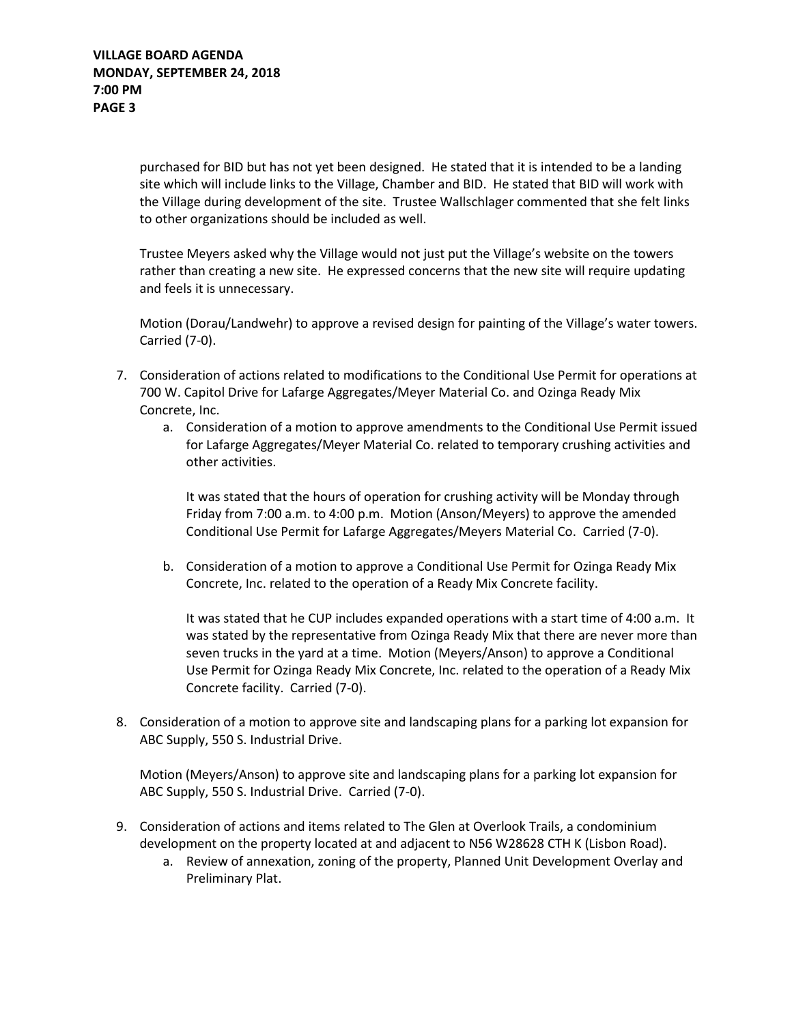purchased for BID but has not yet been designed. He stated that it is intended to be a landing site which will include links to the Village, Chamber and BID. He stated that BID will work with the Village during development of the site. Trustee Wallschlager commented that she felt links to other organizations should be included as well.

Trustee Meyers asked why the Village would not just put the Village's website on the towers rather than creating a new site. He expressed concerns that the new site will require updating and feels it is unnecessary.

Motion (Dorau/Landwehr) to approve a revised design for painting of the Village's water towers. Carried (7-0).

- 7. Consideration of actions related to modifications to the Conditional Use Permit for operations at 700 W. Capitol Drive for Lafarge Aggregates/Meyer Material Co. and Ozinga Ready Mix Concrete, Inc.
	- a. Consideration of a motion to approve amendments to the Conditional Use Permit issued for Lafarge Aggregates/Meyer Material Co. related to temporary crushing activities and other activities.

It was stated that the hours of operation for crushing activity will be Monday through Friday from 7:00 a.m. to 4:00 p.m. Motion (Anson/Meyers) to approve the amended Conditional Use Permit for Lafarge Aggregates/Meyers Material Co. Carried (7-0).

b. Consideration of a motion to approve a Conditional Use Permit for Ozinga Ready Mix Concrete, Inc. related to the operation of a Ready Mix Concrete facility.

It was stated that he CUP includes expanded operations with a start time of 4:00 a.m. It was stated by the representative from Ozinga Ready Mix that there are never more than seven trucks in the yard at a time. Motion (Meyers/Anson) to approve a Conditional Use Permit for Ozinga Ready Mix Concrete, Inc. related to the operation of a Ready Mix Concrete facility. Carried (7-0).

8. Consideration of a motion to approve site and landscaping plans for a parking lot expansion for ABC Supply, 550 S. Industrial Drive.

Motion (Meyers/Anson) to approve site and landscaping plans for a parking lot expansion for ABC Supply, 550 S. Industrial Drive. Carried (7-0).

- 9. Consideration of actions and items related to The Glen at Overlook Trails, a condominium development on the property located at and adjacent to N56 W28628 CTH K (Lisbon Road).
	- a. Review of annexation, zoning of the property, Planned Unit Development Overlay and Preliminary Plat.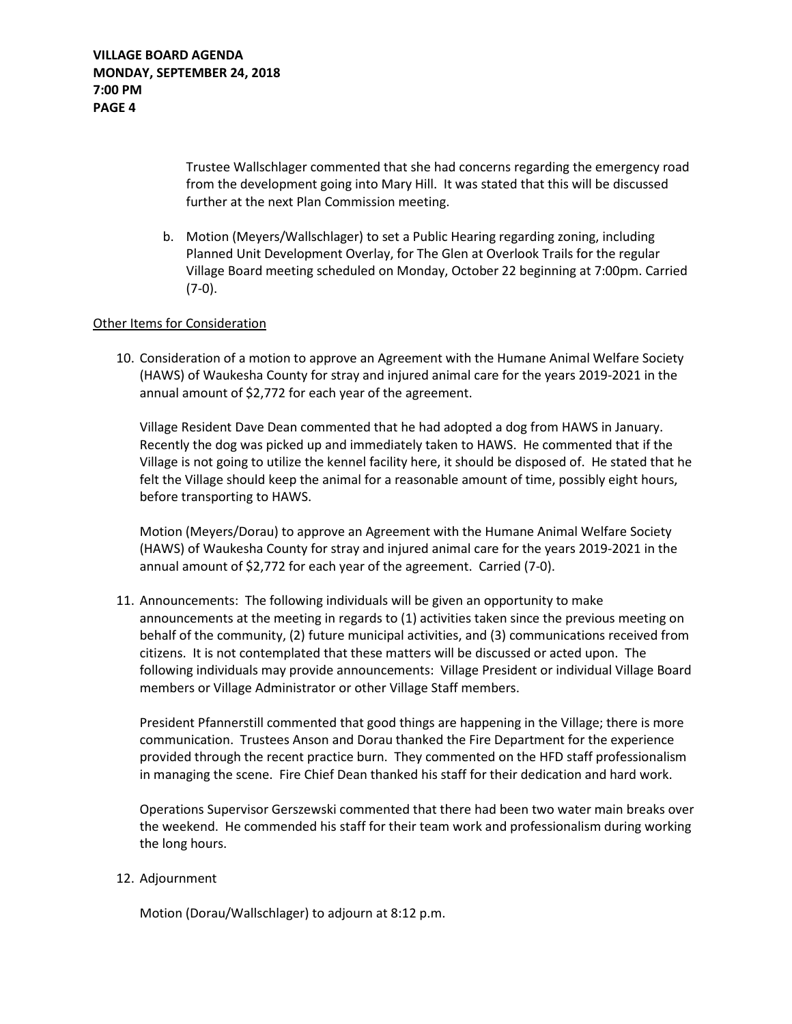Trustee Wallschlager commented that she had concerns regarding the emergency road from the development going into Mary Hill. It was stated that this will be discussed further at the next Plan Commission meeting.

b. Motion (Meyers/Wallschlager) to set a Public Hearing regarding zoning, including Planned Unit Development Overlay, for The Glen at Overlook Trails for the regular Village Board meeting scheduled on Monday, October 22 beginning at 7:00pm. Carried (7-0).

#### Other Items for Consideration

10. Consideration of a motion to approve an Agreement with the Humane Animal Welfare Society (HAWS) of Waukesha County for stray and injured animal care for the years 2019-2021 in the annual amount of \$2,772 for each year of the agreement.

Village Resident Dave Dean commented that he had adopted a dog from HAWS in January. Recently the dog was picked up and immediately taken to HAWS. He commented that if the Village is not going to utilize the kennel facility here, it should be disposed of. He stated that he felt the Village should keep the animal for a reasonable amount of time, possibly eight hours, before transporting to HAWS.

Motion (Meyers/Dorau) to approve an Agreement with the Humane Animal Welfare Society (HAWS) of Waukesha County for stray and injured animal care for the years 2019-2021 in the annual amount of \$2,772 for each year of the agreement. Carried (7-0).

11. Announcements: The following individuals will be given an opportunity to make announcements at the meeting in regards to (1) activities taken since the previous meeting on behalf of the community, (2) future municipal activities, and (3) communications received from citizens. It is not contemplated that these matters will be discussed or acted upon. The following individuals may provide announcements: Village President or individual Village Board members or Village Administrator or other Village Staff members.

President Pfannerstill commented that good things are happening in the Village; there is more communication. Trustees Anson and Dorau thanked the Fire Department for the experience provided through the recent practice burn. They commented on the HFD staff professionalism in managing the scene. Fire Chief Dean thanked his staff for their dedication and hard work.

Operations Supervisor Gerszewski commented that there had been two water main breaks over the weekend. He commended his staff for their team work and professionalism during working the long hours.

#### 12. Adjournment

Motion (Dorau/Wallschlager) to adjourn at 8:12 p.m.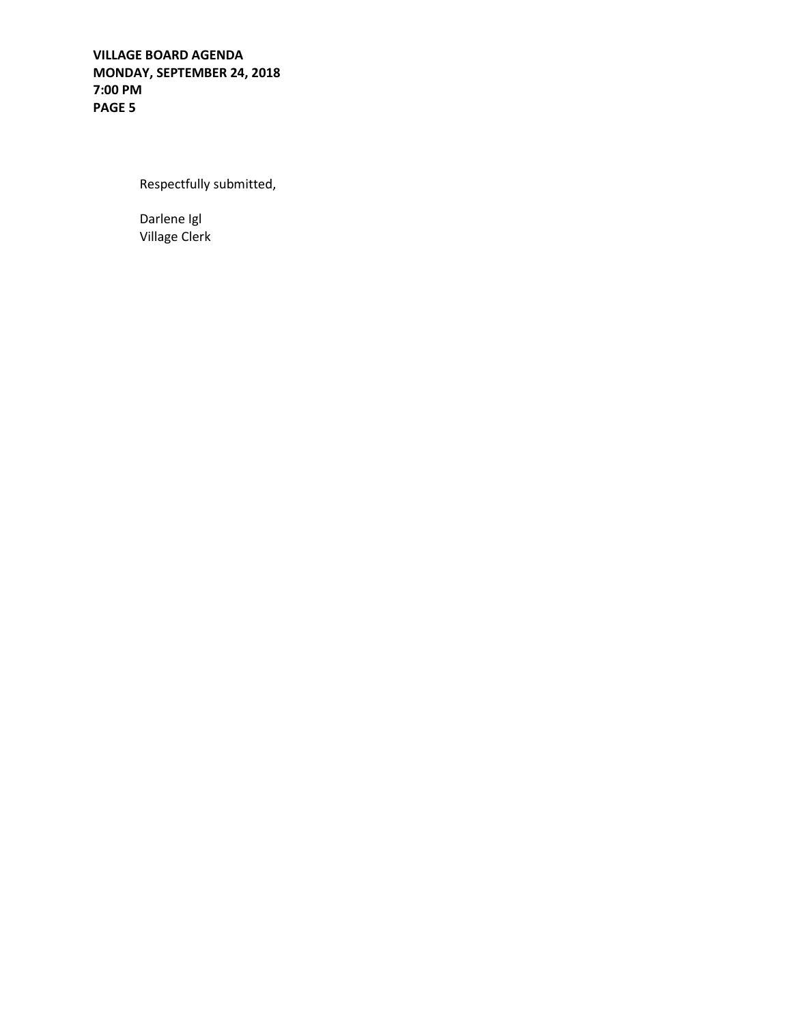**VILLAGE BOARD AGENDA MONDAY, SEPTEMBER 24, 2018 7:00 PM PAGE 5**

Respectfully submitted,

Darlene Igl Village Clerk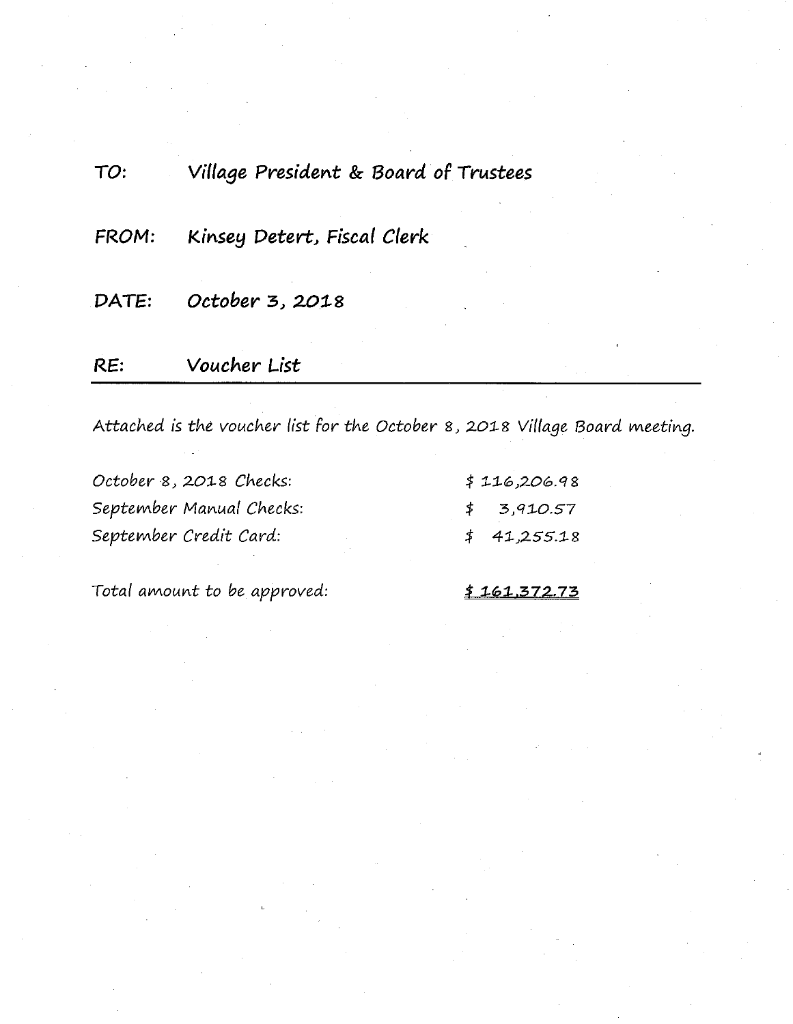| RE:   | Voucher List                          |  |  |  |  |
|-------|---------------------------------------|--|--|--|--|
| DATE: | October 3, 2018                       |  |  |  |  |
| FROM: | Kinsey Detert, Fiscal Clerk           |  |  |  |  |
| TO:   | Village President & Board of Trustees |  |  |  |  |

Attached is the voucher list for the October 8, 2018 Village Board meeting.

| October 8, 2018 Checks:  | \$116,206.98         |
|--------------------------|----------------------|
| September Manual Checks: | $\uparrow$ 3,910.57  |
| September Credit Card:   | $\uparrow$ 41,255.18 |

Total amount to be approved:

 $$161,372.73$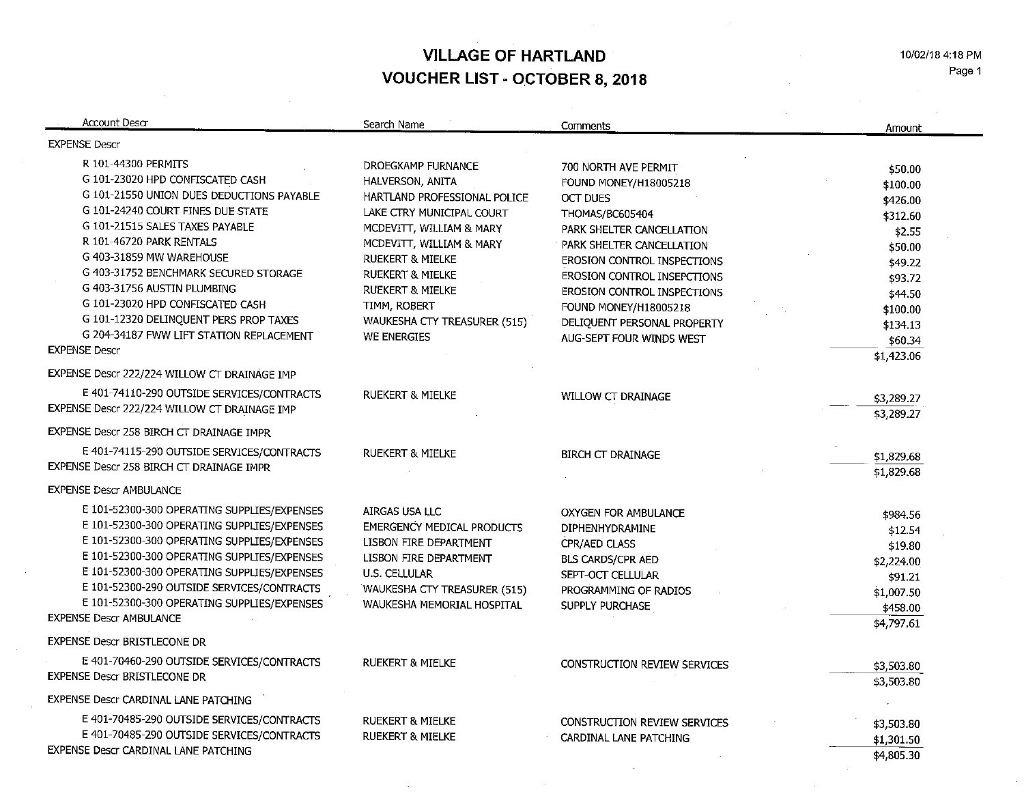**VILLAGE OF HARTLAND VOUCHER LIST - OCTOBER 8, 2018** 

10/02/18 4:18 PM Page 1

 $\mathcal{L}$ 

| <b>Account Descr</b>                                                                                                                                                                                                                                                                                                                                                                                                                                           | Search Name                                                                                                                                                                                                                                                                                                             | Comments                                                                                                                                                                                                                                                                                                                              | Amount                                                                                                                               |
|----------------------------------------------------------------------------------------------------------------------------------------------------------------------------------------------------------------------------------------------------------------------------------------------------------------------------------------------------------------------------------------------------------------------------------------------------------------|-------------------------------------------------------------------------------------------------------------------------------------------------------------------------------------------------------------------------------------------------------------------------------------------------------------------------|---------------------------------------------------------------------------------------------------------------------------------------------------------------------------------------------------------------------------------------------------------------------------------------------------------------------------------------|--------------------------------------------------------------------------------------------------------------------------------------|
| <b>EXPENSE Descr</b>                                                                                                                                                                                                                                                                                                                                                                                                                                           |                                                                                                                                                                                                                                                                                                                         |                                                                                                                                                                                                                                                                                                                                       |                                                                                                                                      |
| R 101-44300 PERMITS<br>G 101-23020 HPD CONFISCATED CASH<br>G 101-21550 UNION DUES DEDUCTIONS PAYABLE<br>G 101-24240 COURT FINES DUE STATE<br>G 101-21515 SALES TAXES PAYABLE<br>R 101-46720 PARK RENTALS<br>G 403-31859 MW WAREHOUSE<br>G 403-31752 BENCHMARK SECURED STORAGE<br>G 403-31756 AUSTIN PLUMBING<br>G 101-23020 HPD CONFISCATED CASH<br>G 101-12320 DELINQUENT PERS PROP TAXES<br>G 204-34187 FWW LIFT STATION REPLACEMENT<br><b>EXPENSE Descr</b> | DROEGKAMP FURNANCE<br>HALVERSON, ANITA<br>HARTLAND PROFESSIONAL POLICE<br>LAKE CTRY MUNICIPAL COURT<br>MCDEVITT, WILLIAM & MARY<br>MCDEVITT, WILLIAM & MARY<br><b>RUEKERT &amp; MIELKE</b><br><b>RUEKERT &amp; MIELKE</b><br><b>RUEKERT &amp; MIELKE</b><br>TIMM, ROBERT<br>WAUKESHA CTY TREASURER (515)<br>WE ENERGIES | 700 NORTH AVE PERMIT<br>FOUND MONEY/H18005218<br>OCT DUES<br>THOMAS/BC605404<br>PARK SHELTER CANCELLATION<br>PARK SHELTER CANCELLATION<br>EROSION CONTROL INSPECTIONS<br><b>EROSION CONTROL INSEPCTIONS</b><br><b>EROSION CONTROL INSPECTIONS</b><br>FOUND MONEY/H18005218<br>DELIQUENT PERSONAL PROPERTY<br>AUG-SEPT FOUR WINDS WEST | \$50.00<br>\$100.00<br>\$426.00<br>\$312.60<br>\$2.55<br>\$50.00<br>\$49.22<br>\$93.72<br>\$44.50<br>\$100.00<br>\$134.13<br>\$60.34 |
| EXPENSE Descr 222/224 WILLOW CT DRAINAGE IMP                                                                                                                                                                                                                                                                                                                                                                                                                   |                                                                                                                                                                                                                                                                                                                         |                                                                                                                                                                                                                                                                                                                                       | \$1,423.06                                                                                                                           |
| E 401-74110-290 OUTSIDE SERVICES/CONTRACTS<br>EXPENSE Descr 222/224 WILLOW CT DRAINAGE IMP                                                                                                                                                                                                                                                                                                                                                                     | <b>RUEKERT &amp; MIELKE</b>                                                                                                                                                                                                                                                                                             | <b>WILLOW CT DRAINAGE</b>                                                                                                                                                                                                                                                                                                             | \$3,289.27<br>\$3,289.27                                                                                                             |
| EXPENSE Descr 258 BIRCH CT DRAINAGE IMPR                                                                                                                                                                                                                                                                                                                                                                                                                       |                                                                                                                                                                                                                                                                                                                         |                                                                                                                                                                                                                                                                                                                                       |                                                                                                                                      |
| E 401-74115-290 OUTSIDE SERVICES/CONTRACTS<br>EXPENSE Descr 258 BIRCH CT DRAINAGE IMPR                                                                                                                                                                                                                                                                                                                                                                         | <b>RUEKERT &amp; MIELKE</b>                                                                                                                                                                                                                                                                                             | <b>BIRCH CT DRAINAGE</b>                                                                                                                                                                                                                                                                                                              | \$1,829.68<br>\$1,829.68                                                                                                             |
| <b>EXPENSE Descr AMBULANCE</b>                                                                                                                                                                                                                                                                                                                                                                                                                                 |                                                                                                                                                                                                                                                                                                                         |                                                                                                                                                                                                                                                                                                                                       |                                                                                                                                      |
| E 101-52300-300 OPERATING SUPPLIES/EXPENSES<br>E 101-52300-300 OPERATING SUPPLIES/EXPENSES<br>E 101-52300-300 OPERATING SUPPLIES/EXPENSES<br>E 101-52300-300 OPERATING SUPPLIES/EXPENSES<br>E 101-52300-300 OPERATING SUPPLIES/EXPENSES<br>E 101-52300-290 OUTSIDE SERVICES/CONTRACTS<br>E 101-52300-300 OPERATING SUPPLIES/EXPENSES<br><b>EXPENSE Descr AMBULANCE</b>                                                                                         | AIRGAS USA LLC<br><b>EMERGENCY MEDICAL PRODUCTS</b><br>LISBON FIRE DEPARTMENT<br>LISBON FIRE DEPARTMENT<br>U.S. CELLULAR<br>WAUKESHA CTY TREASURER (515)<br>WAUKESHA MEMORIAL HOSPITAL                                                                                                                                  | <b>OXYGEN FOR AMBULANCE</b><br>DIPHENHYDRAMINE<br>CPR/AED CLASS<br><b>BLS CARDS/CPR AED</b><br>SEPT-OCT CELLULAR<br>PROGRAMMING OF RADIOS<br>SUPPLY PURCHASE                                                                                                                                                                          | \$984.56<br>\$12.54<br>\$19.80<br>\$2,224.00<br>\$91.21<br>\$1,007.50<br>\$458.00<br>\$4,797.61                                      |
| <b>EXPENSE Descr BRISTLECONE DR</b>                                                                                                                                                                                                                                                                                                                                                                                                                            |                                                                                                                                                                                                                                                                                                                         |                                                                                                                                                                                                                                                                                                                                       |                                                                                                                                      |
| E 401-70460-290 OUTSIDE SERVICES/CONTRACTS<br><b>EXPENSE Descr BRISTLECONE DR</b>                                                                                                                                                                                                                                                                                                                                                                              | <b>RUEKERT &amp; MIELKE</b>                                                                                                                                                                                                                                                                                             | CONSTRUCTION REVIEW SERVICES                                                                                                                                                                                                                                                                                                          | \$3,503.80<br>\$3,503.80                                                                                                             |
| EXPENSE Descr CARDINAL LANE PATCHING                                                                                                                                                                                                                                                                                                                                                                                                                           |                                                                                                                                                                                                                                                                                                                         |                                                                                                                                                                                                                                                                                                                                       |                                                                                                                                      |
| E 401-70485-290 OUTSIDE SERVICES/CONTRACTS<br>E 401-70485-290 OUTSIDE SERVICES/CONTRACTS<br>EXPENSE Descr CARDINAL LANE PATCHING                                                                                                                                                                                                                                                                                                                               | <b>RUEKERT &amp; MIELKE</b><br><b>RUEKERT &amp; MIELKE</b>                                                                                                                                                                                                                                                              | <b>CONSTRUCTION REVIEW SERVICES</b><br>CARDINAL LANE PATCHING                                                                                                                                                                                                                                                                         | \$3,503.80<br>\$1,301.50<br>\$4,805.30                                                                                               |

 $\mathcal{L}$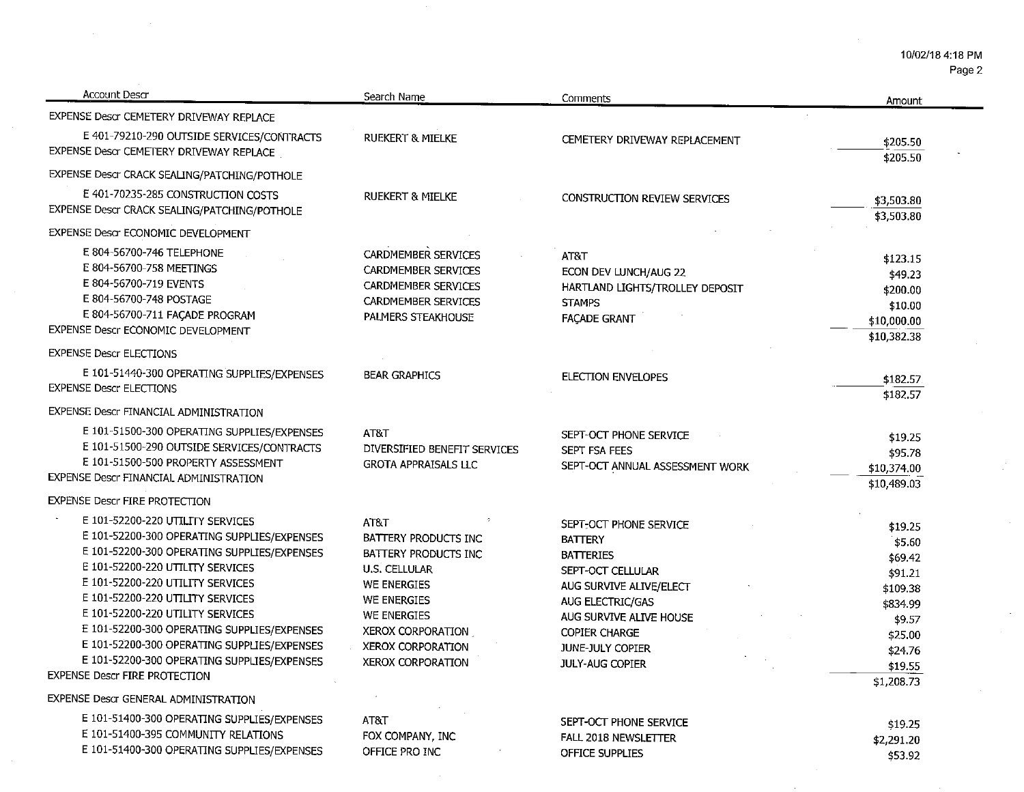Page 2

 $\mathbb{R}^2$ 

 $\sim$ 

 $\sim$ 

| Account Descr                                                                              | Search Name                  | Comments                        | Amount                   |
|--------------------------------------------------------------------------------------------|------------------------------|---------------------------------|--------------------------|
| EXPENSE Descr CEMETERY DRIVEWAY REPLACE                                                    |                              |                                 |                          |
| E 401-79210-290 OUTSIDE SERVICES/CONTRACTS                                                 | <b>RUEKERT &amp; MIELKE</b>  | CEMETERY DRIVEWAY REPLACEMENT   | \$205.50                 |
| EXPENSE Descr CEMETERY DRIVEWAY REPLACE                                                    |                              |                                 | \$205.50                 |
| EXPENSE Descr CRACK SEALING/PATCHING/POTHOLE                                               |                              |                                 |                          |
| E 401-70235-285 CONSTRUCTION COSTS                                                         | <b>RUEKERT &amp; MIELKE</b>  | CONSTRUCTION REVIEW SERVICES    |                          |
| EXPENSE Descr CRACK SEALING/PATCHING/POTHOLE                                               |                              |                                 | \$3,503.80<br>\$3,503.80 |
| EXPENSE Descr ECONOMIC DEVELOPMENT                                                         |                              |                                 |                          |
| E 804-56700-746 TELEPHONE                                                                  | <b>CARDMEMBER SERVICES</b>   | AT&T                            |                          |
| E 804-56700-758 MEETINGS                                                                   | <b>CARDMEMBER SERVICES</b>   | ECON DEV LUNCH/AUG 22           | \$123.15                 |
| E 804-56700-719 EVENTS                                                                     | <b>CARDMEMBER SERVICES</b>   | HARTLAND LIGHTS/TROLLEY DEPOSIT | \$49.23                  |
| E 804-56700-748 POSTAGE                                                                    | <b>CARDMEMBER SERVICES</b>   | <b>STAMPS</b>                   | \$200.00                 |
| E 804-56700-711 FAÇADE PROGRAM                                                             | PALMERS STEAKHOUSE           | <b>FAÇADE GRANT</b>             | \$10.00<br>\$10,000.00   |
| EXPENSE Descr ECONOMIC DEVELOPMENT                                                         |                              |                                 | \$10,382.38              |
| <b>EXPENSE Descr ELECTIONS</b>                                                             |                              |                                 |                          |
| E 101-51440-300 OPERATING SUPPLIES/EXPENSES                                                | <b>BEAR GRAPHICS</b>         | <b>ELECTION ENVELOPES</b>       |                          |
| <b>EXPENSE Descr ELECTIONS</b>                                                             |                              |                                 | \$182.57                 |
|                                                                                            |                              |                                 | \$182.57                 |
| EXPENSE Descr FINANCIAL ADMINISTRATION                                                     |                              |                                 |                          |
| E 101-51500-300 OPERATING SUPPLIES/EXPENSES                                                | AT&T                         | SEPT-OCT PHONE SERVICE          | \$19.25                  |
| E 101-51500-290 OUTSIDE SERVICES/CONTRACTS                                                 | DIVERSIFIED BENEFIT SERVICES | <b>SEPT FSA FEES</b>            | \$95.78                  |
| E 101-51500-500 PROPERTY ASSESSMENT                                                        | <b>GROTA APPRAISALS LLC</b>  | SEPT-OCT ANNUAL ASSESSMENT WORK | \$10,374.00              |
| EXPENSE Descr FINANCIAL ADMINISTRATION                                                     |                              |                                 | \$10,489.03              |
| <b>EXPENSE Descr FIRE PROTECTION</b>                                                       |                              |                                 |                          |
| E 101-52200-220 UTILITY SERVICES                                                           | AT&T                         | SEPT-OCT PHONE SERVICE          | \$19.25                  |
| E 101-52200-300 OPERATING SUPPLIES/EXPENSES                                                | BATTERY PRODUCTS INC         | <b>BATTERY</b>                  | \$5.60                   |
| E 101-52200-300 OPERATING SUPPLIES/EXPENSES                                                | BATTERY PRODUCTS INC         | <b>BATTERIES</b>                | \$69.42                  |
| E 101-52200-220 UTILITY SERVICES                                                           | <b>U.S. CELLULAR</b>         | SEPT-OCT CELLULAR               | \$91.21                  |
| E 101-52200-220 UTILITY SERVICES                                                           | <b>WE ENERGIES</b>           | AUG SURVIVE ALIVE/ELECT         | \$109.38                 |
| E 101-52200-220 UTILITY SERVICES                                                           | WE ENERGIES                  | AUG ELECTRIC/GAS                | \$834.99                 |
| E 101-52200-220 UTILITY SERVICES                                                           | <b>WE ENERGIES</b>           | AUG SURVIVE ALIVE HOUSE         | \$9.57                   |
| E 101-52200-300 OPERATING SUPPLIES/EXPENSES                                                | XEROX CORPORATION            | <b>COPIER CHARGE</b>            | \$25.00                  |
| E 101-52200-300 OPERATING SUPPLIES/EXPENSES<br>E 101-52200-300 OPERATING SUPPLIES/EXPENSES | XEROX CORPORATION            | JUNE-JULY COPIER                | \$24.76                  |
| <b>EXPENSE Descr FIRE PROTECTION</b>                                                       | XEROX CORPORATION            | <b>JULY-AUG COPIER</b>          | \$19.55                  |
|                                                                                            |                              |                                 | \$1,208.73               |
| <b>EXPENSE Descr GENERAL ADMINISTRATION</b>                                                |                              |                                 |                          |
| E 101-51400-300 OPERATING SUPPLIES/EXPENSES                                                | AT&T                         | SEPT-OCT PHONE SERVICE          | \$19.25                  |
| E 101-51400-395 COMMUNITY RELATIONS                                                        | FOX COMPANY, INC             | FALL 2018 NEWSLETTER            | \$2,291.20               |
| E 101-51400-300 OPERATING SUPPLIES/EXPENSES                                                | OFFICE PRO INC               | OFFICE SUPPLIES                 | \$53.92                  |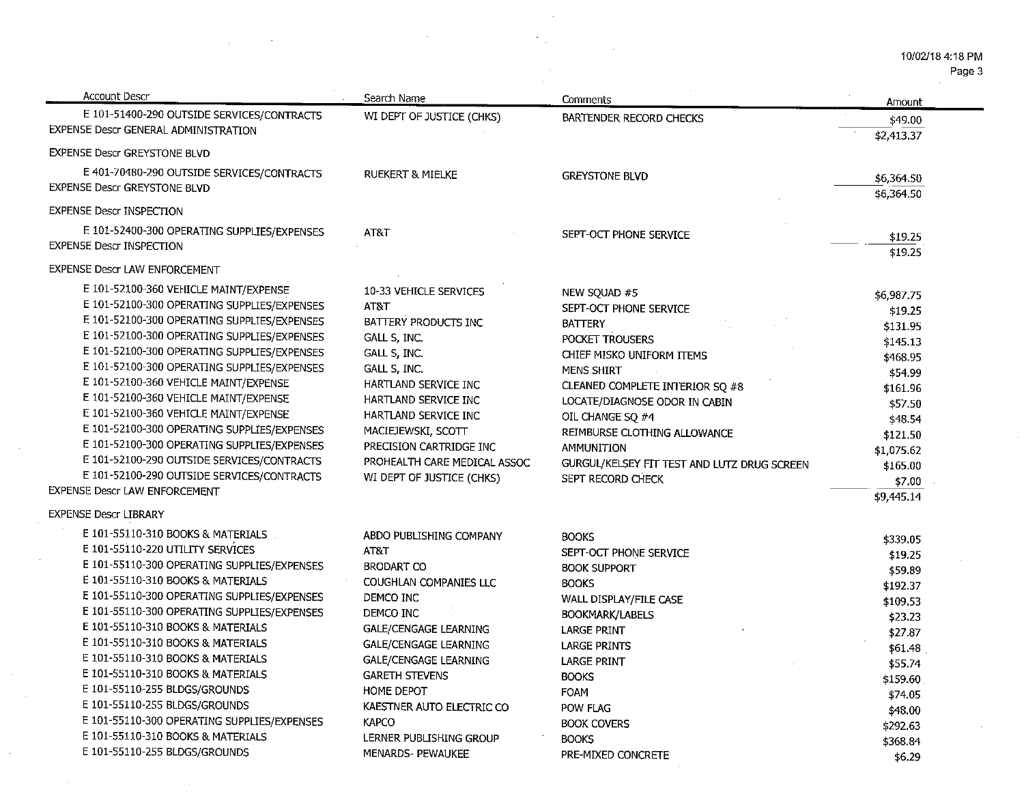Page 3

| <b>Account Descr</b>                                                                                                                                                                                                                                                                                                                                                                                                                                                                                                                                                                                                                          | Search Name                                                                                                                                                                                                                                                                                                                    | Comments                                                                                                                                                                                                                                                                                                                                | Amount                                                                                                                                                                 |
|-----------------------------------------------------------------------------------------------------------------------------------------------------------------------------------------------------------------------------------------------------------------------------------------------------------------------------------------------------------------------------------------------------------------------------------------------------------------------------------------------------------------------------------------------------------------------------------------------------------------------------------------------|--------------------------------------------------------------------------------------------------------------------------------------------------------------------------------------------------------------------------------------------------------------------------------------------------------------------------------|-----------------------------------------------------------------------------------------------------------------------------------------------------------------------------------------------------------------------------------------------------------------------------------------------------------------------------------------|------------------------------------------------------------------------------------------------------------------------------------------------------------------------|
| E 101-51400-290 OUTSIDE SERVICES/CONTRACTS<br>EXPENSE Descr GENERAL ADMINISTRATION                                                                                                                                                                                                                                                                                                                                                                                                                                                                                                                                                            | WI DEPT OF JUSTICE (CHKS)                                                                                                                                                                                                                                                                                                      | BARTENDER RECORD CHECKS                                                                                                                                                                                                                                                                                                                 | \$49.00<br>\$2,413.37                                                                                                                                                  |
| <b>EXPENSE Descr GREYSTONE BLVD</b>                                                                                                                                                                                                                                                                                                                                                                                                                                                                                                                                                                                                           |                                                                                                                                                                                                                                                                                                                                |                                                                                                                                                                                                                                                                                                                                         |                                                                                                                                                                        |
| E 401-70480-290 OUTSIDE SERVICES/CONTRACTS<br><b>EXPENSE Descr GREYSTONE BLVD</b>                                                                                                                                                                                                                                                                                                                                                                                                                                                                                                                                                             | RUEKERT & MIELKE                                                                                                                                                                                                                                                                                                               | <b>GREYSTONE BLVD</b>                                                                                                                                                                                                                                                                                                                   | \$6,364.50<br>\$6,364.50                                                                                                                                               |
| <b>EXPENSE Descr INSPECTION</b>                                                                                                                                                                                                                                                                                                                                                                                                                                                                                                                                                                                                               |                                                                                                                                                                                                                                                                                                                                |                                                                                                                                                                                                                                                                                                                                         |                                                                                                                                                                        |
| E 101-52400-300 OPERATING SUPPLIES/EXPENSES<br><b>EXPENSE Descr INSPECTION</b>                                                                                                                                                                                                                                                                                                                                                                                                                                                                                                                                                                | AT&T                                                                                                                                                                                                                                                                                                                           | SEPT-OCT PHONE SERVICE                                                                                                                                                                                                                                                                                                                  | \$19.25<br>\$19.25                                                                                                                                                     |
| EXPENSE Descr LAW ENFORCEMENT                                                                                                                                                                                                                                                                                                                                                                                                                                                                                                                                                                                                                 |                                                                                                                                                                                                                                                                                                                                |                                                                                                                                                                                                                                                                                                                                         |                                                                                                                                                                        |
| E 101-52100-360 VEHICLE MAINT/EXPENSE<br>E 101-52100-300 OPERATING SUPPLIES/EXPENSES<br>E 101-52100-300 OPERATING SUPPLIES/EXPENSES<br>E 101-52100-300 OPERATING SUPPLIES/EXPENSES<br>E 101-52100-300 OPERATING SUPPLIES/EXPENSES<br>E 101-52100-300 OPERATING SUPPLIES/EXPENSES<br>E 101-52100-360 VEHICLE MAINT/EXPENSE<br>E 101-52100-360 VEHICLE MAINT/EXPENSE<br>E 101-52100-360 VEHICLE MAINT/EXPENSE<br>E 101-52100-300 OPERATING SUPPLIES/EXPENSES<br>E 101-52100-300 OPERATING SUPPLIES/EXPENSES<br>E 101-52100-290 OUTSIDE SERVICES/CONTRACTS<br>E 101-52100-290 OUTSIDE SERVICES/CONTRACTS<br><b>EXPENSE Descr LAW ENFORCEMENT</b> | 10-33 VEHICLE SERVICES<br>AT&T<br>BATTERY PRODUCTS INC<br>GALL S, INC.<br>GALL S, INC.<br>GALL S, INC.<br>HARTLAND SERVICE INC<br>HARTLAND SERVICE INC<br>HARTLAND SERVICE INC<br>MACIEJEWSKI, SCOTT<br>PRECISION CARTRIDGE INC<br>PROHEALTH CARE MEDICAL ASSOC<br>WI DEPT OF JUSTICE (CHKS)                                   | NEW SQUAD #5<br>SEPT-OCT PHONE SERVICE<br><b>BATTERY</b><br>POCKET TROUSERS<br>CHIEF MISKO UNIFORM ITEMS<br><b>MENS SHIRT</b><br>CLEANED COMPLETE INTERIOR SQ #8<br>LOCATE/DIAGNOSE ODOR IN CABIN<br>OIL CHANGE SQ #4<br>REIMBURSE CLOTHING ALLOWANCE<br>AMMUNITION<br>GURGUL/KELSEY FIT TEST AND LUTZ DRUG SCREEN<br>SEPT RECORD CHECK | \$6,987.75<br>\$19.25<br>\$131.95<br>\$145.13<br>\$468.95<br>\$54.99<br>\$161.96<br>\$57.50<br>\$48.54<br>\$121.50<br>\$1,075.62<br>\$165.00<br>\$7.00<br>\$9,445.14   |
| <b>EXPENSE Descr LIBRARY</b><br>E 101-55110-310 BOOKS & MATERIALS<br>E 101-55110-220 UTILITY SERVICES<br>E 101-55110-300 OPERATING SUPPLIES/EXPENSES<br>E 101-55110-310 BOOKS & MATERIALS<br>E 101-55110-300 OPERATING SUPPLIES/EXPENSES<br>E 101-55110-300 OPERATING SUPPLIES/EXPENSES<br>E 101-55110-310 BOOKS & MATERIALS<br>E 101-55110-310 BOOKS & MATERIALS<br>E 101-55110-310 BOOKS & MATERIALS<br>E 101-55110-310 BOOKS & MATERIALS<br>E 101-55110-255 BLDGS/GROUNDS<br>E 101-55110-255 BLDGS/GROUNDS<br>E 101-55110-300 OPERATING SUPPLIES/EXPENSES<br>E 101-55110-310 BOOKS & MATERIALS<br>E 101-55110-255 BLDGS/GROUNDS            | ABDO PUBLISHING COMPANY<br>AT&T<br><b>BRODART CO</b><br>COUGHLAN COMPANIES LLC<br>DEMCO INC<br>DEMCO INC<br><b>GALE/CENGAGE LEARNING</b><br>GALE/CENGAGE LEARNING<br>GALE/CENGAGE LEARNING<br><b>GARETH STEVENS</b><br>HOME DEPOT<br>KAESTNER AUTO ELECTRIC CO<br><b>KAPCO</b><br>LERNER PUBLISHING GROUP<br>MENARDS- PEWAUKEE | <b>BOOKS</b><br>SEPT-OCT PHONE SERVICE<br><b>BOOK SUPPORT</b><br><b>BOOKS</b><br>WALL DISPLAY/FILE CASE<br><b>BOOKMARK/LABELS</b><br><b>LARGE PRINT</b><br><b>LARGE PRINTS</b><br><b>LARGE PRINT</b><br><b>BOOKS</b><br><b>FOAM</b><br>POW FLAG<br><b>BOOK COVERS</b><br><b>BOOKS</b><br>PRE-MIXED CONCRETE                             | \$339.05<br>\$19.25<br>\$59.89<br>\$192.37<br>\$109.53<br>\$23.23<br>\$27.87<br>\$61.48<br>\$55.74<br>\$159.60<br>\$74.05<br>\$48.00<br>\$292.63<br>\$368.84<br>\$6.29 |

 $\mathcal{F}_{\mathcal{A}}$ 

 $\sim$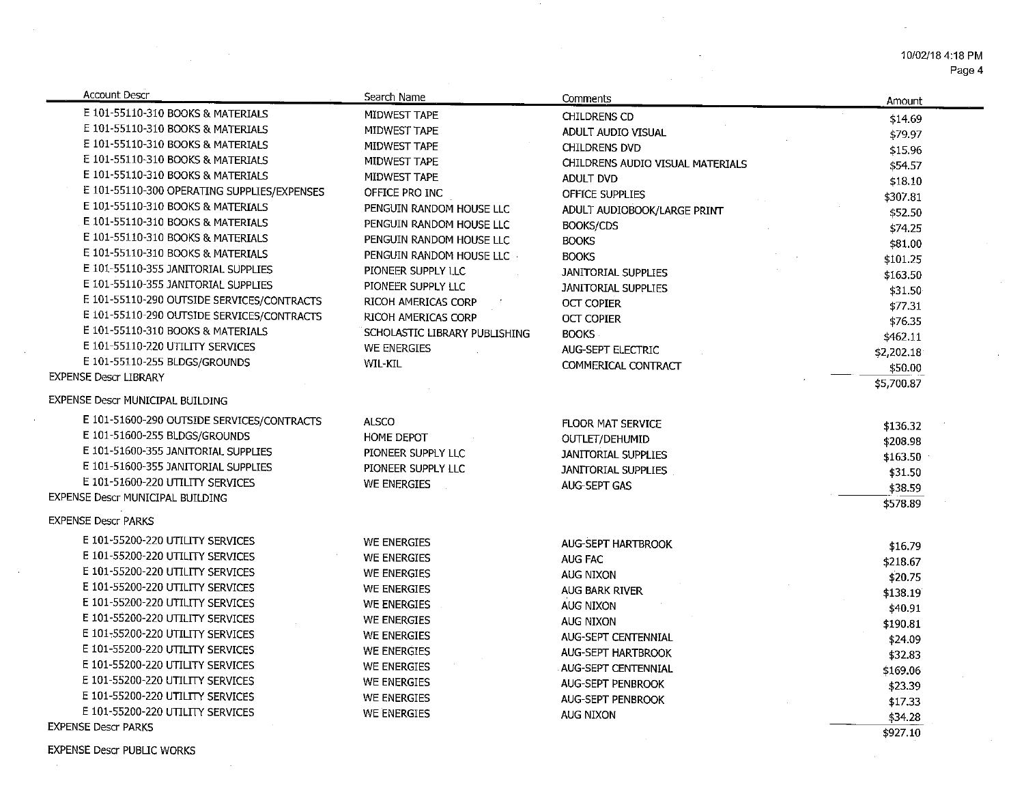Page 4

| <b>Account Descr</b>                        | Search Name                   | Comments                         | Amount              |
|---------------------------------------------|-------------------------------|----------------------------------|---------------------|
| E 101-55110-310 BOOKS & MATERIALS           | MIDWEST TAPE                  | CHILDRENS CD                     | \$14.69             |
| E 101-55110-310 BOOKS & MATERIALS           | MIDWEST TAPE                  | ADULT AUDIO VISUAL               | \$79.97             |
| E 101-55110-310 BOOKS & MATERIALS           | MIDWEST TAPE                  | <b>CHILDRENS DVD</b>             | \$15.96             |
| E 101-55110-310 BOOKS & MATERIALS           | MIDWEST TAPE                  | CHILDRENS AUDIO VISUAL MATERIALS | \$54.57             |
| E 101-55110-310 BOOKS & MATERIALS           | MIDWEST TAPE                  | <b>ADULT DVD</b>                 | \$18.10             |
| E 101-55110-300 OPERATING SUPPLIES/EXPENSES | OFFICE PRO INC                | OFFICE SUPPLIES                  | \$307.81            |
| E 101-55110-310 BOOKS & MATERIALS           | PENGUIN RANDOM HOUSE LLC      | ADULT AUDIOBOOK/LARGE PRINT      | \$52.50             |
| E 101-55110-310 BOOKS & MATERIALS           | PENGUIN RANDOM HOUSE LLC      | <b>BOOKS/CDS</b>                 | \$74.25             |
| E 101-55110-310 BOOKS & MATERIALS           | PENGUIN RANDOM HOUSE LLC      | <b>BOOKS</b>                     | \$81.00             |
| E 101-55110-310 BOOKS & MATERIALS           | PENGUIN RANDOM HOUSE LLC      | <b>BOOKS</b>                     | \$101.25            |
| E 101-55110-355 JANITORIAL SUPPLIES         | PIONEER SUPPLY LLC            | <b>JANITORIAL SUPPLIES</b>       | \$163.50            |
| E 101-55110-355 JANITORIAL SUPPLIES         | PIONEER SUPPLY LLC            | <b>JANITORIAL SUPPLIES</b>       | \$31.50             |
| E 101-55110-290 OUTSIDE SERVICES/CONTRACTS  | RICOH AMERICAS CORP           | <b>OCT COPIER</b>                | \$77.31             |
| E 101-55110-290 OUTSIDE SERVICES/CONTRACTS  | RICOH AMERICAS CORP           | <b>OCT COPIER</b>                | \$76.35             |
| E 101-55110-310 BOOKS & MATERIALS           | SCHOLASTIC LIBRARY PUBLISHING | <b>BOOKS</b>                     | \$462.11            |
| E 101-55110-220 UTILITY SERVICES            | WE ENERGIES                   | AUG-SEPT ELECTRIC                | \$2,202.18          |
| E 101-55110-255 BLDGS/GROUNDS               | <b>WIL-KIL</b>                | COMMERICAL CONTRACT              | \$50.00             |
| <b>EXPENSE Descr LIBRARY</b>                |                               |                                  | \$5,700.87          |
| EXPENSE Descr MUNICIPAL BUILDING            |                               |                                  |                     |
| E 101-51600-290 OUTSIDE SERVICES/CONTRACTS  | <b>ALSCO</b>                  | <b>FLOOR MAT SERVICE</b>         | \$136.32            |
| E 101-51600-255 BLDGS/GROUNDS               | HOME DEPOT                    | OUTLET/DEHUMID                   | \$208.98            |
| E 101-51600-355 JANITORIAL SUPPLIES         | PIONEER SUPPLY LLC            | <b>JANITORIAL SUPPLIES</b>       | \$163.50            |
| E 101-51600-355 JANITORIAL SUPPLIES         | PIONEER SUPPLY LLC            | JANITORIAL SUPPLIES              | \$31.50             |
| E 101-51600-220 UTILITY SERVICES            | WE ENERGIES                   | <b>AUG-SEPT GAS</b>              | \$38.59             |
| EXPENSE Descr MUNICIPAL BUILDING            |                               |                                  | \$578.89            |
| <b>EXPENSE Descr PARKS</b>                  |                               |                                  |                     |
| E 101-55200-220 UTILITY SERVICES            | WE ENERGIES                   | <b>AUG-SEPT HARTBROOK</b>        |                     |
| E 101-55200-220 UTILITY SERVICES            | <b>WE ENERGIES</b>            | <b>AUG FAC</b>                   | \$16.79             |
| E 101-55200-220 UTILITY SERVICES            | <b>WE ENERGIES</b>            | AUG NIXON                        | \$218.67            |
| E 101-55200-220 UTILITY SERVICES            | WE ENERGIES                   | AUG BARK RIVER                   | \$20.75             |
| E 101-55200-220 UTILITY SERVICES            | <b>WE ENERGIES</b>            | AUG NIXON                        | \$138.19            |
| E 101-55200-220 UTILITY SERVICES            | <b>WE ENERGIES</b>            | <b>AUG NIXON</b>                 | \$40.91             |
| E 101-55200-220 UTILITY SERVICES            | WE ENERGIES                   | AUG-SEPT CENTENNIAL              | \$190.81            |
| E 101-55200-220 UTILITY SERVICES            | WE ENERGIES                   | <b>AUG-SEPT HARTBROOK</b>        | \$24.09             |
| E 101-55200-220 UTILITY SERVICES            | WE ENERGIES                   | AUG-SEPT CENTENNIAL              | \$32.83<br>\$169.06 |
| E 101-55200-220 UTILITY SERVICES            | <b>WE ENERGIES</b>            | AUG-SEPT PENBROOK                |                     |
| E 101-55200-220 UTILITY SERVICES            | WE ENERGIES                   | <b>AUG-SEPT PENBROOK</b>         | \$23.39             |
| E 101-55200-220 UTILITY SERVICES            | <b>WE ENERGIES</b>            | <b>AUG NIXON</b>                 | \$17.33<br>\$34.28  |
| <b>EXPENSE Descr PARKS</b>                  |                               |                                  | \$927.10            |

**EXPENSE Descr PUBLIC WORKS** 

 $\overline{a}$ 

 $\sim$ 

 $\sim$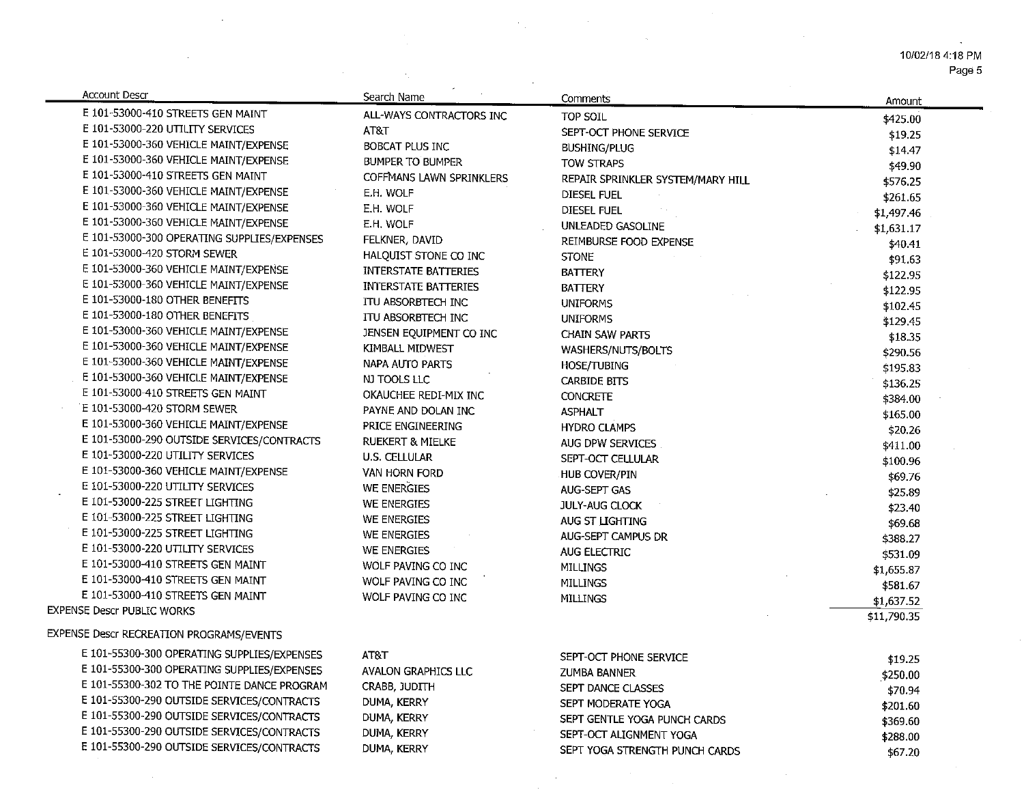10/02/18 4:18 PM Page 5

 $\tilde{\phantom{a}}$ 

 $\sim 10^{-1}$ 

 $\sim 10^{-10}$ 

| Amount<br>E 101-53000-410 STREETS GEN MAINT<br>ALL-WAYS CONTRACTORS INC<br>TOP SOIL<br>\$425.00<br>E 101-53000-220 UTILITY SERVICES<br>AT&T<br>SEPT-OCT PHONE SERVICE<br>\$19.25<br>E 101-53000-360 VEHICLE MAINT/EXPENSE<br>BOBCAT PLUS INC<br>BUSHING/PLUG<br>\$14.47<br>E 101-53000-360 VEHICLE MAINT/EXPENSE<br>BUMPER TO BUMPER<br><b>TOW STRAPS</b><br>\$49.90<br>E 101-53000-410 STREETS GEN MAINT<br>COFFMANS LAWN SPRINKLERS<br>REPAIR SPRINKLER SYSTEM/MARY HILL<br>\$576.25<br>E 101-53000-360 VEHICLE MAINT/EXPENSE<br>E.H. WOLF<br><b>DIESEL FUEL</b><br>\$261.65<br>E 101-53000-360 VEHICLE MAINT/EXPENSE<br>E.H. WOLF<br><b>DIESEL FUEL</b><br>\$1,497.46<br>E 101-53000-360 VEHICLE MAINT/EXPENSE<br>E.H. WOLF<br>UNLEADED GASOLINE<br>\$1,631.17<br>E 101-53000-300 OPERATING SUPPLIES/EXPENSES<br>FELKNER, DAVID<br>REIMBURSE FOOD EXPENSE<br>\$40.41<br>E 101-53000-420 STORM SEWER<br>HALQUIST STONE CO INC<br><b>STONE</b><br>\$91.63<br>E 101-53000-360 VEHICLE MAINT/EXPENSE<br><b>INTERSTATE BATTERIES</b><br><b>BATTERY</b><br>\$122.95<br>E 101-53000-360 VEHICLE MAINT/EXPENSE<br><b>INTERSTATE BATTERIES</b><br><b>BATTERY</b><br>\$122.95<br>E 101-53000-180 OTHER BENEFITS<br>ITU ABSORBTECH INC<br><b>UNIFORMS</b><br>\$102.45<br>E 101-53000-180 OTHER BENEFITS<br>ITU ABSORBTECH INC<br><b>UNIFORMS</b><br>\$129.45<br>E 101-53000-360 VEHICLE MAINT/EXPENSE<br>JENSEN EQUIPMENT CO INC<br><b>CHAIN SAW PARTS</b><br>\$18.35<br>E 101-53000-360 VEHICLE MAINT/EXPENSE<br>KIMBALL MIDWEST<br>WASHERS/NUTS/BOLTS<br>\$290.56<br>E 101-53000-360 VEHICLE MAINT/EXPENSE<br>NAPA AUTO PARTS<br><b>HOSE/TUBING</b><br>\$195.83<br>E 101-53000-360 VEHICLE MAINT/EXPENSE<br>NJ TOOLS LLC<br><b>CARBIDE BITS</b><br>\$136.25<br>E 101-53000-410 STREETS GEN MAINT<br>OKAUCHEE REDI-MIX INC<br><b>CONCRETE</b><br>\$384.00<br>E 101-53000-420 STORM SEWER<br>PAYNE AND DOLAN INC<br><b>ASPHALT</b><br>\$165.00<br>E 101-53000-360 VEHICLE MAINT/EXPENSE<br>PRICE ENGINEERING<br><b>HYDRO CLAMPS</b><br>\$20.26<br>E 101-53000-290 OUTSIDE SERVICES/CONTRACTS<br><b>RUEKERT &amp; MIELKE</b><br>AUG DPW SERVICES<br>\$411.00<br>E 101-53000-220 UTILITY SERVICES<br><b>U.S. CELLULAR</b><br>SEPT-OCT CELLULAR<br>\$100.96<br>E 101-53000-360 VEHICLE MAINT/EXPENSE<br>VAN HORN FORD<br>HUB COVER/PIN<br>\$69.76<br>E 101-53000-220 UTILITY SERVICES<br>WE ENERGIES<br>AUG-SEPT GAS<br>\$25.89<br>E 101-53000-225 STREET LIGHTING<br>WE ENERGIES<br><b>JULY-AUG CLOCK</b><br>\$23.40<br>E 101-53000-225 STREET LIGHTING<br>WE ENERGIES<br>AUG ST LIGHTING<br>\$69.68<br>E 101-53000-225 STREET LIGHTING<br>WE ENERGIES<br>AUG-SEPT CAMPUS DR<br>\$388.27<br>E 101-53000-220 UTILITY SERVICES<br>WE ENERGIES<br><b>AUG ELECTRIC</b><br>\$531.09<br>E 101-53000-410 STREETS GEN MAINT<br>WOLF PAVING CO INC<br><b>MILLINGS</b><br>\$1,655.87 |
|------------------------------------------------------------------------------------------------------------------------------------------------------------------------------------------------------------------------------------------------------------------------------------------------------------------------------------------------------------------------------------------------------------------------------------------------------------------------------------------------------------------------------------------------------------------------------------------------------------------------------------------------------------------------------------------------------------------------------------------------------------------------------------------------------------------------------------------------------------------------------------------------------------------------------------------------------------------------------------------------------------------------------------------------------------------------------------------------------------------------------------------------------------------------------------------------------------------------------------------------------------------------------------------------------------------------------------------------------------------------------------------------------------------------------------------------------------------------------------------------------------------------------------------------------------------------------------------------------------------------------------------------------------------------------------------------------------------------------------------------------------------------------------------------------------------------------------------------------------------------------------------------------------------------------------------------------------------------------------------------------------------------------------------------------------------------------------------------------------------------------------------------------------------------------------------------------------------------------------------------------------------------------------------------------------------------------------------------------------------------------------------------------------------------------------------------------------------------------------------------------------------------------------------------------------------------------------------------------------------------------------------------------------------------------------------------------------------------------------------------------------------------------------------------------------------------------------------------------------------|
|                                                                                                                                                                                                                                                                                                                                                                                                                                                                                                                                                                                                                                                                                                                                                                                                                                                                                                                                                                                                                                                                                                                                                                                                                                                                                                                                                                                                                                                                                                                                                                                                                                                                                                                                                                                                                                                                                                                                                                                                                                                                                                                                                                                                                                                                                                                                                                                                                                                                                                                                                                                                                                                                                                                                                                                                                                                                  |
|                                                                                                                                                                                                                                                                                                                                                                                                                                                                                                                                                                                                                                                                                                                                                                                                                                                                                                                                                                                                                                                                                                                                                                                                                                                                                                                                                                                                                                                                                                                                                                                                                                                                                                                                                                                                                                                                                                                                                                                                                                                                                                                                                                                                                                                                                                                                                                                                                                                                                                                                                                                                                                                                                                                                                                                                                                                                  |
|                                                                                                                                                                                                                                                                                                                                                                                                                                                                                                                                                                                                                                                                                                                                                                                                                                                                                                                                                                                                                                                                                                                                                                                                                                                                                                                                                                                                                                                                                                                                                                                                                                                                                                                                                                                                                                                                                                                                                                                                                                                                                                                                                                                                                                                                                                                                                                                                                                                                                                                                                                                                                                                                                                                                                                                                                                                                  |
|                                                                                                                                                                                                                                                                                                                                                                                                                                                                                                                                                                                                                                                                                                                                                                                                                                                                                                                                                                                                                                                                                                                                                                                                                                                                                                                                                                                                                                                                                                                                                                                                                                                                                                                                                                                                                                                                                                                                                                                                                                                                                                                                                                                                                                                                                                                                                                                                                                                                                                                                                                                                                                                                                                                                                                                                                                                                  |
|                                                                                                                                                                                                                                                                                                                                                                                                                                                                                                                                                                                                                                                                                                                                                                                                                                                                                                                                                                                                                                                                                                                                                                                                                                                                                                                                                                                                                                                                                                                                                                                                                                                                                                                                                                                                                                                                                                                                                                                                                                                                                                                                                                                                                                                                                                                                                                                                                                                                                                                                                                                                                                                                                                                                                                                                                                                                  |
|                                                                                                                                                                                                                                                                                                                                                                                                                                                                                                                                                                                                                                                                                                                                                                                                                                                                                                                                                                                                                                                                                                                                                                                                                                                                                                                                                                                                                                                                                                                                                                                                                                                                                                                                                                                                                                                                                                                                                                                                                                                                                                                                                                                                                                                                                                                                                                                                                                                                                                                                                                                                                                                                                                                                                                                                                                                                  |
|                                                                                                                                                                                                                                                                                                                                                                                                                                                                                                                                                                                                                                                                                                                                                                                                                                                                                                                                                                                                                                                                                                                                                                                                                                                                                                                                                                                                                                                                                                                                                                                                                                                                                                                                                                                                                                                                                                                                                                                                                                                                                                                                                                                                                                                                                                                                                                                                                                                                                                                                                                                                                                                                                                                                                                                                                                                                  |
|                                                                                                                                                                                                                                                                                                                                                                                                                                                                                                                                                                                                                                                                                                                                                                                                                                                                                                                                                                                                                                                                                                                                                                                                                                                                                                                                                                                                                                                                                                                                                                                                                                                                                                                                                                                                                                                                                                                                                                                                                                                                                                                                                                                                                                                                                                                                                                                                                                                                                                                                                                                                                                                                                                                                                                                                                                                                  |
|                                                                                                                                                                                                                                                                                                                                                                                                                                                                                                                                                                                                                                                                                                                                                                                                                                                                                                                                                                                                                                                                                                                                                                                                                                                                                                                                                                                                                                                                                                                                                                                                                                                                                                                                                                                                                                                                                                                                                                                                                                                                                                                                                                                                                                                                                                                                                                                                                                                                                                                                                                                                                                                                                                                                                                                                                                                                  |
|                                                                                                                                                                                                                                                                                                                                                                                                                                                                                                                                                                                                                                                                                                                                                                                                                                                                                                                                                                                                                                                                                                                                                                                                                                                                                                                                                                                                                                                                                                                                                                                                                                                                                                                                                                                                                                                                                                                                                                                                                                                                                                                                                                                                                                                                                                                                                                                                                                                                                                                                                                                                                                                                                                                                                                                                                                                                  |
|                                                                                                                                                                                                                                                                                                                                                                                                                                                                                                                                                                                                                                                                                                                                                                                                                                                                                                                                                                                                                                                                                                                                                                                                                                                                                                                                                                                                                                                                                                                                                                                                                                                                                                                                                                                                                                                                                                                                                                                                                                                                                                                                                                                                                                                                                                                                                                                                                                                                                                                                                                                                                                                                                                                                                                                                                                                                  |
|                                                                                                                                                                                                                                                                                                                                                                                                                                                                                                                                                                                                                                                                                                                                                                                                                                                                                                                                                                                                                                                                                                                                                                                                                                                                                                                                                                                                                                                                                                                                                                                                                                                                                                                                                                                                                                                                                                                                                                                                                                                                                                                                                                                                                                                                                                                                                                                                                                                                                                                                                                                                                                                                                                                                                                                                                                                                  |
|                                                                                                                                                                                                                                                                                                                                                                                                                                                                                                                                                                                                                                                                                                                                                                                                                                                                                                                                                                                                                                                                                                                                                                                                                                                                                                                                                                                                                                                                                                                                                                                                                                                                                                                                                                                                                                                                                                                                                                                                                                                                                                                                                                                                                                                                                                                                                                                                                                                                                                                                                                                                                                                                                                                                                                                                                                                                  |
|                                                                                                                                                                                                                                                                                                                                                                                                                                                                                                                                                                                                                                                                                                                                                                                                                                                                                                                                                                                                                                                                                                                                                                                                                                                                                                                                                                                                                                                                                                                                                                                                                                                                                                                                                                                                                                                                                                                                                                                                                                                                                                                                                                                                                                                                                                                                                                                                                                                                                                                                                                                                                                                                                                                                                                                                                                                                  |
|                                                                                                                                                                                                                                                                                                                                                                                                                                                                                                                                                                                                                                                                                                                                                                                                                                                                                                                                                                                                                                                                                                                                                                                                                                                                                                                                                                                                                                                                                                                                                                                                                                                                                                                                                                                                                                                                                                                                                                                                                                                                                                                                                                                                                                                                                                                                                                                                                                                                                                                                                                                                                                                                                                                                                                                                                                                                  |
|                                                                                                                                                                                                                                                                                                                                                                                                                                                                                                                                                                                                                                                                                                                                                                                                                                                                                                                                                                                                                                                                                                                                                                                                                                                                                                                                                                                                                                                                                                                                                                                                                                                                                                                                                                                                                                                                                                                                                                                                                                                                                                                                                                                                                                                                                                                                                                                                                                                                                                                                                                                                                                                                                                                                                                                                                                                                  |
|                                                                                                                                                                                                                                                                                                                                                                                                                                                                                                                                                                                                                                                                                                                                                                                                                                                                                                                                                                                                                                                                                                                                                                                                                                                                                                                                                                                                                                                                                                                                                                                                                                                                                                                                                                                                                                                                                                                                                                                                                                                                                                                                                                                                                                                                                                                                                                                                                                                                                                                                                                                                                                                                                                                                                                                                                                                                  |
|                                                                                                                                                                                                                                                                                                                                                                                                                                                                                                                                                                                                                                                                                                                                                                                                                                                                                                                                                                                                                                                                                                                                                                                                                                                                                                                                                                                                                                                                                                                                                                                                                                                                                                                                                                                                                                                                                                                                                                                                                                                                                                                                                                                                                                                                                                                                                                                                                                                                                                                                                                                                                                                                                                                                                                                                                                                                  |
|                                                                                                                                                                                                                                                                                                                                                                                                                                                                                                                                                                                                                                                                                                                                                                                                                                                                                                                                                                                                                                                                                                                                                                                                                                                                                                                                                                                                                                                                                                                                                                                                                                                                                                                                                                                                                                                                                                                                                                                                                                                                                                                                                                                                                                                                                                                                                                                                                                                                                                                                                                                                                                                                                                                                                                                                                                                                  |
|                                                                                                                                                                                                                                                                                                                                                                                                                                                                                                                                                                                                                                                                                                                                                                                                                                                                                                                                                                                                                                                                                                                                                                                                                                                                                                                                                                                                                                                                                                                                                                                                                                                                                                                                                                                                                                                                                                                                                                                                                                                                                                                                                                                                                                                                                                                                                                                                                                                                                                                                                                                                                                                                                                                                                                                                                                                                  |
|                                                                                                                                                                                                                                                                                                                                                                                                                                                                                                                                                                                                                                                                                                                                                                                                                                                                                                                                                                                                                                                                                                                                                                                                                                                                                                                                                                                                                                                                                                                                                                                                                                                                                                                                                                                                                                                                                                                                                                                                                                                                                                                                                                                                                                                                                                                                                                                                                                                                                                                                                                                                                                                                                                                                                                                                                                                                  |
|                                                                                                                                                                                                                                                                                                                                                                                                                                                                                                                                                                                                                                                                                                                                                                                                                                                                                                                                                                                                                                                                                                                                                                                                                                                                                                                                                                                                                                                                                                                                                                                                                                                                                                                                                                                                                                                                                                                                                                                                                                                                                                                                                                                                                                                                                                                                                                                                                                                                                                                                                                                                                                                                                                                                                                                                                                                                  |
|                                                                                                                                                                                                                                                                                                                                                                                                                                                                                                                                                                                                                                                                                                                                                                                                                                                                                                                                                                                                                                                                                                                                                                                                                                                                                                                                                                                                                                                                                                                                                                                                                                                                                                                                                                                                                                                                                                                                                                                                                                                                                                                                                                                                                                                                                                                                                                                                                                                                                                                                                                                                                                                                                                                                                                                                                                                                  |
|                                                                                                                                                                                                                                                                                                                                                                                                                                                                                                                                                                                                                                                                                                                                                                                                                                                                                                                                                                                                                                                                                                                                                                                                                                                                                                                                                                                                                                                                                                                                                                                                                                                                                                                                                                                                                                                                                                                                                                                                                                                                                                                                                                                                                                                                                                                                                                                                                                                                                                                                                                                                                                                                                                                                                                                                                                                                  |
|                                                                                                                                                                                                                                                                                                                                                                                                                                                                                                                                                                                                                                                                                                                                                                                                                                                                                                                                                                                                                                                                                                                                                                                                                                                                                                                                                                                                                                                                                                                                                                                                                                                                                                                                                                                                                                                                                                                                                                                                                                                                                                                                                                                                                                                                                                                                                                                                                                                                                                                                                                                                                                                                                                                                                                                                                                                                  |
|                                                                                                                                                                                                                                                                                                                                                                                                                                                                                                                                                                                                                                                                                                                                                                                                                                                                                                                                                                                                                                                                                                                                                                                                                                                                                                                                                                                                                                                                                                                                                                                                                                                                                                                                                                                                                                                                                                                                                                                                                                                                                                                                                                                                                                                                                                                                                                                                                                                                                                                                                                                                                                                                                                                                                                                                                                                                  |
|                                                                                                                                                                                                                                                                                                                                                                                                                                                                                                                                                                                                                                                                                                                                                                                                                                                                                                                                                                                                                                                                                                                                                                                                                                                                                                                                                                                                                                                                                                                                                                                                                                                                                                                                                                                                                                                                                                                                                                                                                                                                                                                                                                                                                                                                                                                                                                                                                                                                                                                                                                                                                                                                                                                                                                                                                                                                  |
|                                                                                                                                                                                                                                                                                                                                                                                                                                                                                                                                                                                                                                                                                                                                                                                                                                                                                                                                                                                                                                                                                                                                                                                                                                                                                                                                                                                                                                                                                                                                                                                                                                                                                                                                                                                                                                                                                                                                                                                                                                                                                                                                                                                                                                                                                                                                                                                                                                                                                                                                                                                                                                                                                                                                                                                                                                                                  |
|                                                                                                                                                                                                                                                                                                                                                                                                                                                                                                                                                                                                                                                                                                                                                                                                                                                                                                                                                                                                                                                                                                                                                                                                                                                                                                                                                                                                                                                                                                                                                                                                                                                                                                                                                                                                                                                                                                                                                                                                                                                                                                                                                                                                                                                                                                                                                                                                                                                                                                                                                                                                                                                                                                                                                                                                                                                                  |
|                                                                                                                                                                                                                                                                                                                                                                                                                                                                                                                                                                                                                                                                                                                                                                                                                                                                                                                                                                                                                                                                                                                                                                                                                                                                                                                                                                                                                                                                                                                                                                                                                                                                                                                                                                                                                                                                                                                                                                                                                                                                                                                                                                                                                                                                                                                                                                                                                                                                                                                                                                                                                                                                                                                                                                                                                                                                  |
| E 101-53000-410 STREETS GEN MAINT                                                                                                                                                                                                                                                                                                                                                                                                                                                                                                                                                                                                                                                                                                                                                                                                                                                                                                                                                                                                                                                                                                                                                                                                                                                                                                                                                                                                                                                                                                                                                                                                                                                                                                                                                                                                                                                                                                                                                                                                                                                                                                                                                                                                                                                                                                                                                                                                                                                                                                                                                                                                                                                                                                                                                                                                                                |
| WOLF PAVING CO INC<br><b>MILLINGS</b><br>\$581.67<br>E 101-53000-410 STREETS GEN MAINT                                                                                                                                                                                                                                                                                                                                                                                                                                                                                                                                                                                                                                                                                                                                                                                                                                                                                                                                                                                                                                                                                                                                                                                                                                                                                                                                                                                                                                                                                                                                                                                                                                                                                                                                                                                                                                                                                                                                                                                                                                                                                                                                                                                                                                                                                                                                                                                                                                                                                                                                                                                                                                                                                                                                                                           |
| WOLF PAVING CO INC<br><b>MILLINGS</b><br>\$1,637.52<br><b>EXPENSE Descr PUBLIC WORKS</b>                                                                                                                                                                                                                                                                                                                                                                                                                                                                                                                                                                                                                                                                                                                                                                                                                                                                                                                                                                                                                                                                                                                                                                                                                                                                                                                                                                                                                                                                                                                                                                                                                                                                                                                                                                                                                                                                                                                                                                                                                                                                                                                                                                                                                                                                                                                                                                                                                                                                                                                                                                                                                                                                                                                                                                         |
| \$11,790.35                                                                                                                                                                                                                                                                                                                                                                                                                                                                                                                                                                                                                                                                                                                                                                                                                                                                                                                                                                                                                                                                                                                                                                                                                                                                                                                                                                                                                                                                                                                                                                                                                                                                                                                                                                                                                                                                                                                                                                                                                                                                                                                                                                                                                                                                                                                                                                                                                                                                                                                                                                                                                                                                                                                                                                                                                                                      |
| EXPENSE Descr RECREATION PROGRAMS/EVENTS                                                                                                                                                                                                                                                                                                                                                                                                                                                                                                                                                                                                                                                                                                                                                                                                                                                                                                                                                                                                                                                                                                                                                                                                                                                                                                                                                                                                                                                                                                                                                                                                                                                                                                                                                                                                                                                                                                                                                                                                                                                                                                                                                                                                                                                                                                                                                                                                                                                                                                                                                                                                                                                                                                                                                                                                                         |
| E 101-55300-300 OPERATING SUPPLIES/EXPENSES<br>AT&T<br>SEPT-OCT PHONE SERVICE<br>\$19.25                                                                                                                                                                                                                                                                                                                                                                                                                                                                                                                                                                                                                                                                                                                                                                                                                                                                                                                                                                                                                                                                                                                                                                                                                                                                                                                                                                                                                                                                                                                                                                                                                                                                                                                                                                                                                                                                                                                                                                                                                                                                                                                                                                                                                                                                                                                                                                                                                                                                                                                                                                                                                                                                                                                                                                         |
| E 101-55300-300 OPERATING SUPPLIES/EXPENSES<br><b>AVALON GRAPHICS LLC</b><br>ZUMBA BANNER<br>\$250.00                                                                                                                                                                                                                                                                                                                                                                                                                                                                                                                                                                                                                                                                                                                                                                                                                                                                                                                                                                                                                                                                                                                                                                                                                                                                                                                                                                                                                                                                                                                                                                                                                                                                                                                                                                                                                                                                                                                                                                                                                                                                                                                                                                                                                                                                                                                                                                                                                                                                                                                                                                                                                                                                                                                                                            |
| E 101-55300-302 TO THE POINTE DANCE PROGRAM<br>CRABB, JUDITH<br>SEPT DANCE CLASSES<br>\$70.94                                                                                                                                                                                                                                                                                                                                                                                                                                                                                                                                                                                                                                                                                                                                                                                                                                                                                                                                                                                                                                                                                                                                                                                                                                                                                                                                                                                                                                                                                                                                                                                                                                                                                                                                                                                                                                                                                                                                                                                                                                                                                                                                                                                                                                                                                                                                                                                                                                                                                                                                                                                                                                                                                                                                                                    |
| E 101-55300-290 OUTSIDE SERVICES/CONTRACTS<br>DUMA, KERRY<br>SEPT MODERATE YOGA<br>\$201.60                                                                                                                                                                                                                                                                                                                                                                                                                                                                                                                                                                                                                                                                                                                                                                                                                                                                                                                                                                                                                                                                                                                                                                                                                                                                                                                                                                                                                                                                                                                                                                                                                                                                                                                                                                                                                                                                                                                                                                                                                                                                                                                                                                                                                                                                                                                                                                                                                                                                                                                                                                                                                                                                                                                                                                      |
| E 101-55300-290 OUTSIDE SERVICES/CONTRACTS<br>DUMA, KERRY<br>SEPT GENTLE YOGA PUNCH CARDS<br>\$369.60                                                                                                                                                                                                                                                                                                                                                                                                                                                                                                                                                                                                                                                                                                                                                                                                                                                                                                                                                                                                                                                                                                                                                                                                                                                                                                                                                                                                                                                                                                                                                                                                                                                                                                                                                                                                                                                                                                                                                                                                                                                                                                                                                                                                                                                                                                                                                                                                                                                                                                                                                                                                                                                                                                                                                            |
| E 101-55300-290 OUTSIDE SERVICES/CONTRACTS<br>DUMA, KERRY<br>SEPT-OCT ALIGNMENT YOGA<br>\$288.00                                                                                                                                                                                                                                                                                                                                                                                                                                                                                                                                                                                                                                                                                                                                                                                                                                                                                                                                                                                                                                                                                                                                                                                                                                                                                                                                                                                                                                                                                                                                                                                                                                                                                                                                                                                                                                                                                                                                                                                                                                                                                                                                                                                                                                                                                                                                                                                                                                                                                                                                                                                                                                                                                                                                                                 |
| E 101-55300-290 OUTSIDE SERVICES/CONTRACTS                                                                                                                                                                                                                                                                                                                                                                                                                                                                                                                                                                                                                                                                                                                                                                                                                                                                                                                                                                                                                                                                                                                                                                                                                                                                                                                                                                                                                                                                                                                                                                                                                                                                                                                                                                                                                                                                                                                                                                                                                                                                                                                                                                                                                                                                                                                                                                                                                                                                                                                                                                                                                                                                                                                                                                                                                       |

 $\sim 10$ 

 $\sim$ 

 $\sim$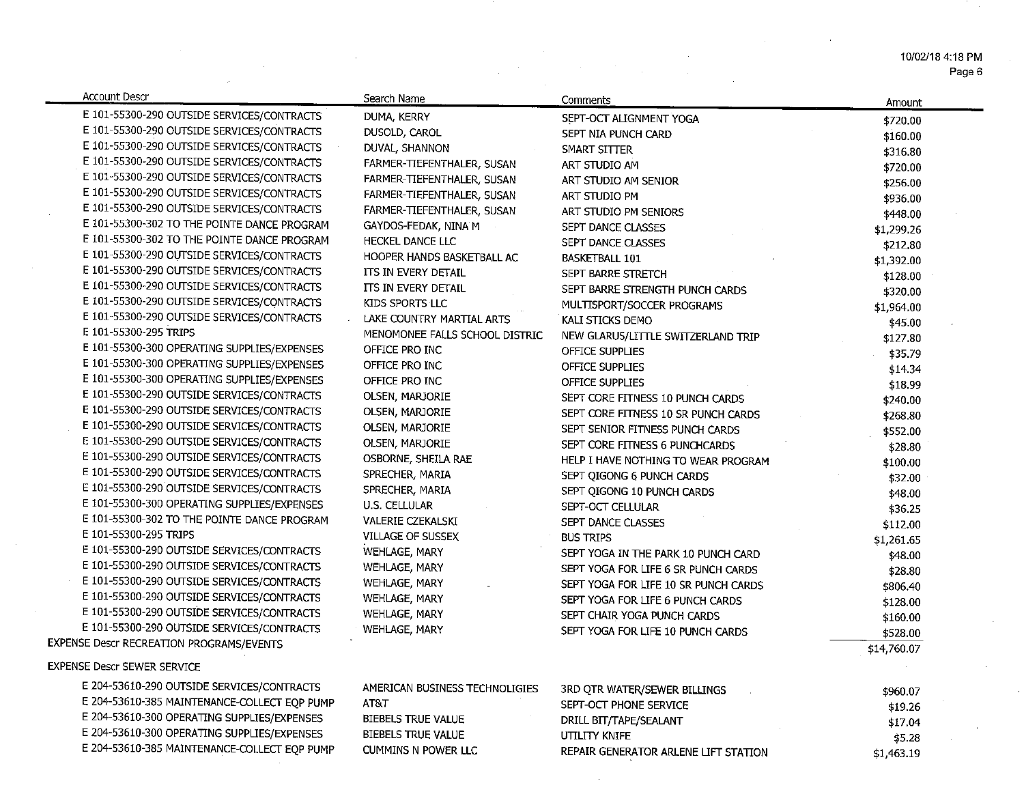Page 6

| <b>Account Descr</b>                            | Search Name                    | Comments                             | Amount              |
|-------------------------------------------------|--------------------------------|--------------------------------------|---------------------|
| E 101-55300-290 OUTSIDE SERVICES/CONTRACTS      | DUMA, KERRY                    | SEPT-OCT ALIGNMENT YOGA              | \$720.00            |
| E 101-55300-290 OUTSIDE SERVICES/CONTRACTS      | DUSOLD, CAROL                  | SEPT NIA PUNCH CARD                  | \$160.00            |
| E 101-55300-290 OUTSIDE SERVICES/CONTRACTS      | DUVAL, SHANNON                 | SMART SITTER                         | \$316.80            |
| E 101-55300-290 OUTSIDE SERVICES/CONTRACTS      | FARMER-TIEFENTHALER, SUSAN     | ART STUDIO AM                        | \$720.00            |
| E 101-55300-290 OUTSIDE SERVICES/CONTRACTS      | FARMER-TIEFENTHALER, SUSAN     | ART STUDIO AM SENIOR                 | \$256.00            |
| E 101-55300-290 OUTSIDE SERVICES/CONTRACTS      | FARMER-TIEFENTHALER, SUSAN     | ART STUDIO PM                        | \$936.00            |
| E 101-55300-290 OUTSIDE SERVICES/CONTRACTS      | FARMER-TIEFENTHALER, SUSAN     | ART STUDIO PM SENIORS                | \$448.00            |
| E 101-55300-302 TO THE POINTE DANCE PROGRAM     | GAYDOS-FEDAK, NINA M           | SEPT DANCE CLASSES                   | \$1,299.26          |
| E 101-55300-302 TO THE POINTE DANCE PROGRAM     | HECKEL DANCE LLC               | SEPT DANCE CLASSES                   | \$212.80            |
| E 101-55300-290 OUTSIDE SERVICES/CONTRACTS      | HOOPER HANDS BASKETBALL AC     | <b>BASKETBALL 101</b>                | \$1,392.00          |
| E 101-55300-290 OUTSIDE SERVICES/CONTRACTS      | ITS IN EVERY DETAIL            | SEPT BARRE STRETCH                   | \$128.00            |
| E 101-55300-290 OUTSIDE SERVICES/CONTRACTS      | ITS IN EVERY DETAIL            | SEPT BARRE STRENGTH PUNCH CARDS      | \$320.00            |
| E 101-55300-290 OUTSIDE SERVICES/CONTRACTS      | KIDS SPORTS LLC                | MULTISPORT/SOCCER PROGRAMS           | \$1,964.00          |
| E 101-55300-290 OUTSIDE SERVICES/CONTRACTS      | LAKE COUNTRY MARTIAL ARTS      | KALI STICKS DEMO                     |                     |
| E 101-55300-295 TRIPS                           | MENOMONEE FALLS SCHOOL DISTRIC | NEW GLARUS/LITTLE SWITZERLAND TRIP   | \$45.00<br>\$127.80 |
| E 101-55300-300 OPERATING SUPPLIES/EXPENSES     | OFFICE PRO INC                 | OFFICE SUPPLIES                      | \$35.79             |
| E 101-55300-300 OPERATING SUPPLIES/EXPENSES     | OFFICE PRO INC                 | OFFICE SUPPLIES                      | \$14.34             |
| E 101-55300-300 OPERATING SUPPLIES/EXPENSES     | OFFICE PRO INC                 | OFFICE SUPPLIES                      |                     |
| E 101-55300-290 OUTSIDE SERVICES/CONTRACTS      | OLSEN, MARJORIE                | SEPT CORE FITNESS 10 PUNCH CARDS     | \$18.99<br>\$240.00 |
| E 101-55300-290 OUTSIDE SERVICES/CONTRACTS      | OLSEN, MARJORIE                | SEPT CORE FITNESS 10 SR PUNCH CARDS  | \$268.80            |
| E 101-55300-290 OUTSIDE SERVICES/CONTRACTS      | OLSEN, MARJORIE                | SEPT SENIOR FITNESS PUNCH CARDS      | \$552.00            |
| E 101-55300-290 OUTSIDE SERVICES/CONTRACTS      | OLSEN, MARJORIE                | SEPT CORE FITNESS 6 PUNCHCARDS       | \$28.80             |
| E 101-55300-290 OUTSIDE SERVICES/CONTRACTS      | OSBORNE, SHEILA RAE            | HELP I HAVE NOTHING TO WEAR PROGRAM  | \$100.00            |
| E 101-55300-290 OUTSIDE SERVICES/CONTRACTS      | SPRECHER, MARIA                | SEPT QIGONG 6 PUNCH CARDS            | \$32.00             |
| E 101-55300-290 OUTSIDE SERVICES/CONTRACTS      | SPRECHER, MARIA                | SEPT QIGONG 10 PUNCH CARDS           |                     |
| E 101-55300-300 OPERATING SUPPLIES/EXPENSES     | U.S. CELLULAR                  | SEPT-OCT CELLULAR                    | \$48.00             |
| E 101-55300-302 TO THE POINTE DANCE PROGRAM     | VALERIE CZEKALSKI              | SEPT DANCE CLASSES                   | \$36.25             |
| E 101-55300-295 TRIPS                           | VILLAGE OF SUSSEX              | <b>BUS TRIPS</b>                     | \$112.00            |
| E 101-55300-290 OUTSIDE SERVICES/CONTRACTS      | WEHLAGE, MARY                  | SEPT YOGA IN THE PARK 10 PUNCH CARD  | \$1,261.65          |
| E 101-55300-290 OUTSIDE SERVICES/CONTRACTS      | WEHLAGE, MARY                  | SEPT YOGA FOR LIFE 6 SR PUNCH CARDS  | \$48.00             |
| E 101-55300-290 OUTSIDE SERVICES/CONTRACTS      | WEHLAGE, MARY                  | SEPT YOGA FOR LIFE 10 SR PUNCH CARDS | \$28.80<br>\$806.40 |
| E 101-55300-290 OUTSIDE SERVICES/CONTRACTS      | WEHLAGE, MARY                  | SEPT YOGA FOR LIFE 6 PUNCH CARDS     | \$128.00            |
| E 101-55300-290 OUTSIDE SERVICES/CONTRACTS      | WEHLAGE, MARY                  | SEPT CHAIR YOGA PUNCH CARDS          | \$160.00            |
| E 101-55300-290 OUTSIDE SERVICES/CONTRACTS      | <b>WEHLAGE, MARY</b>           | SEPT YOGA FOR LIFE 10 PUNCH CARDS    | \$528.00            |
| <b>EXPENSE Descr RECREATION PROGRAMS/EVENTS</b> |                                |                                      | \$14,760.07         |
|                                                 |                                |                                      |                     |
| <b>EXPENSE Descr SEWER SERVICE</b>              |                                |                                      |                     |
| E 204-53610-290 OUTSIDE SERVICES/CONTRACTS      | AMERICAN BUSINESS TECHNOLIGIES | 3RD QTR WATER/SEWER BILLINGS         | \$960.07            |
| E 204-53610-385 MAINTENANCE-COLLECT EQP PUMP    | AT&T                           | SEPT-OCT PHONE SERVICE               | \$19.26             |
| E 204-53610-300 OPERATING SUPPLIES/EXPENSES     | BIEBELS TRUE VALUE             | DRILL BIT/TAPE/SEALANT               | \$17.04             |
| E 204-53610-300 OPERATING SUPPLIES/EXPENSES     | BIEBELS TRUE VALUE             | UTILITY KNIFE                        | \$5.28              |
| E 204-53610-385 MAINTENANCE-COLLECT EQP PUMP    | CUMMINS N POWER LLC            | REPAIR GENERATOR ARLENE LIFT STATION | \$1,463.19          |

 $\label{eq:2.1} \frac{1}{\sqrt{2}}\sum_{i=1}^n\frac{1}{\sqrt{2}}\sum_{i=1}^n\frac{1}{\sqrt{2}}\sum_{i=1}^n\frac{1}{\sqrt{2}}\sum_{i=1}^n\frac{1}{\sqrt{2}}\sum_{i=1}^n\frac{1}{\sqrt{2}}\sum_{i=1}^n\frac{1}{\sqrt{2}}\sum_{i=1}^n\frac{1}{\sqrt{2}}\sum_{i=1}^n\frac{1}{\sqrt{2}}\sum_{i=1}^n\frac{1}{\sqrt{2}}\sum_{i=1}^n\frac{1}{\sqrt{2}}\sum_{i=1}^n\frac$ 

 $\sim$ 

 $\sim$   $\sim$ 

 $\sim 10^{-10}$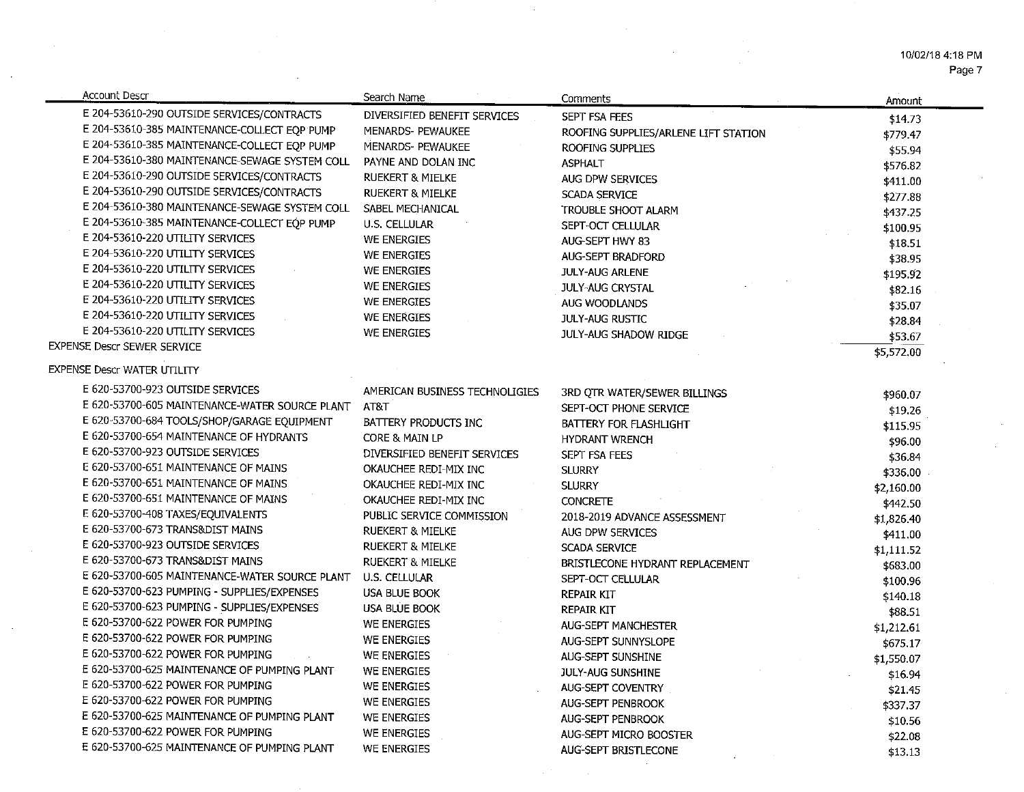10/02/18 4:18 PM Page 7

| Account Descr                                       | Search Name                    | Comments                             | Amount     |
|-----------------------------------------------------|--------------------------------|--------------------------------------|------------|
| E 204-53610-290 OUTSIDE SERVICES/CONTRACTS          | DIVERSIFIED BENEFIT SERVICES   | SEPT FSA FEES                        | \$14.73    |
| E 204-53610-385 MAINTENANCE-COLLECT EQP PUMP        | MENARDS- PEWAUKEE              | ROOFING SUPPLIES/ARLENE LIFT STATION | \$779.47   |
| E 204-53610-385 MAINTENANCE-COLLECT EQP PUMP        | MENARDS- PEWAUKEE              | ROOFING SUPPLIES                     | \$55.94    |
| E 204-53610-380 MAINTENANCE-SEWAGE SYSTEM COLL      | PAYNE AND DOLAN INC            | <b>ASPHALT</b>                       | \$576.82   |
| E 204-53610-290 OUTSIDE SERVICES/CONTRACTS          | <b>RUEKERT &amp; MIELKE</b>    | AUG DPW SERVICES                     | \$411.00   |
| E 204-53610-290 OUTSIDE SERVICES/CONTRACTS          | <b>RUEKERT &amp; MIELKE</b>    | SCADA SERVICE                        | \$277.88   |
| E 204-53610-380 MAINTENANCE-SEWAGE SYSTEM COLL      | SABEL MECHANICAL               | TROUBLE SHOOT ALARM                  | \$437.25   |
| E 204-53610-385 MAINTENANCE-COLLECT EQP PUMP        | U.S. CELLULAR                  | SEPT-OCT CELLULAR                    | \$100.95   |
| E 204-53610-220 UTILITY SERVICES                    | <b>WE ENERGIES</b>             | AUG-SEPT HWY 83                      | \$18.51    |
| E 204-53610-220 UTILITY SERVICES                    | <b>WE ENERGIES</b>             | AUG-SEPT BRADFORD                    | \$38.95    |
| E 204-53610-220 UTILITY SERVICES                    | WE ENERGIES                    | <b>JULY-AUG ARLENE</b>               | \$195.92   |
| E 204-53610-220 UTILITY SERVICES                    | WE ENERGIES                    | <b>JULY-AUG CRYSTAL</b>              | \$82.16    |
| E 204-53610-220 UTILITY SERVICES                    | WE ENERGIES                    | AUG WOODLANDS                        | \$35.07    |
| E 204-53610-220 UTILITY SERVICES                    | WE ENERGIES                    | <b>JULY-AUG RUSTIC</b>               | \$28.84    |
| E 204-53610-220 UTILITY SERVICES                    | WE ENERGIES                    | <b>JULY-AUG SHADOW RIDGE</b>         | \$53.67    |
| <b>EXPENSE Descr SEWER SERVICE</b>                  |                                |                                      | \$5,572.00 |
| <b>EXPENSE Descr WATER UTILITY</b>                  |                                |                                      |            |
| E 620-53700-923 OUTSIDE SERVICES                    | AMERICAN BUSINESS TECHNOLIGIES |                                      |            |
| E 620-53700-605 MAINTENANCE-WATER SOURCE PLANT AT&T |                                | 3RD QTR WATER/SEWER BILLINGS         | \$960.07   |
| E 620-53700-684 TOOLS/SHOP/GARAGE EQUIPMENT         |                                | SEPT-OCT PHONE SERVICE               | \$19.26    |
| E 620-53700-654 MAINTENANCE OF HYDRANTS             | BATTERY PRODUCTS INC           | BATTERY FOR FLASHLIGHT               | \$115.95   |
| E 620-53700-923 OUTSIDE SERVICES                    | CORE & MAIN LP                 | <b>HYDRANT WRENCH</b>                | \$96.00    |
| E 620-53700-651 MAINTENANCE OF MAINS                | DIVERSIFIED BENEFIT SERVICES   | SEPT FSA FEES                        | \$36.84    |
| E 620-53700-651 MAINTENANCE OF MAINS                | OKAUCHEE REDI-MIX INC          | <b>SLURRY</b>                        | \$336.00   |
|                                                     | OKAUCHEE REDI-MIX INC          | <b>SLURRY</b>                        | \$2,160.00 |
| E 620-53700-651 MAINTENANCE OF MAINS                | OKAUCHEE REDI-MIX INC          | <b>CONCRETE</b>                      | \$442.50   |
| E 620-53700-408 TAXES/EQUIVALENTS                   | PUBLIC SERVICE COMMISSION      | 2018-2019 ADVANCE ASSESSMENT         | \$1,826.40 |
| E 620-53700-673 TRANS&DIST MAINS                    | <b>RUEKERT &amp; MIELKE</b>    | AUG DPW SERVICES                     | \$411.00   |
| E 620-53700-923 OUTSIDE SERVICES                    | <b>RUEKERT &amp; MIELKE</b>    | <b>SCADA SERVICE</b>                 | \$1,111.52 |
| E 620-53700-673 TRANS&DIST MAINS                    | <b>RUEKERT &amp; MIELKE</b>    | BRISTLECONE HYDRANT REPLACEMENT      | \$683.00   |
| E 620-53700-605 MAINTENANCE-WATER SOURCE PLANT      | U.S. CELLULAR                  | SEPT-OCT CELLULAR                    | \$100.96   |
| E 620-53700-623 PUMPING - SUPPLIES/EXPENSES         | <b>USA BLUE BOOK</b>           | <b>REPAIR KIT</b>                    | \$140.18   |
| E 620-53700-623 PUMPING - SUPPLIES/EXPENSES         | <b>USA BLUE BOOK</b>           | <b>REPAIR KIT</b>                    | \$88.51    |
| E 620-53700-622 POWER FOR PUMPING                   | WE ENERGIES                    | <b>AUG-SEPT MANCHESTER</b>           | \$1,212.61 |
| E 620-53700-622 POWER FOR PUMPING                   | WE ENERGIES                    | AUG-SEPT SUNNYSLOPE                  | \$675.17   |
| E 620-53700-622 POWER FOR PUMPING                   | WE ENERGIES                    | AUG-SEPT SUNSHINE                    | \$1,550.07 |
| E 620-53700-625 MAINTENANCE OF PUMPING PLANT        | WE ENERGIES                    | JULY-AUG SUNSHINE                    | \$16.94    |
| E 620-53700-622 POWER FOR PUMPING                   | WE ENERGIES                    | AUG-SEPT COVENTRY                    | \$21.45    |
| E 620-53700-622 POWER FOR PUMPING                   | WE ENERGIES                    | <b>AUG-SEPT PENBROOK</b>             | \$337.37   |
| E 620-53700-625 MAINTENANCE OF PUMPING PLANT        | WE ENERGIES                    | AUG-SEPT PENBROOK                    | \$10.56    |
| E 620-53700-622 POWER FOR PUMPING                   | WE ENERGIES                    | <b>AUG-SEPT MICRO BOOSTER</b>        | \$22.08    |
| E 620-53700-625 MAINTENANCE OF PUMPING PLANT        | WE ENERGIES                    | AUG-SEPT BRISTLECONE                 | \$13.13    |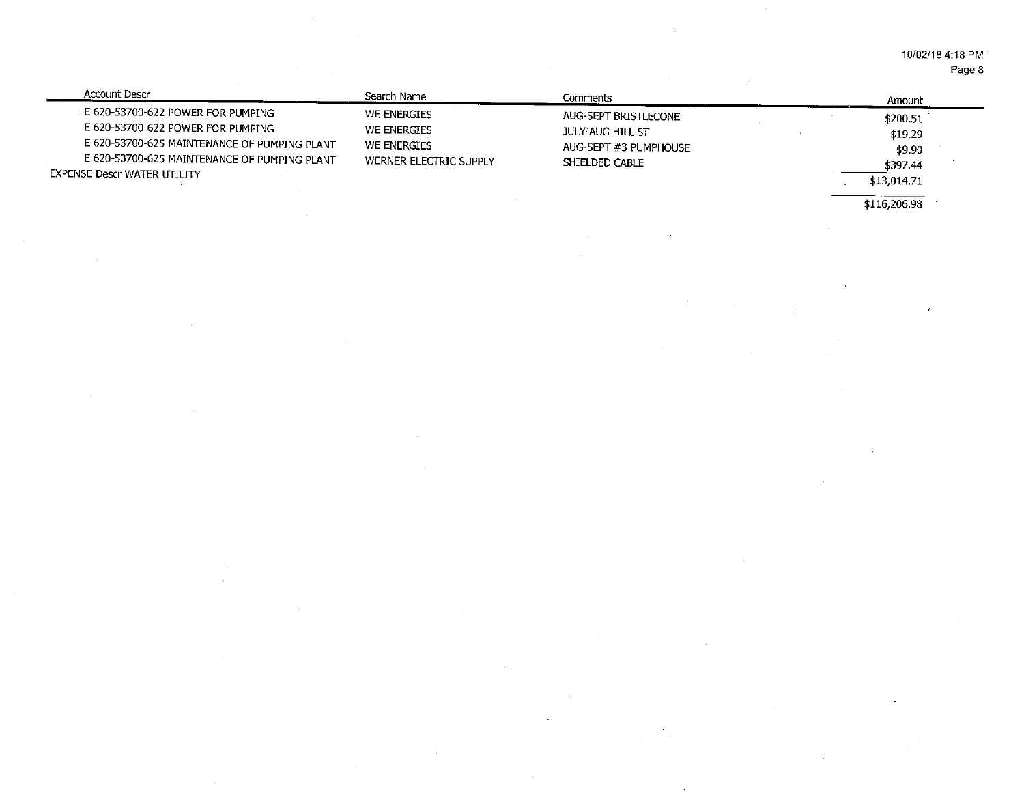10/02/18 4:18 PM Page 8

| Account Descr                                                                                                                                                                                                | Search Name                                                         | Comments                                                                                   | Amount                                                   |
|--------------------------------------------------------------------------------------------------------------------------------------------------------------------------------------------------------------|---------------------------------------------------------------------|--------------------------------------------------------------------------------------------|----------------------------------------------------------|
| E 620-53700-622 POWER FOR PUMPING<br>E 620-53700-622 POWER FOR PUMPING<br>E 620-53700-625 MAINTENANCE OF PUMPING PLANT<br>E 620-53700-625 MAINTENANCE OF PUMPING PLANT<br><b>EXPENSE Descr WATER UTILITY</b> | WE ENERGIES<br>WE ENERGIES<br>WE ENERGIES<br>WERNER ELECTRIC SUPPLY | AUG-SEPT BRISTLECONE<br><b>JULY-AUG HILL ST</b><br>AUG-SEPT #3 PUMPHOUSE<br>SHIELDED CABLE | \$200.51<br>\$19.29<br>\$9.90<br>\$397.44<br>\$13,014.71 |

 $\sim$ 

 $\sim$ 

 $\sim$ 

 $\frac{1}{16,206.98}$ 

 $\bar{\epsilon}$ 

 $\mathcal{L}_{\mathcal{A}}$ 

 $\frac{1}{2}$ 

 $\sim$ 

 $\mathcal{A}$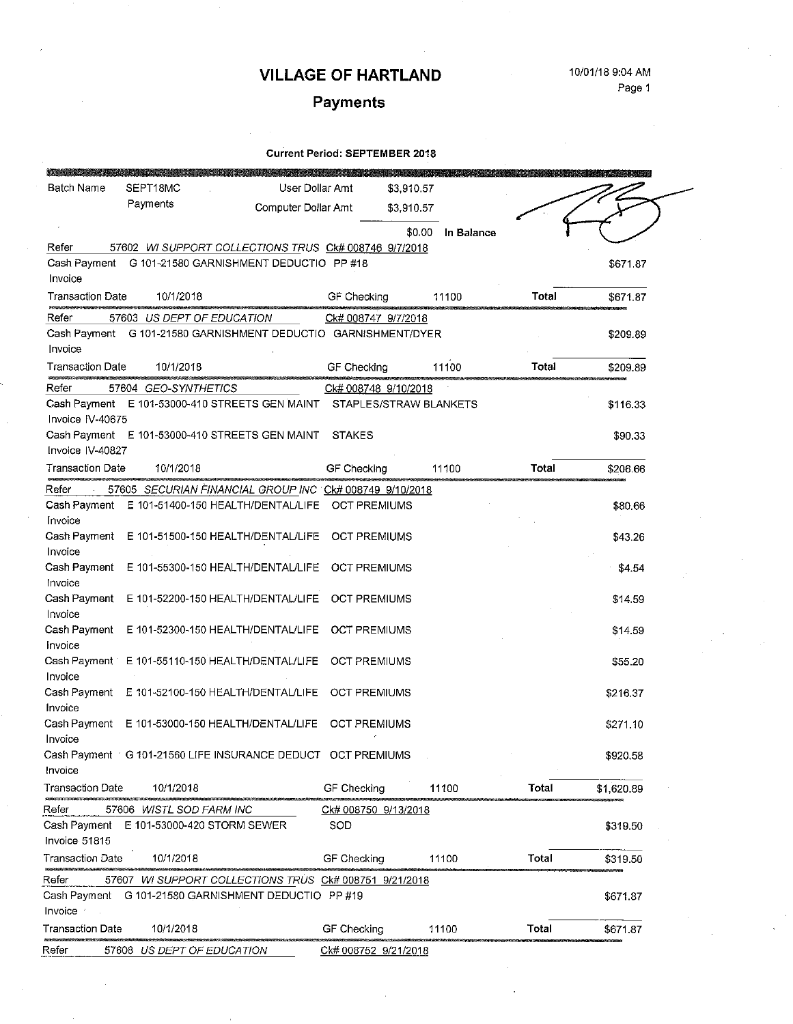# Payments

| Batch Name              | SEPT18MC                                                       | User Dollar Amt     | \$3,910.57             |            |       |            |
|-------------------------|----------------------------------------------------------------|---------------------|------------------------|------------|-------|------------|
|                         | Payments                                                       | Computer Dollar Amt | \$3,910.57             |            |       |            |
|                         |                                                                |                     |                        |            |       |            |
| Refer                   | 57602 WI SUPPORT COLLECTIONS TRUS CK# 008746 9/7/2018          |                     | \$0.00                 | In Balance |       |            |
| Cash Payment            | G 101-21580 GARNISHMENT DEDUCTIO PP #18                        |                     |                        |            |       | \$671.87   |
| Invoice                 |                                                                |                     |                        |            |       |            |
| <b>Transaction Date</b> | 10/1/2018                                                      |                     | GF Checking            | 11100      | Total | \$671.87   |
| Refer                   | 57603 US DEPT OF EDUCATION                                     |                     | Ck# 008747 9/7/2018    |            |       |            |
|                         | Cash Payment G 101-21580 GARNISHMENT DEDUCTIO GARNISHMENT/DYER |                     |                        |            |       | \$209.89   |
| Invoice                 |                                                                |                     |                        |            |       |            |
| <b>Transaction Date</b> | 10/1/2018                                                      |                     | GF Checking            | 11100      | Total | \$209.89   |
| Refer                   | 57604 GEO-SYNTHETICS                                           |                     | Ck# 008748 9/10/2018   |            |       |            |
|                         | Cash Payment E 101-53000-410 STREETS GEN MAINT                 |                     | STAPLES/STRAW BLANKETS |            |       | \$116.33   |
| Invoice IV-40675        |                                                                |                     |                        |            |       |            |
| Invoice IV-40827        | Cash Payment E 101-53000-410 STREETS GEN MAINT                 |                     | <b>STAKES</b>          |            |       | \$90.33    |
| <b>Transaction Date</b> | 10/1/2018                                                      |                     | GF Checking            | 11100      | Total | \$206.66   |
| Refer                   | 57605 SECURIAN FINANCIAL GROUP INC CK# 008749 9/10/2018        |                     |                        |            |       |            |
| Cash Payment            | E 101-51400-150 HEALTH/DENTAL/LIFE                             |                     | <b>OCT PREMIUMS</b>    |            |       | \$80.66    |
| Invoice                 |                                                                |                     |                        |            |       |            |
| Cash Payment            | E 101-51500-150 HEALTH/DENTAL/LIFE                             |                     | <b>OCT PREMIUMS</b>    |            |       | \$43.26    |
| Invoice                 |                                                                |                     |                        |            |       |            |
| Cash Payment            | E 101-55300-150 HEALTH/DENTAL/LIFE                             |                     | <b>OCT PREMIUMS</b>    |            |       | \$4.54     |
| Invoice                 |                                                                |                     |                        |            |       |            |
| Cash Payment<br>Invoice | E 101-52200-150 HEALTH/DENTAL/LIFE                             |                     | <b>OCT PREMIUMS</b>    |            |       | \$14.59    |
| Cash Payment            | E 101-52300-150 HEALTH/DENTAL/LIFE                             |                     | <b>OCT PREMIUMS</b>    |            |       | \$14.59    |
| Invoice                 |                                                                |                     |                        |            |       |            |
| Cash Payment            | E 101-55110-150 HEALTH/DENTAL/LIFE                             |                     | <b>OCT PREMIUMS</b>    |            |       | \$55.20    |
| Invoice                 |                                                                |                     |                        |            |       |            |
| Cash Payment            | E 101-52100-150 HEALTH/DENTAL/LIFE                             |                     | <b>OCT PREMIUMS</b>    |            |       | \$216.37   |
| Invoice                 |                                                                |                     |                        |            |       |            |
| Cash Payment<br>Invoice | E 101-53000-150 HEALTH/DENTAL/LIFE                             |                     | <b>OCT PREMIUMS</b>    |            |       | \$271.10   |
|                         | Cash Payment / G 101-21560 LIFE INSURANCE DEDUCT OCT PREMIUMS  |                     |                        |            |       | \$920.58   |
| Invoice                 |                                                                |                     |                        |            |       |            |
| Transaction Date        | 10/1/2018                                                      |                     | GF Checking            | 11100      | Total | \$1,620.89 |
| Refer                   | 57606 WISTL SOD FARM INC                                       |                     | Ck# 008750 9/13/2018   |            |       |            |
| Cash Payment            | E 101-53000-420 STORM SEWER                                    |                     | SOD                    |            |       | \$319.50   |
| Invoice 51815           |                                                                |                     |                        |            |       |            |
| <b>Transaction Date</b> | 10/1/2018                                                      |                     | GF Checking            | 11100      | Total | \$319.50   |
| Refer                   | 57607 WI SUPPORT COLLECTIONS TRUS CK# 008751 9/21/2018         |                     |                        |            |       |            |
|                         | Cash Payment G 101-21580 GARNISHMENT DEDUCTIO PP #19           |                     |                        |            |       | \$671.87   |
| Invoice :               |                                                                |                     |                        |            |       |            |
| <b>Transaction Date</b> | 10/1/2018                                                      |                     | GF Checking            | 11100      | Total | \$671.87   |
| Refer                   | 57608 US DEPT OF EDUCATION                                     |                     | Ck# 008752 9/21/2018   |            |       |            |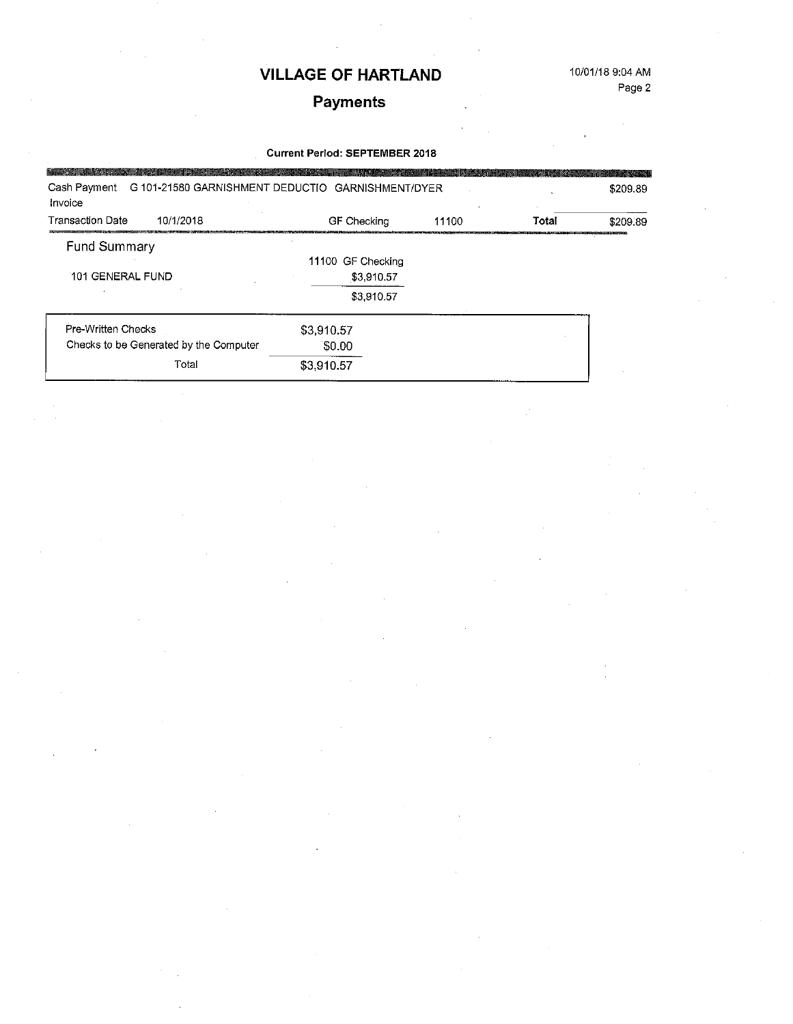# Payments

| G 101-21580 GARNISHMENT DEDUCTIO GARNISHMENT/DYER<br>Cash Payment<br>Invoice |                                 |       |       | \$209.89 |
|------------------------------------------------------------------------------|---------------------------------|-------|-------|----------|
| 10/1/2018<br><b>Transaction Date</b>                                         | GF Checking                     | 11100 | Total | \$209.89 |
| Fund Summary<br>101 GENERAL FUND                                             | 11100 GF Checking<br>\$3,910.57 |       |       |          |
|                                                                              | \$3,910.57                      |       |       |          |
| Pre-Written Checks<br>Checks to be Generated by the Computer                 | \$3,910.57<br>\$0.00            |       |       |          |
| Total                                                                        | \$3,910.57                      |       |       |          |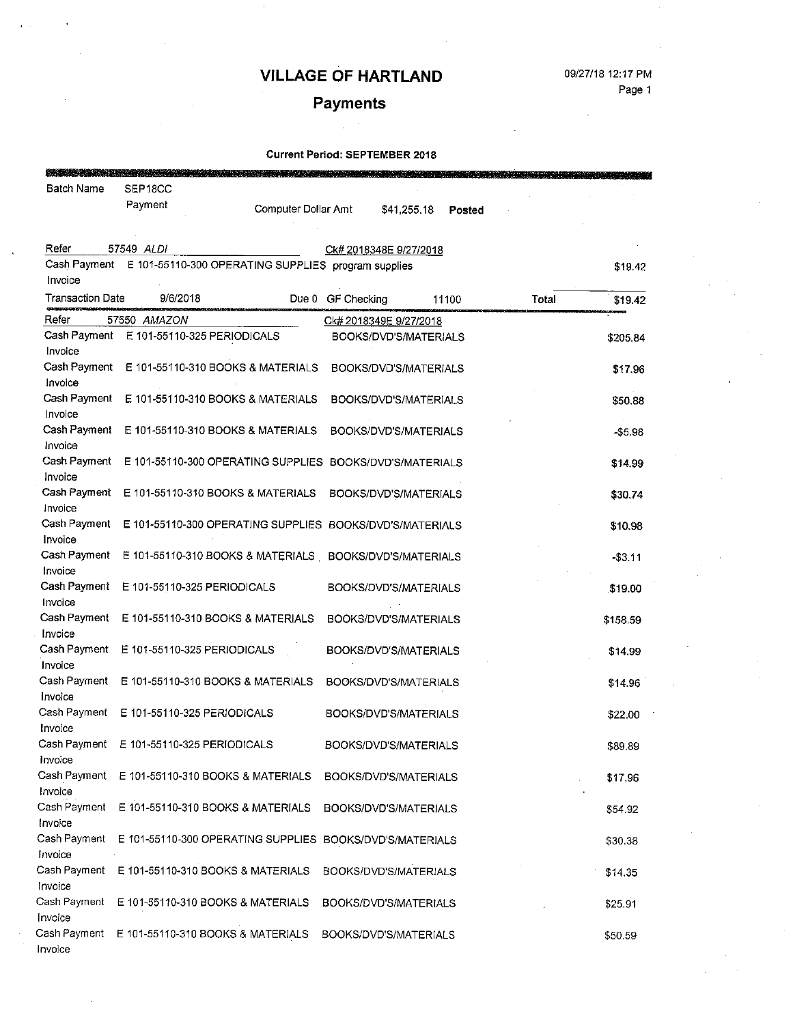# Payments

| Batch Name              | SEP18CC                                                          |                     |                   |                        |               |       |          |
|-------------------------|------------------------------------------------------------------|---------------------|-------------------|------------------------|---------------|-------|----------|
|                         | Payment                                                          | Computer Dollar Amt |                   | \$41,255.18            | <b>Posted</b> |       |          |
|                         |                                                                  |                     |                   |                        |               |       |          |
| Refer                   | 57549 ALDI                                                       |                     |                   | Ck# 2018348E 9/27/2018 |               |       |          |
|                         | Cash Payment E 101-55110-300 OPERATING SUPPLIES program supplies |                     |                   |                        |               |       | \$19.42  |
| Invoice                 |                                                                  |                     |                   |                        |               |       |          |
| <b>Transaction Date</b> | 9/6/2018                                                         |                     | Due 0 GF Checking |                        | 11100         | Total | \$19.42  |
| Refer                   | 57550 AMAZON                                                     |                     |                   | Ck# 2018349E 9/27/2018 |               |       |          |
| Cash Payment            | E 101-55110-325 PERIODICALS                                      |                     |                   | BOOKS/DVD'S/MATERIALS  |               |       | \$205.84 |
| Invoice                 |                                                                  |                     |                   |                        |               |       |          |
| Cash Payment            | E 101-55110-310 BOOKS & MATERIALS                                |                     |                   | BOOKS/DVD'S/MATERIALS  |               |       | \$1796   |
| Invoice                 |                                                                  |                     |                   |                        |               |       |          |
| Cash Payment            | E 101-55110-310 BOOKS & MATERIALS                                |                     |                   | BOOKS/DVD'S/MATERIALS  |               |       | \$50.88  |
| Invoice                 |                                                                  |                     |                   |                        |               |       |          |
| Cash Payment<br>Invoice | E 101-55110-310 BOOKS & MATERIALS                                |                     |                   | BOOKS/DVD'S/MATERIALS  |               |       | -\$5.98  |
| Cash Payment            | E 101-55110-300 OPERATING SUPPLIES BOOKS/DVD'S/MATERIALS         |                     |                   |                        |               |       |          |
| Invoice                 |                                                                  |                     |                   |                        |               |       | \$14.99  |
| Cash Payment            | E 101-55110-310 BOOKS & MATERIALS                                |                     |                   | BOOKS/DVD'S/MATERIALS  |               |       | \$30.74  |
| Invoice                 |                                                                  |                     |                   |                        |               |       |          |
| Cash Payment            | E 101-55110-300 OPERATING SUPPLIES BOOKS/DVD'S/MATERIALS         |                     |                   |                        |               |       | \$10.98  |
| Invoice                 |                                                                  |                     |                   |                        |               |       |          |
| Cash Payment            | E 101-55110-310 BOOKS & MATERIALS BOOKS/DVD'S/MATERIALS          |                     |                   |                        |               |       | $-53.11$ |
| Invoice                 |                                                                  |                     |                   |                        |               |       |          |
| Cash Payment            | E 101-55110-325 PERIODICALS                                      |                     |                   | BOOKS/DVD'S/MATERIALS  |               |       | \$19.00  |
| Invoice                 |                                                                  |                     |                   |                        |               |       |          |
| Cash Payment            | E 101-55110-310 BOOKS & MATERIALS                                |                     |                   | BOOKS/DVD'S/MATERIALS  |               |       | \$158.59 |
| Invoice                 |                                                                  |                     |                   |                        |               |       |          |
| Cash Payment            | E 101-55110-325 PERIODICALS                                      |                     |                   | BOOKS/DVD'S/MATERIALS  |               |       | \$14.99  |
| Invoice<br>Cash Payment | E 101-55110-310 BOOKS & MATERIALS                                |                     |                   |                        |               |       |          |
| Invoice                 |                                                                  |                     |                   | BOOKS/DVD'S/MATERIALS  |               |       | \$14.96  |
| Cash Payment            | E 101-55110-325 PERIODICALS                                      |                     |                   | BOOKS/DVD'S/MATERIALS  |               |       | \$22.00  |
| Invoice                 |                                                                  |                     |                   |                        |               |       |          |
| Cash Payment            | E 101-55110-325 PERIODICALS                                      |                     |                   | BOOKS/DVD'S/MATERIALS  |               |       | \$89.89  |
| Invoice                 |                                                                  |                     |                   |                        |               |       |          |
| Cash Payment            | E 101-55110-310 BOOKS & MATERIALS                                |                     |                   | BOOKS/DVD'S/MATERIALS  |               |       | \$17.96  |
| Invoice                 |                                                                  |                     |                   |                        |               |       |          |
| Cash Payment            | E 101-55110-310 BOOKS & MATERIALS                                |                     |                   | BOOKS/DVD'S/MATERIALS  |               |       | \$54.92  |
| Invoice                 |                                                                  |                     |                   |                        |               |       |          |
| Cash Payment            | E 101-55110-300 OPERATING SUPPLIES                               |                     |                   | BOOKS/DVD'S/MATERIALS  |               |       | \$30.38  |
| Invoice                 |                                                                  |                     |                   |                        |               |       |          |
| Cash Payment            | E 101-55110-310 BOOKS & MATERIALS                                |                     |                   | BOOKS/DVD'S/MATERIALS  |               |       | \$14.35  |
| Invoice                 |                                                                  |                     |                   |                        |               |       |          |
| Cash Payment<br>Invoice | E 101-55110-310 BOOKS & MATERIALS                                |                     |                   | BOOKS/DVD'S/MATERIALS  |               |       | \$25.91  |
| Cash Payment            | E 101-55110-310 BOOKS & MATERIALS                                |                     |                   | BOOKS/DVD'S/MATERIALS  |               |       |          |
| Invoice                 |                                                                  |                     |                   |                        |               |       | \$50.59  |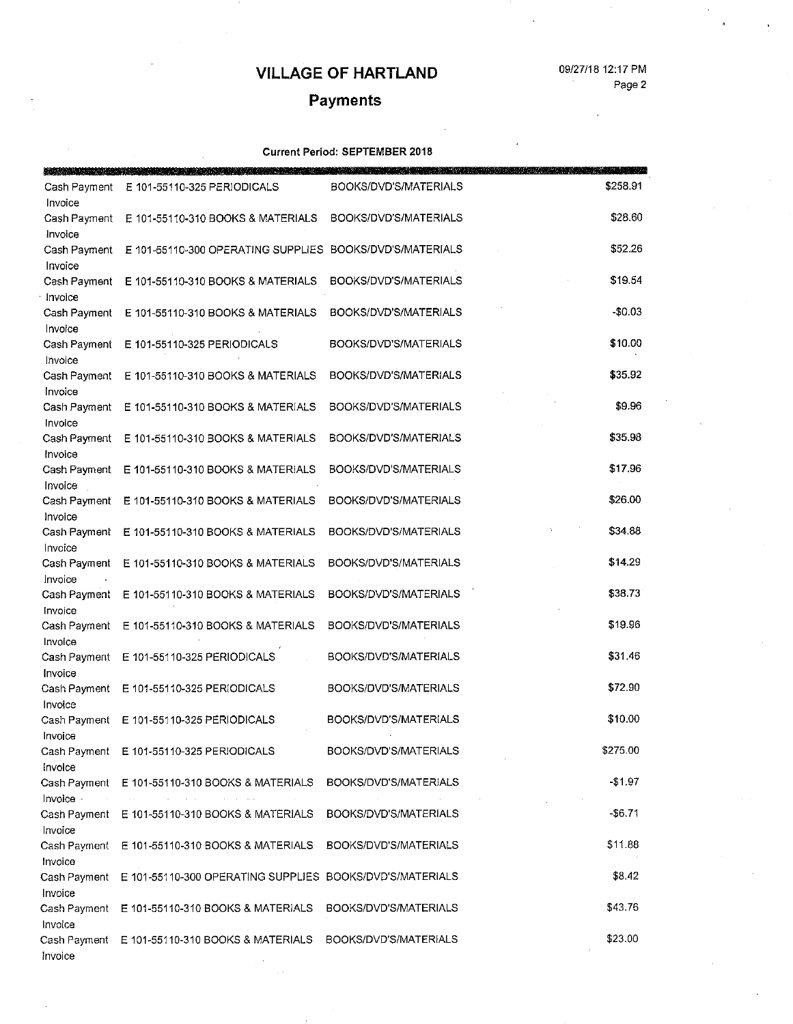#### 09/27/18 12:17 PM Page 2

# Payments

| 아버지와 전 사람들은 유민이 있         |                                                          |                       |          |
|---------------------------|----------------------------------------------------------|-----------------------|----------|
| Cash Payment<br>Invoice   | E 101-55110-325 PERIODICALS                              | BOOKS/DVD'S/MATERIALS | \$258.91 |
| Cash Payment<br>Invoice   | E 101-55110-310 BOOKS & MATERIALS                        | BOOKS/DVD'S/MATERIALS | \$28.60  |
| Cash Payment<br>Invoice   | E 101-55110-300 OPERATING SUPPLIES BOOKS/DVD'S/MATERIALS |                       | \$52.26  |
| Cash Payment<br>Invoice   | E 101-55110-310 BOOKS & MATERIALS                        | BOOKS/DVD'S/MATERIALS | \$19.54  |
| Cash Payment<br>Invoice   | E 101-55110-310 BOOKS & MATERIALS                        | BOOKS/DVD'S/MATERIALS | $-$0.03$ |
| Cash Payment<br>Invoice   | E 101-55110-325 PERIODICALS                              | BOOKS/DVD'S/MATERIALS | \$10.00  |
| Cash Payment<br>Invoice   | E 101-55110-310 BOOKS & MATERIALS                        | BOOKS/DVD'S/MATERIALS | \$35.92  |
| Cash Payment<br>Invoice   | E 101-55110-310 BOOKS & MATERIALS                        | BOOKS/DVD'S/MATERIALS | \$9.96   |
| Cash Payment<br>Invoice   | E 101-55110-310 BOOKS & MATERIALS                        | BOOKS/DVD'S/MATERIALS | \$35.98  |
| Cash Payment<br>Invoice   | E 101-55110-310 BOOKS & MATERIALS                        | BOOKS/DVD'S/MATERIALS | \$17.96  |
| Cash Payment<br>Invoice   | E 101-55110-310 BOOKS & MATERIALS                        | BOOKS/DVD'S/MATERIALS | \$26.00  |
| Cash Payment<br>Invoice   | E 101-55110-310 BOOKS & MATERIALS                        | BOOKS/DVD'S/MATERIALS | \$34.88  |
| Cash Payment<br>Invoice   | E 101-55110-310 BOOKS & MATERIALS                        | BOOKS/DVD'S/MATERIALS | \$14.29  |
| Cash Payment<br>Invoice   | E 101-55110-310 BOOKS & MATERIALS                        | BOOKS/DVD'S/MATERIALS | \$38.73  |
| Cash Payment<br>Invoice   | E 101-55110-310 BOOKS & MATERIALS                        | BOOKS/DVD'S/MATERIALS | \$19.96  |
| Cash Payment<br>Invoice   | E 101-55110-325 PERIODICALS                              | BOOKS/DVD'S/MATERIALS | \$31.46  |
| Cash Payment<br>Invoice   | E 101-55110-325 PERIODICALS                              | BOOKS/DVD'S/MATERIALS | \$72.90  |
| Cash Payment<br>Invoice   | E 101-55110-325 PERIODICALS                              | BOOKS/DVD'S/MATERIALS | \$10.00  |
| Invoice                   | Cash Payment E 101-55110-325 PERIODICALS                 | BOOKS/DVD'S/MATERIALS | \$275.00 |
| Cash Payment<br>Invoice - | E 101-55110-310 BOOKS & MATERIALS                        | BOOKS/DVD'S/MATERIALS | $-$1.97$ |
| Invoice                   | Cash Payment E 101-55110-310 BOOKS & MATERIALS           | BOOKS/DVD'S/MATERIALS | $-$6.71$ |
| Cash Payment<br>Invoice   | E 101-55110-310 BOOKS & MATERIALS                        | BOOKS/DVD'S/MATERIALS | \$11.88  |
| Cash Payment<br>Invoice   | E 101-55110-300 OPERATING SUPPLIES BOOKS/DVD'S/MATERIALS |                       | \$8.42   |
| Cash Payment<br>Invoice   | E 101-55110-310 BOOKS & MATERIALS                        | BOOKS/DVD'S/MATERIALS | \$43.76  |
| Cash Payment<br>Invoice   | E 101-55110-310 BOOKS & MATERIALS                        | BOOKS/DVD'S/MATERIALS | \$23.00  |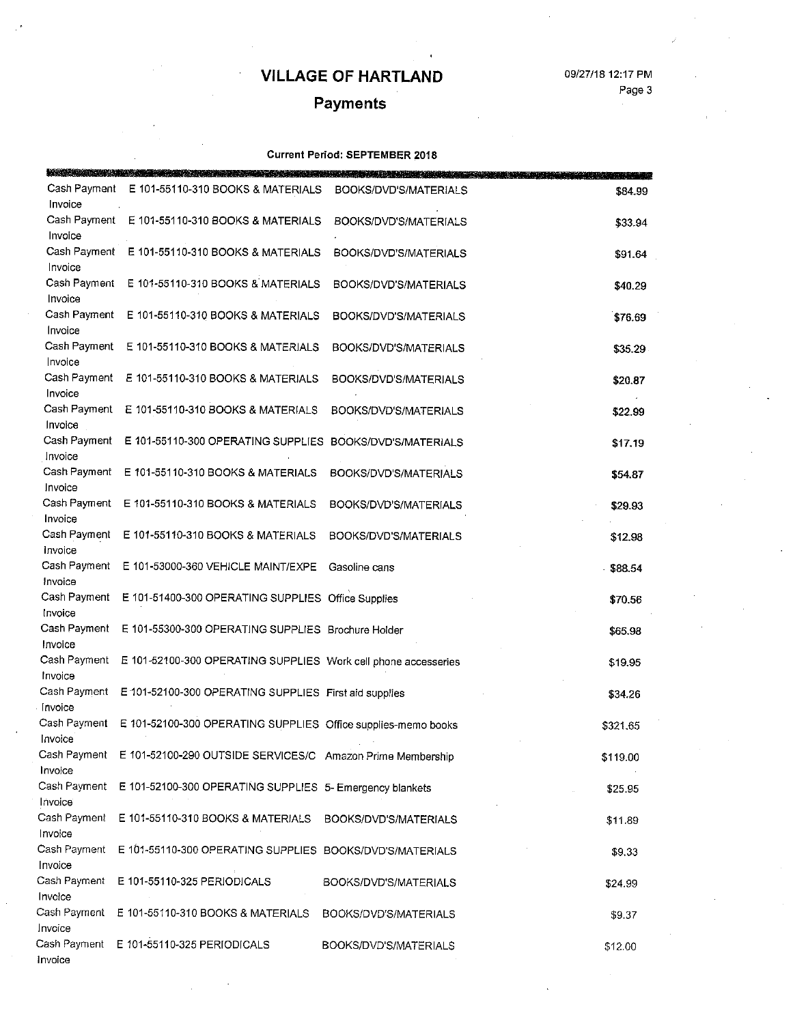09/27/18 12:17 PM

Page 3

# Payments

|                                    | a statistica di chiarica con registra e presenta con la componentata dell'alternativa di chiarica con la compo<br>Il provincia di controlla con la componenta di controlla con la componenta di controlla con la componenta di c |                       |          |
|------------------------------------|----------------------------------------------------------------------------------------------------------------------------------------------------------------------------------------------------------------------------------|-----------------------|----------|
| Cash Payment<br>Invoice            | E 101-55110-310 BOOKS & MATERIALS                                                                                                                                                                                                | BOOKS/DVD'S/MATERIALS | \$84.99  |
| Invoice                            | Cash Payment E 101-55110-310 BOOKS & MATERIALS                                                                                                                                                                                   | BOOKS/DVD'S/MATERIALS | \$33.94  |
|                                    | Cash Payment E 101-55110-310 BOOKS & MATERIALS                                                                                                                                                                                   | BOOKS/DVD'S/MATERIALS | \$91.64  |
| Invoice<br>Cash Payment            | E 101-55110-310 BOOKS & MATERIALS                                                                                                                                                                                                | BOOKS/DVD'S/MATERIALS | \$40.29  |
| Invoice                            | Cash Payment E 101-55110-310 BOOKS & MATERIALS                                                                                                                                                                                   | BOOKS/DVD'S/MATERIALS | \$76.69  |
| Invoice<br>Cash Payment            | E 101-55110-310 BOOKS & MATERIALS                                                                                                                                                                                                | BOOKS/DVD'S/MATERIALS | \$35.29  |
| Invoice<br>Cash Payment            | E 101-55110-310 BOOKS & MATERIALS                                                                                                                                                                                                | BOOKS/DVD'S/MATERIALS | \$20.87  |
| Invoice<br>Cash Payment<br>Invoice | E 101-55110-310 BOOKS & MATERIALS                                                                                                                                                                                                | BOOKS/DVD'S/MATERIALS | \$22.99  |
| Cash Payment<br>Invoice            | E 101-55110-300 OPERATING SUPPLIES BOOKS/DVD'S/MATERIALS                                                                                                                                                                         |                       | \$17.19  |
| Cash Payment<br>Invoice            | E 101-55110-310 BOOKS & MATERIALS                                                                                                                                                                                                | BOOKS/DVD'S/MATERIALS | \$54.87  |
| Cash Payment<br>Invoice            | E 101-55110-310 BOOKS & MATERIALS                                                                                                                                                                                                | BOOKS/DVD'S/MATERIALS | \$29.93  |
| Cash Payment<br>Invoice            | E 101-55110-310 BOOKS & MATERIALS                                                                                                                                                                                                | BOOKS/DVD'S/MATERIALS | \$12.98  |
| Cash Payment<br>Invoice            | E 101-53000-360 VEHICLE MAINT/EXPE                                                                                                                                                                                               | Gasoline cans         | \$88.54  |
| Cash Payment<br>Invoice            | E 101-51400-300 OPERATING SUPPLIES Office Supplies                                                                                                                                                                               |                       | \$70.56  |
| Cash Payment<br>Invoice            | E 101-55300-300 OPERATING SUPPLIES Brochure Holder                                                                                                                                                                               |                       | \$65.98  |
| Cash Payment<br>Invoice            | E 101-52100-300 OPERATING SUPPLIES Work cell phone accesseries                                                                                                                                                                   |                       | \$19.95  |
| Invoice                            | Cash Payment E 101-52100-300 OPERATING SUPPLIES First aid supplies                                                                                                                                                               |                       | \$34.26  |
| Invoice                            | Cash Payment E 101-52100-300 OPERATING SUPPLIES Office supplies-memo books                                                                                                                                                       |                       | \$321.65 |
| Cash Payment<br>Invoice            | E 101-52100-290 OUTSIDE SERVICES/C Amazon Prime Membership                                                                                                                                                                       |                       | \$119.00 |
| Cash Payment<br>Invoice            | E 101-52100-300 OPERATING SUPPLIES 5- Emergency blankets                                                                                                                                                                         |                       | \$25.95  |
| Cash Payment<br>Invoice            | E 101-55110-310 BOOKS & MATERIALS                                                                                                                                                                                                | BOOKS/DVD'S/MATERIALS | \$11.89  |
| Cash Payment<br>Invoice            | E 101-55110-300 OPERATING SUPPLIES BOOKS/DVD'S/MATERIALS                                                                                                                                                                         |                       | \$9.33   |
| Cash Payment<br>Invoice            | E 101-55110-325 PERIODICALS                                                                                                                                                                                                      | BOOKS/DVD'S/MATERIALS | \$24.99  |
| Cash Payment<br>Invoice            | E 101-55110-310 BOOKS & MATERIALS                                                                                                                                                                                                | BOOKS/DVD'S/MATERIALS | \$9.37   |
| Cash Payment<br>Invoice            | E 101-55110-325 PERIODICALS                                                                                                                                                                                                      | BOOKS/DVD'S/MATERIALS | \$12.00  |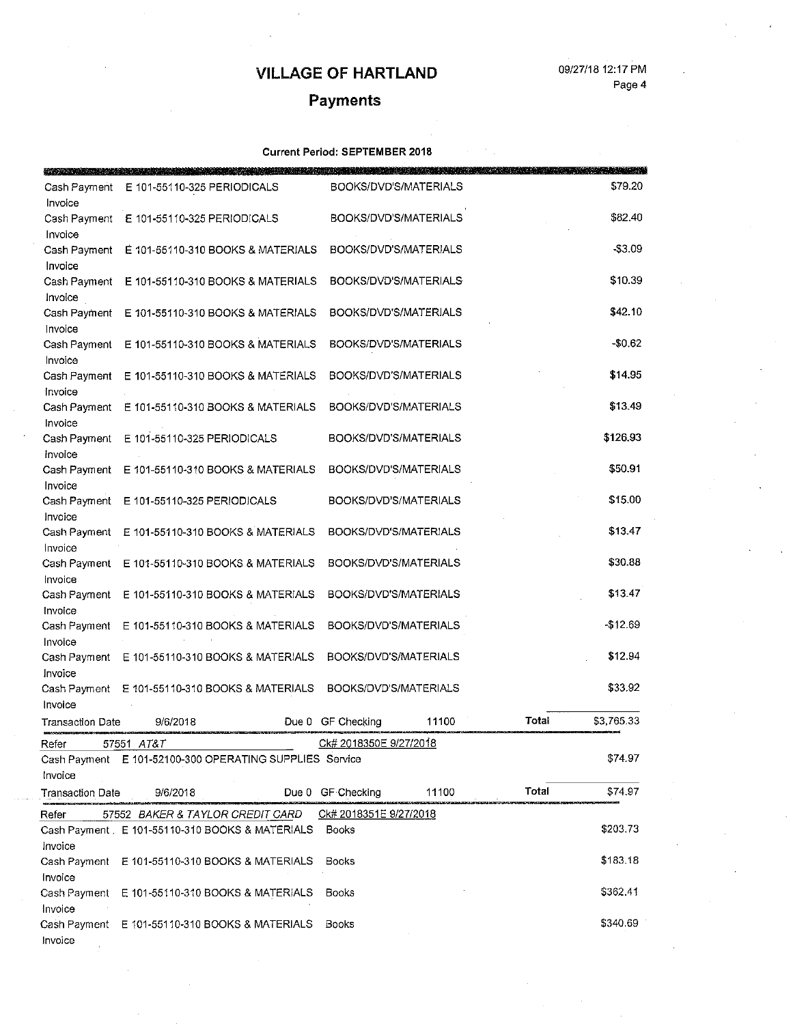#### 09/27/18 12:17 PM Page 4

# Payments

|                         | and the contract of the contract of the contract of the contract of the contract of the contract of |                        |                       |       |            |
|-------------------------|-----------------------------------------------------------------------------------------------------|------------------------|-----------------------|-------|------------|
| Cash Payment            | E 101-55110-325 PERIODICALS                                                                         |                        | BOOKS/DVD'S/MATERIALS |       | \$79.20    |
| Invoice                 |                                                                                                     |                        |                       |       |            |
| Cash Payment            | E 101-55110-325 PERIODICALS                                                                         |                        | BOOKS/DVD'S/MATERIALS |       | \$82.40    |
| Invoice                 |                                                                                                     |                        |                       |       |            |
| Cash Payment            | E 101-55110-310 BOOKS & MATERIALS                                                                   |                        | BOOKS/DVD'S/MATERIALS |       | $- $3.09$  |
| Invoice                 |                                                                                                     |                        |                       |       |            |
| Cash Payment            | E 101-55110-310 BOOKS & MATERIALS                                                                   |                        | BOOKS/DVD'S/MATERIALS |       | \$10.39    |
| Invoice                 |                                                                                                     |                        | BOOKS/DVD'S/MATERIALS |       | \$42.10    |
| Cash Payment<br>Invoice | E 101-55110-310 BOOKS & MATERIALS                                                                   |                        |                       |       |            |
| Cash Payment            | E 101-55110-310 BOOKS & MATERIALS                                                                   |                        | BOOKS/DVD'S/MATERIALS |       | $-50.62$   |
| Invoice                 |                                                                                                     |                        |                       |       |            |
| Cash Payment            | E 101-55110-310 BOOKS & MATERIALS                                                                   |                        | BOOKS/DVD'S/MATERIALS |       | \$14.95    |
| Invoice                 |                                                                                                     |                        |                       |       |            |
| Cash Payment            | E 101-55110-310 BOOKS & MATERIALS                                                                   |                        | BOOKS/DVD'S/MATERIALS |       | \$13.49    |
| Invoice                 |                                                                                                     |                        |                       |       |            |
| Cash Payment            | E 101-55110-325 PERIODICALS                                                                         |                        | BOOKS/DVD'S/MATERIALS |       | \$126.93   |
| Invoice                 |                                                                                                     |                        |                       |       |            |
| Cash Payment            | E 101-55110-310 BOOKS & MATERIALS                                                                   |                        | BOOKS/DVD'S/MATERIALS |       | \$50.91    |
| Invoice                 |                                                                                                     |                        |                       |       |            |
| Cash Payment            | E 101-55110-325 PERIODICALS                                                                         |                        | BOOKS/DVD'S/MATERIALS |       | \$15.00    |
| Invoice                 |                                                                                                     |                        |                       |       |            |
| Cash Payment            | E 101-55410-310 BOOKS & MATERIALS                                                                   |                        | BOOKS/DVD'S/MATERIALS |       | \$13.47    |
| Invoice                 |                                                                                                     |                        |                       |       |            |
|                         | Cash Payment E 101-55110-310 BOOKS & MATERIALS                                                      |                        | BOOKS/DVD'S/MATERIALS |       | \$30.88    |
| Invoice                 |                                                                                                     |                        |                       |       | \$13.47    |
| Cash Payment            | E 101-55110-310 BOOKS & MATERIALS                                                                   |                        | BOOKS/DVD'S/MATERIALS |       |            |
| Invoice                 | Cash Payment E 101-55110-310 BOOKS & MATERIALS                                                      |                        | BOOKS/DVD'S/MATERIALS |       | -\$12.69   |
| Invoice                 |                                                                                                     |                        |                       |       |            |
|                         | Cash Payment E 101-55110-310 BOOKS & MATERIALS                                                      | BOOKS/DVD'S/MATERIALS  |                       |       | \$12.94    |
| Invoice                 |                                                                                                     |                        |                       |       |            |
| Cash Payment            | E 101-55110-310 BOOKS & MATERIALS                                                                   | BOOKS/DVD'S/MATERIALS  |                       |       | \$33.92    |
| Invoice                 |                                                                                                     |                        |                       |       |            |
| <b>Transaction Date</b> | 9/6/2018                                                                                            | Due 0 GF Checking      | 11100                 | Total | \$3,765.33 |
| Refer                   | 57551 AT&T                                                                                          | Ck# 2018350E 9/27/2018 |                       |       |            |
|                         | Cash Payment E 101-52100-300 OPERATING SUPPLIES Service                                             |                        |                       |       | \$74.97    |
| Invoice                 |                                                                                                     |                        |                       |       |            |
| <b>Transaction Date</b> | 9/6/2018                                                                                            | Due 0 GF Checking      | 11100                 | Total | \$74.97    |
|                         |                                                                                                     |                        |                       |       |            |
| Refer                   | 57552 BAKER & TAYLOR CREDIT CARD                                                                    | Ck# 2018351E 9/27/2018 |                       |       |            |
|                         | Cash Payment . E 101-55110-310 BOOKS & MATERIALS                                                    | Books                  |                       |       | \$203.73   |
| Invoice                 |                                                                                                     |                        |                       |       | \$183.18   |
| Invoice                 | Cash Payment E 101-55110-310 BOOKS & MATERIALS                                                      | Books                  |                       |       |            |
|                         | Cash Payment E 101-55110-310 BOOKS & MATERIALS                                                      | Books                  |                       |       | \$362.41   |
| Invoice                 |                                                                                                     |                        |                       |       |            |
|                         | Cash Payment E 101-55110-310 BOOKS & MATERIALS                                                      | Books                  |                       |       | \$340.69   |
| Invoice                 |                                                                                                     |                        |                       |       |            |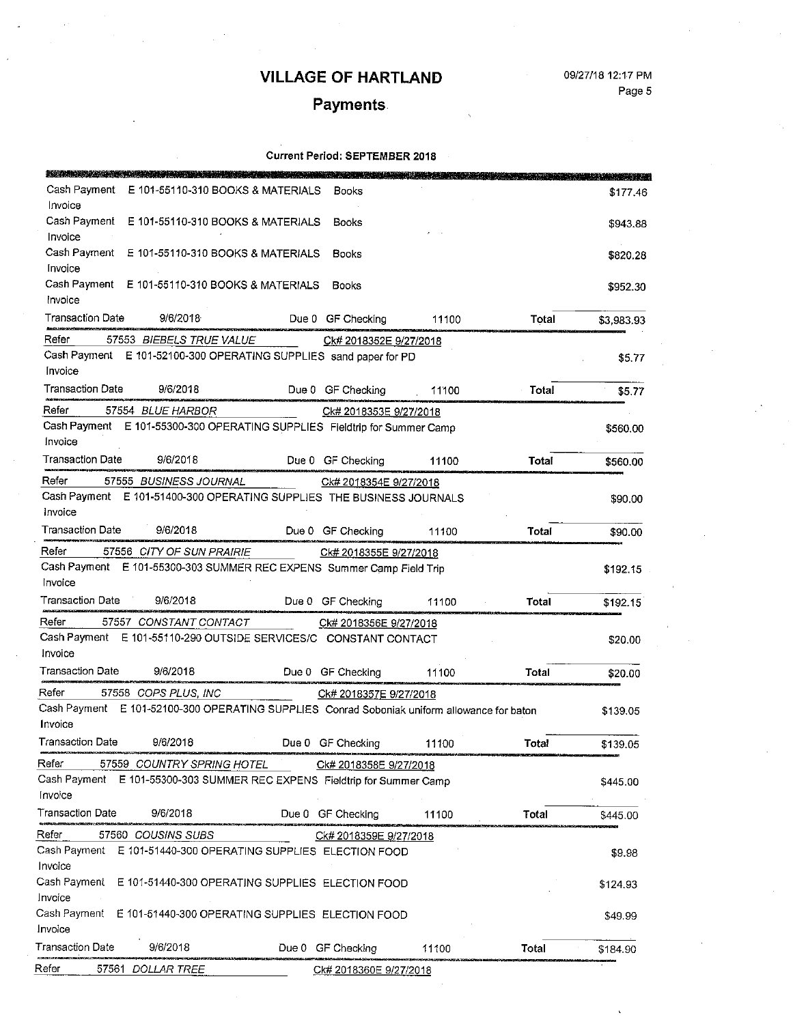09/27/18 12:17 PM

Page 5

# **Payments**

#### **Current Period: SEPTEMBER 2018**

| a bandar da basar da bandar da basar da bandar da basar da bandar da basar da bandar da basar da ba    |                                                      |                        |       |       |            |
|--------------------------------------------------------------------------------------------------------|------------------------------------------------------|------------------------|-------|-------|------------|
| Cash Payment<br>Invoice                                                                                | E 101-55110-310 BOOKS & MATERIALS                    | Books                  |       |       | \$177.46   |
| Cash Payment                                                                                           | E 101-55110-310 BOOKS & MATERIALS                    | Books                  |       |       | \$943.88   |
| Invoice<br>Cash Payment E 101-55110-310 BOOKS & MATERIALS                                              |                                                      | Books                  |       |       | \$820.28   |
| Invoice<br>Cash Payment E 101-55110-310 BOOKS & MATERIALS                                              |                                                      | Books                  |       |       | \$952.30   |
| Invoice                                                                                                |                                                      |                        |       |       |            |
| Transaction Date<br>9/6/2018                                                                           |                                                      | Due 0 GF Checking      | 11100 | Total | \$3,983.93 |
| Refer<br>57553 BIEBELS TRUE VALUE                                                                      |                                                      | Ck# 2018352E 9/27/2018 |       |       |            |
| Cash Payment<br>Invoice                                                                                | E 101-52100-300 OPERATING SUPPLIES sand paper for PD |                        |       |       | \$5.77     |
| Transaction Date<br>9/6/2018                                                                           |                                                      | Due 0 GF Checking      | 11100 | Total | \$5.77     |
| Refer<br>57554 BLUE HARBOR                                                                             |                                                      | Ck# 2018353E 9/27/2018 |       |       |            |
| Cash Payment E 101-55300-300 OPERATING SUPPLIES Fieldtrip for Summer Camp                              |                                                      |                        |       |       | 5560.00    |
| Invoice                                                                                                |                                                      |                        |       |       |            |
| Transaction Date<br>9/6/2018                                                                           |                                                      | Due 0 GF Checking      | 11100 | Total | \$560.00   |
| Refer<br>57555 BUSINESS JOURNAL                                                                        |                                                      | Ck# 2018354E 9/27/2018 |       |       |            |
| Cash Payment E 101-51400-300 OPERATING SUPPLIES THE BUSINESS JOURNALS                                  |                                                      |                        |       |       | \$90.00    |
| Invoice<br><b>Transaction Date</b>                                                                     |                                                      |                        |       |       |            |
| 9/6/2018                                                                                               |                                                      | Due 0 GF Checking      | 11100 | Total | \$90.00    |
| Refer<br>57556 CITY OF SUN PRAIRIE                                                                     |                                                      | Ck# 2018355E 9/27/2018 |       |       |            |
| Cash Payment E 101-55300-303 SUMMER REC EXPENS Summer Camp Field Trip<br>Invoice                       |                                                      |                        |       |       | \$192.15   |
| Transaction Date<br>9/6/2018                                                                           |                                                      | Due 0 GF Checking      | 11100 | Total | \$192.15   |
| Refer<br>57557 CONSTANT CONTACT                                                                        |                                                      | Ck# 2018356E 9/27/2018 |       |       |            |
| Cash Payment E 101-55110-290 OUTSIDE SERVICES/C CONSTANT CONTACT<br>Invoice                            |                                                      |                        |       |       | \$20.00    |
| Transaction Date<br>9/6/2018                                                                           |                                                      | Due 0 GF Checking      | 11100 | Total | \$20.00    |
| Refer<br>57558 COPS PLUS, INC                                                                          |                                                      | Ck# 2018357E 9/27/2018 |       |       |            |
| Cash Payment E 101-52100-300 OPERATING SUPPLIES Conrad Soboniak uniform allowance for baton<br>Invoice |                                                      |                        |       |       | \$139.05   |
| Transaction Date<br>9/6/2018                                                                           |                                                      | Due 0 GF Checking      | 11100 | Total | \$139.05   |
| Refer<br>57559 COUNTRY SPRING HOTEL                                                                    |                                                      | Ck# 2018358E 9/27/2018 |       |       |            |
| Cash Payment E 101-55300-303 SUMMER REC EXPENS Fieldtrip for Summer Camp<br>Invoice                    |                                                      |                        |       |       | \$445.00   |
| Transaction Date<br>9/6/2018                                                                           |                                                      | Due 0 GF Checking      | 11100 | Total | \$445.00   |
| Refer<br>57560 COUSINS SUBS                                                                            |                                                      | Ck# 2018359E 9/27/2018 |       |       |            |
| Cash Payment E 101-51440-300 OPERATING SUPPLIES ELECTION FOOD                                          |                                                      |                        |       |       | \$9.98     |
| Invoice                                                                                                |                                                      |                        |       |       |            |
| Cash Payment E 101-51440-300 OPERATING SUPPLIES ELECTION FOOD<br>Invoice                               |                                                      |                        |       |       | \$124.93   |
| Cash Payment E 101-51440-300 OPERATING SUPPLIES ELECTION FOOD                                          |                                                      |                        |       |       | \$49.99    |
| Invoice<br>Fransaction Date<br>9/6/2018                                                                |                                                      | Due 0 GF Checking      | 11100 | Total | \$184.90   |
| रेefer ।<br>57561 DOLLAR TREE                                                                          |                                                      | Ck# 2018360F 9/27/2018 |       |       |            |
|                                                                                                        |                                                      |                        |       |       |            |

J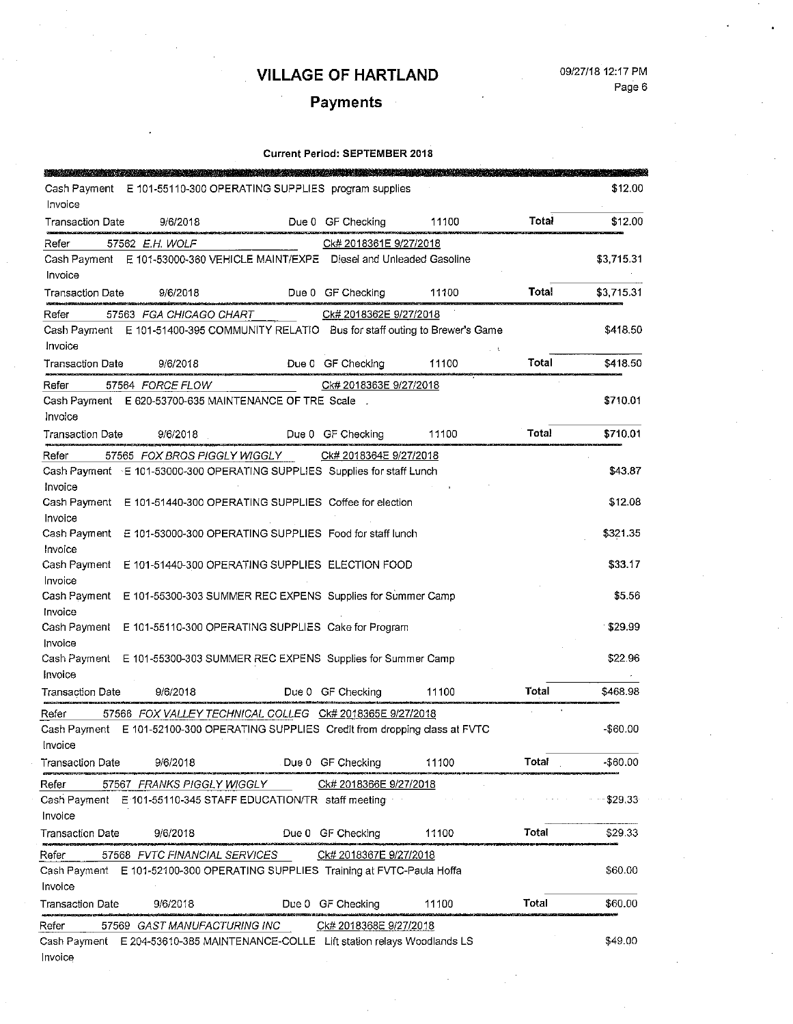i.

#### 09/27/18 12:17 PM Page 6

# Payments

| <b>TANK OF STANDARD</b> |                                                                                      |                        |       |       |            |
|-------------------------|--------------------------------------------------------------------------------------|------------------------|-------|-------|------------|
| Cash Payment<br>Invoice | E 101-55110-300 OPERATING SUPPLIES program supplies                                  |                        |       |       | \$12.00    |
| <b>Transaction Date</b> | 9/6/2018                                                                             | Due 0 GF Checking      | 11100 | Total | \$12.00    |
| Refer                   | 57562 E.H. WOLF                                                                      | Ck# 2018361E 9/27/2018 |       |       |            |
|                         | Cash Payment E 101-53000-360 VEHICLE MAINT/EXPE Diesel and Unleaded Gasoline         |                        |       |       | \$3,715.31 |
| Invoice                 |                                                                                      |                        |       |       |            |
| Transaction Date        | 9/6/2018                                                                             | Due 0 GF Checking      | 11100 | Total | \$3,715.31 |
| Refer                   | 57563 FGA CHICAGO CHART                                                              | Ck# 2018362E 9/27/2018 |       |       |            |
|                         | Cash Payment E 101-51400-395 COMMUNITY RELATIO Bus for staff outing to Brewer's Game |                        |       |       | \$418.50   |
| Invoice                 |                                                                                      |                        |       |       |            |
| Transaction Date        | 9/6/2018                                                                             | Due 0 GF Checking      | 11100 | Total | \$418.50   |
| Refer                   | 57564 FORCE FLOW                                                                     | Ck# 2018363E 9/27/2018 |       |       |            |
| Cash Payment            | E 620-53700-635 MAINTENANCE OF TRE Scale                                             |                        |       |       | \$710.01   |
| Invoice                 |                                                                                      |                        |       |       |            |
| <b>Transaction Date</b> | 9/6/2018                                                                             | Due 0 GF Checking      | 11100 | Total | \$710.01   |
| Refer                   | 57565 FOX BROS PIGGLY WIGGLY                                                         | Ck# 2018364E 9/27/2018 |       |       |            |
|                         | Cash Payment E 101-53000-300 OPERATING SUPPLIES Supplies for staff Lunch             |                        |       |       | \$43.87    |
| Invoice                 |                                                                                      |                        |       |       |            |
|                         | Cash Payment E 101-51440-300 OPERATING SUPPLIES Coffee for election                  |                        |       |       | \$12.08    |
| Invoice                 |                                                                                      |                        |       |       | \$321.35   |
| Cash Payment<br>Invoice | E 101-53000-300 OPERATING SUPPLIES Food for staff lunch                              |                        |       |       |            |
| Cash Payment            | E 101-51440-300 OPERATING SUPPLIES ELECTION FOOD                                     |                        |       |       | \$33.17    |
| Invoice                 |                                                                                      |                        |       |       |            |
| Cash Payment            | E 101-55300-303 SUMMER REC EXPENS Supplies for Summer Camp                           |                        |       |       | \$5.56     |
| Invoice                 |                                                                                      |                        |       |       |            |
| Cash Payment<br>Invoice | E 101-55110-300 OPERATING SUPPLIES Cake for Program                                  |                        |       |       | \$29.99    |
|                         | Cash Payment E 101-55300-303 SUMMER REC EXPENS Supplies for Summer Camp              |                        |       |       | \$22.96    |
| Invoice                 |                                                                                      |                        |       |       |            |
| <b>Transaction Date</b> | 9/6/2018                                                                             | Due 0 GF Checking      | 11100 | Total | \$468.98   |
| Refer                   | 57566 FOX VALLEY TECHNICAL COLLEG Ck# 2018365E 9/27/2018                             |                        |       |       |            |
| Cash Payment            | E 101-52100-300 OPERATING SUPPLIES Credit from dropping class at FVTC                |                        |       |       | -\$60.00   |
| Invoice                 |                                                                                      |                        |       |       |            |
| <b>Transaction Date</b> | 9/6/2018                                                                             | Due 0 GF Checking      | 11100 | Total | -\$60.00   |
| Refer                   | 57567 FRANKS PIGGLY WIGGLY                                                           | Ck# 2018366E 9/27/2018 |       |       |            |
|                         | Cash Payment E 101-55110-345 STAFF EDUCATION/TR staff meeting                        |                        |       |       | \$29.33    |
| Invoice                 |                                                                                      |                        |       |       |            |
| Transaction Date        | 9/6/2018                                                                             | Due 0 GF Checking      | 11100 | Total | \$29.33    |
| Refer                   | 57568 FVTC FINANCIAL SERVICES                                                        | Ck# 2018367E 9/27/2018 |       |       |            |
|                         | Cash Payment E 101-52100-300 OPERATING SUPPLIES Training at FVTC-Paula Hoffa         |                        |       |       | \$60.00    |
| Invoice                 |                                                                                      |                        |       |       |            |
| Transaction Date        | 9/6/2018                                                                             | Due 0 GF Checking      | 11100 | Total | \$60.00    |
| Refer                   | 57569 GAST MANUFACTURING INC                                                         | Ck# 2018368E 9/27/2018 |       |       |            |
| Cash Payment            | E 204-53610-385 MAINTENANCE-COLLE Lift station relays Woodlands LS                   |                        |       |       | \$49.00    |
| Invoice                 |                                                                                      |                        |       |       |            |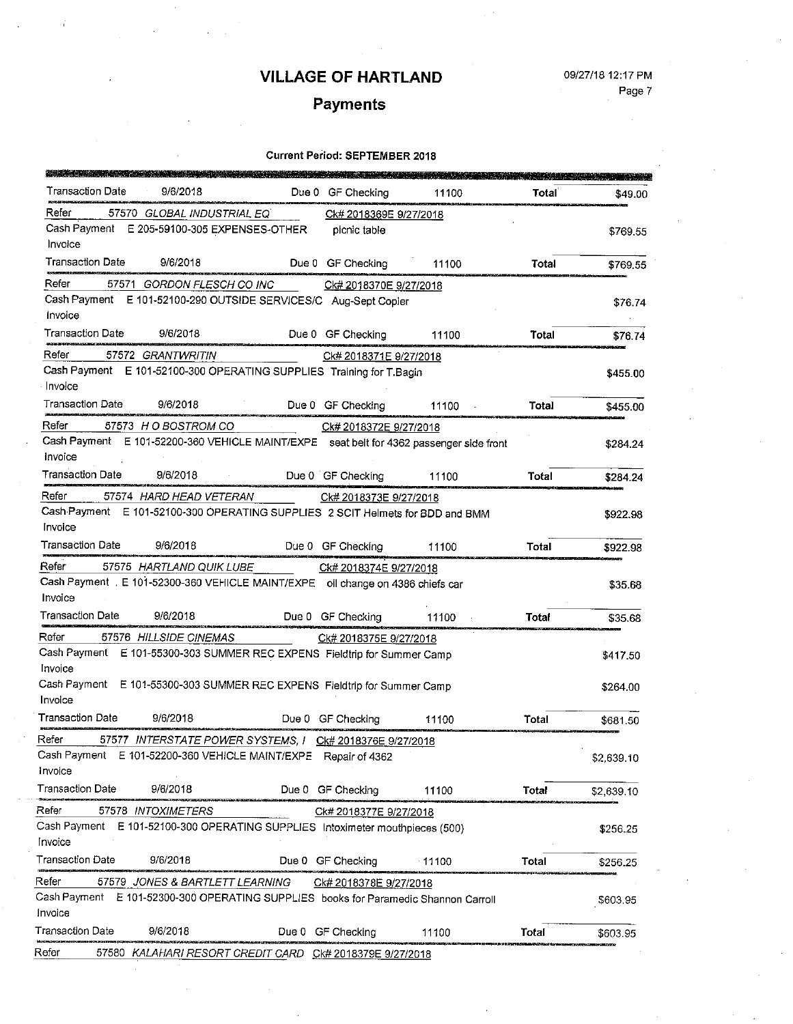### 09/27/18 12:17 PM Page 7

# Payments

| Transaction Date<br>9/6/2018                                                            | Due 0 GF Checking      | 11100    | Total | \$49.00    |
|-----------------------------------------------------------------------------------------|------------------------|----------|-------|------------|
| Refer<br>57570 GLOBAL INDUSTRIAL EQ                                                     | Ck# 2018369E 9/27/2018 |          |       |            |
| Cash Payment E 205-59100-305 EXPENSES-OTHER<br>Invoice                                  | picnic table           |          |       | \$769.55   |
| <b>Transaction Date</b><br>9/6/2018                                                     | Due 0 GF Checking      | 11100    | Total | \$769.55   |
| Refer<br>57571 GORDON FLESCH CO INC                                                     | Ck# 2018370E 9/27/2018 |          |       |            |
| Cash Payment E 101-52100-290 OUTSIDE SERVICES/C Aug-Sept Copier                         |                        |          |       | \$76.74    |
| Invoice                                                                                 |                        |          |       |            |
| Transaction Date<br>9/6/2018                                                            | Due 0 GF Checking      | 11100    | Total | \$76.74    |
| Refer<br>57572 GRANTWRITIN                                                              | Ck# 2018371E 9/27/2018 |          |       |            |
| Cash Payment E 101-52100-300 OPERATING SUPPLIES Training for T.Bagin<br>Invoice         |                        |          |       | \$455.00   |
| Transaction Date<br>9/6/2018                                                            | Due 0 GF Checking      | 11100    | Total | \$455.00   |
| Refer<br>57573 H O BOSTROM CO                                                           | Ck# 2018372E 9/27/2018 |          |       |            |
| Cash Payment E 101-52200-360 VEHICLE MAINT/EXPE seat belt for 4362 passenger side front |                        |          |       | \$284.24   |
| Invoice                                                                                 |                        |          |       |            |
| <b>Transaction Date</b><br>9/6/2018                                                     | Due 0 GF Checking      | 11100    | Total | \$284.24   |
| Refer<br>57574 HARD HEAD VETERAN                                                        | Ck# 2018373E 9/27/2018 |          |       |            |
| Cash Payment E 101-52100-300 OPERATING SUPPLIES 2 SCIT Helmets for BDD and BMM          |                        |          |       | \$922.98   |
| Invoice                                                                                 |                        |          |       |            |
| Transaction Date<br>9/6/2018                                                            | Due 0 GF Checking      | 11100    | Total | \$922.98   |
| Refer<br>57575 HARTLAND QUIK LUBE                                                       | Ck# 2018374E 9/27/2018 |          |       |            |
| Cash Payment E 101-52300-360 VEHICLE MAINT/EXPE oil change on 4386 chiefs car           |                        |          |       | \$35.68    |
| Invoice                                                                                 |                        |          |       |            |
| <b>Transaction Date</b><br>9/6/2018                                                     | Due 0 GF Checking      | 11100    | Total | \$35.68    |
| Refer<br>57576 HILLSIDE CINEMAS                                                         | Ck# 2018375E 9/27/2018 |          |       |            |
| Cash Payment E 101-55300-303 SUMMER REC EXPENS Fieldtrip for Summer Camp<br>Invoice     |                        |          |       | \$417.50   |
| Cash Payment E 101-55300-303 SUMMER REC EXPENS Fieldtrip for Summer Camp                |                        |          |       | \$264.00   |
| Invoice                                                                                 |                        |          |       |            |
| Transaction Date<br>9/6/2018                                                            | Due 0 GF Checking      | 11100    | Total | \$681.50   |
| Refer<br>57577 INTERSTATE POWER SYSTEMS, I CK# 2018376E 9/27/2018                       |                        |          |       |            |
| Cash Payment E 101-52200-360 VEHICLE MAINT/EXPE Repair of 4362                          |                        |          |       | \$2,639.10 |
| Invoice                                                                                 |                        |          |       |            |
| Transaction Date<br>9/6/2018                                                            | Due 0 GF Checking      | 11100    | Total | \$2,639.10 |
| Refer<br>57578 INTOXIMETERS                                                             | Ck# 2018377E 9/27/2018 |          |       |            |
| Cash Payment E 101-52100-300 OPERATING SUPPLIES Intoximeter mouthpieces (500)           |                        |          |       | \$256.25   |
| Invoice                                                                                 |                        |          |       |            |
| Transaction Date<br>9/6/2018                                                            | Due 0 GF Checking      | $-11100$ | Total | \$256.25   |
| Refer<br>57579 JONES & BARTLETT LEARNING                                                | Ck# 2018378E 9/27/2018 |          |       |            |
| Cash Payment E 101-52300-300 OPERATING SUPPLIES books for Paramedic Shannon Carroll     |                        |          |       | \$603.95   |
| Invoice<br>Fransaction Date<br>9/6/2018                                                 |                        |          |       |            |
|                                                                                         | Due 0 GF Checking      | 11100    | Total | \$603.95   |
| Refer<br>57580 KALAHARI RESORT CREDIT CARD CK# 2018379E 9/27/2018                       |                        |          |       |            |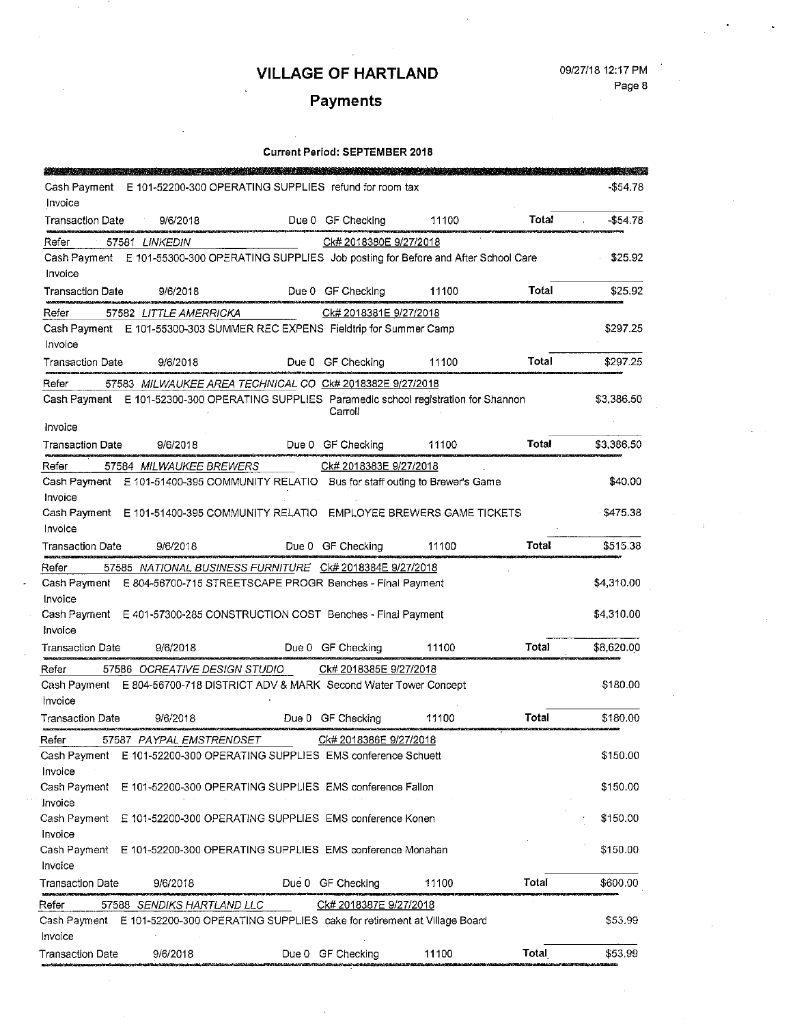# Payments

| <b>CONTRACTOR</b>       |                                                                             |       |                        |                                                                                              |              |            |
|-------------------------|-----------------------------------------------------------------------------|-------|------------------------|----------------------------------------------------------------------------------------------|--------------|------------|
| Cash Payment            | E 101-52200-300 OPERATING SUPPLIES refund for room tax                      |       |                        |                                                                                              |              | \$54.78    |
| Invoice                 |                                                                             |       |                        |                                                                                              |              |            |
| <b>Transaction Date</b> | 9/6/2018                                                                    |       | Due 0 GF Checking      | 11100                                                                                        | Total        | \$54.78    |
| Refer                   | 57581 LINKEDIN                                                              |       | Ck# 2018380E 9/27/2018 |                                                                                              |              |            |
|                         |                                                                             |       |                        | Cash Payment E 101-55300-300 OPERATING SUPPLIES Job posting for Before and After School Care |              | \$25.92    |
| Invoice                 |                                                                             |       |                        |                                                                                              |              |            |
| Transaction Date        | 9/6/2018                                                                    |       | Due 0 GF Checking      | 11100                                                                                        | Total        | \$25.92    |
| Refer                   | 57582 LITTLE AMERRICKA                                                      |       | Ck# 2018381E 9/27/2018 |                                                                                              |              |            |
|                         | Cash Payment E 101-55300-303 SUMMER REC EXPENS Fieldtrip for Summer Camp    |       |                        |                                                                                              |              | \$297.25   |
| Invoice                 |                                                                             |       |                        |                                                                                              |              |            |
| Transaction Date        | 9/6/2018                                                                    |       | Due 0 GF Checking      | 11100                                                                                        | Total        | \$297.25   |
| Refer                   | 57583 MILWAUKEE AREA TECHNICAL CO CK# 2018382E 9/27/2018                    |       |                        |                                                                                              |              |            |
|                         |                                                                             |       | Carroll                | Cash Payment E 101-52300-300 OPERATING SUPPLIES Paramedic school registration for Shannon    |              | \$3,386.50 |
| Invoice                 |                                                                             |       |                        |                                                                                              |              |            |
| Transaction Date        | 9/6/2018                                                                    |       | Due 0 GF Checking      | 11100                                                                                        | <b>Total</b> | \$3,386.50 |
| Refer                   | 57584 MILWAUKEE BREWERS                                                     |       | Ck# 2018383E 9/27/2018 |                                                                                              |              |            |
|                         |                                                                             |       |                        | Cash Payment E 101-51400-395 COMMUNITY RELATIO Bus for staff outing to Brewer's Game         |              | \$40.00    |
| Invoice                 |                                                                             |       |                        |                                                                                              |              |            |
| Cash Payment            |                                                                             |       |                        | E 101-51400-395 COMMUNITY RELATIO EMPLOYEE BREWERS GAME TICKETS                              |              | \$475.38   |
| Invoice                 |                                                                             |       |                        |                                                                                              |              |            |
| <b>Transaction Date</b> | 9/6/2018                                                                    |       | Due 0 GF Checking      | 11100                                                                                        | Total        | \$515.38   |
| Refer                   | 57585 NATIONAL BUSINESS FURNITURE CK# 2018384E 9/27/2018                    |       |                        |                                                                                              |              |            |
| Cash Payment<br>Invoice | E 804-56700-715 STREETSCAPE PROGR Benches - Final Payment                   |       |                        |                                                                                              |              | \$4,310.00 |
|                         | Cash Payment E 401-57300-285 CONSTRUCTION COST Benches - Final Payment      |       |                        |                                                                                              |              | \$4,310.00 |
| Invoice                 |                                                                             |       |                        |                                                                                              |              |            |
| <b>Transaction Date</b> | 9/6/2018                                                                    |       | Due 0 GF Checking      | 11100                                                                                        | Total        | \$8,620.00 |
| Refer                   | 57586 OCREATIVE DESIGN STUDIO                                               |       | Ck# 2018385E 9/27/2018 |                                                                                              |              |            |
|                         | Cash Payment E 804-56700-718 DISTRICT ADV & MARK Second Water Tower Concept |       |                        |                                                                                              |              | \$180.00   |
| Invoice                 |                                                                             |       |                        |                                                                                              |              |            |
| Transaction Date        | 9/6/2018                                                                    |       | Due 0 GF Checking      | 11100                                                                                        | Total        | \$180.00   |
| Refer                   | 57587  PAYPAL EMSTRENDSET                                                   |       | Ck# 2018386E 9/27/2018 |                                                                                              |              |            |
| Cash Payment            | E 101-52200-300 OPERATING SUPPLIES EMS conference Schuett                   |       |                        |                                                                                              |              | \$150.00   |
| Invoice                 |                                                                             |       |                        |                                                                                              |              |            |
| Cash Payment            | E 101-52200-300 OPERATING SUPPLIES EMS conference Fallon                    |       |                        |                                                                                              |              | \$150.00   |
| Invoice<br>Cash Payment |                                                                             |       |                        |                                                                                              |              |            |
| Invoice                 | E 101-52200-300 OPERATING SUPPLIES EMS conference Konen                     |       |                        |                                                                                              |              | \$150.00   |
| Cash Payment            | E 101-52200-300 OPERATING SUPPLIES EMS conference Monahan                   |       |                        |                                                                                              |              | \$150.00   |
| Invoice                 |                                                                             |       |                        |                                                                                              |              |            |
| <b>Transaction Date</b> | 9/6/2018                                                                    | Due 0 | GF Checking            | 11100                                                                                        | Total        | \$600.00   |
| Refer                   | 57588 SENDIKS HARTLAND LLC                                                  |       | Ck# 2018387E 9/27/2018 |                                                                                              |              |            |
| Cash Payment<br>Invoice | E 101-52200-300 OPERATING SUPPLIES cake for retirement at Village Board     |       |                        |                                                                                              |              | \$53.99    |
| <b>Transaction Date</b> | 9/6/2018                                                                    |       | Due 0 GF Checking      | 11100                                                                                        | Total        | \$53.99    |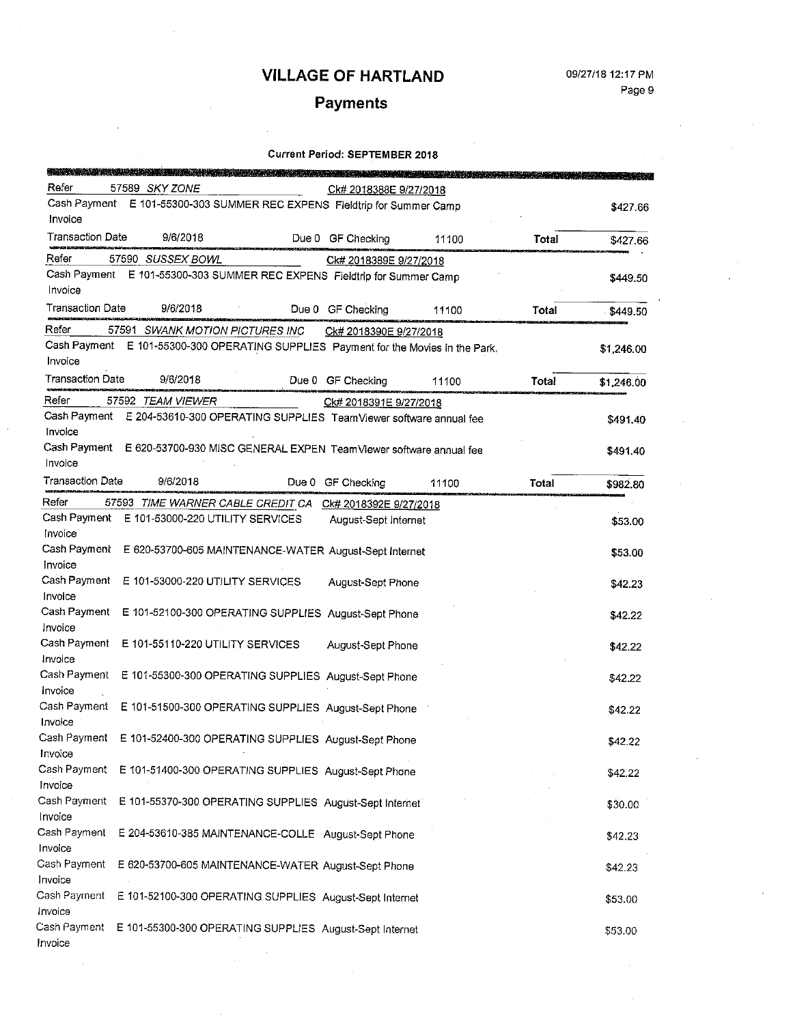# **Payments**

| <b>SALE TO BE A STATE OF</b><br>Refer | 57589 SKY ZONE                                                                 |       | Ck# 2018388E 9/27/2018 |       |       |            |
|---------------------------------------|--------------------------------------------------------------------------------|-------|------------------------|-------|-------|------------|
|                                       | Cash Payment E 101-55300-303 SUMMER REC EXPENS Fieldtrip for Summer Camp       |       |                        |       |       | \$427.66   |
| Invoice                               |                                                                                |       |                        |       |       |            |
| <b>Transaction Date</b>               | 9/6/2018                                                                       |       | Due 0 GF Checking      | 11100 | Total | \$427.66   |
| Refer                                 | 57590 SUSSEX BOWL                                                              |       | Ck# 2018389E 9/27/2018 |       |       |            |
|                                       | Cash Payment E 101-55300-303 SUMMER REC EXPENS Fieldtrip for Summer Camp       |       |                        |       |       | \$449.50   |
| Invoice                               |                                                                                |       |                        |       |       |            |
| <b>Transaction Date</b>               | 9/6/2018                                                                       |       | Due 0 GF Checking      | 11100 | Total | \$449.50   |
| Refer                                 | 57591 SWANK MOTION PICTURES INC                                                |       | Ck# 2018390E 9/27/2018 |       |       |            |
| Cash Payment                          | E 101-55300-300 OPERATING SUPPLIES Payment for the Movies in the Park.         |       |                        |       |       | \$1,246.00 |
| Invoice                               |                                                                                |       |                        |       |       |            |
| <b>Transaction Date</b>               | 9/6/2018                                                                       |       | Due 0 GF Checking      | 11100 | Total | \$1,246.00 |
| Refer                                 | 57592 TEAM VIEWER                                                              |       | Ck# 2018391E 9/27/2018 |       |       |            |
|                                       | Cash Payment E 204-53610-300 OPERATING SUPPLIES TeamViewer software annual fee |       |                        |       |       | \$491.40   |
| Invoice                               |                                                                                |       |                        |       |       |            |
|                                       | Cash Payment E 620-53700-930 MISC GENERAL EXPEN TeamViewer software annual fee |       |                        |       |       | \$491.40   |
| Invoice                               |                                                                                |       |                        |       |       |            |
| <b>Transaction Date</b>               | 9/6/2018                                                                       | Due 0 | GF Checking            | 11100 | Total | \$982.80   |
| Refer                                 | 57593 TIME WARNER CABLE CREDIT CA                                              |       | Ck# 2018392E 9/27/2018 |       |       |            |
| Cash Payment                          | E 101-53000-220 UTILITY SERVICES                                               |       | August-Sept Internet   |       |       | \$53.00    |
| Invoice                               |                                                                                |       |                        |       |       |            |
| Cash Payment                          | E 620-53700-605 MAINTENANCE-WATER August-Sept Internet                         |       |                        |       |       | \$53.00    |
| Invoice                               |                                                                                |       |                        |       |       |            |
| Cash Payment                          | E 101-53000-220 UTILITY SERVICES                                               |       | August-Sept Phone      |       |       | \$42.23    |
| Invoice                               |                                                                                |       |                        |       |       |            |
| Cash Payment<br>Invoice               | E 101-52100-300 OPERATING SUPPLIES August-Sept Phone                           |       |                        |       |       | \$42.22    |
| Cash Payment                          | E 101-55110-220 UTILITY SERVICES                                               |       |                        |       |       |            |
| Invoice                               |                                                                                |       | August-Sept Phone      |       |       | \$42.22    |
| Cash Payment                          | E 101-55300-300 OPERATING SUPPLIES August-Sept Phone                           |       |                        |       |       |            |
| Invoice                               |                                                                                |       |                        |       |       | \$42.22    |
| Cash Payment                          | E 101-51500-300 OPERATING SUPPLIES August-Sept Phone                           |       |                        |       |       | \$42.22    |
| Invoice                               |                                                                                |       |                        |       |       |            |
|                                       | Cash Payment E 101-52400-300 OPERATING SUPPLIES August-Sept Phone              |       |                        |       |       | \$42.22    |
| Invoice                               |                                                                                |       |                        |       |       |            |
| Cash Payment                          | E 101-51400-300 OPERATING SUPPLIES August-Sept Phone                           |       |                        |       |       | \$42.22    |
| Invoice                               |                                                                                |       |                        |       |       |            |
| Cash Payment                          | E 101-55370-300 OPERATING SUPPLIES August-Sept Internet                        |       |                        |       |       | \$30.00    |
| Invoice                               |                                                                                |       |                        |       |       |            |
| Cash Payment                          | E 204-53610-385 MAINTENANCE-COLLE August-Sept Phone                            |       |                        |       |       | \$42.23    |
| Invoice                               |                                                                                |       |                        |       |       |            |
| Cash Payment                          | E 620-53700-605 MAINTENANCE-WATER August-Sept Phone                            |       |                        |       |       | \$42.23    |
| Invoice<br>Cash Payment               |                                                                                |       |                        |       |       |            |
| Invoice                               | E 101-52100-300 OPERATING SUPPLIES August-Sept Internet                        |       |                        |       |       | \$53.00    |
| Cash Payment                          | E 101-55300-300 OPERATING SUPPLIES August-Sept Internet                        |       |                        |       |       |            |
| Invoice                               |                                                                                |       |                        |       |       | \$53.00    |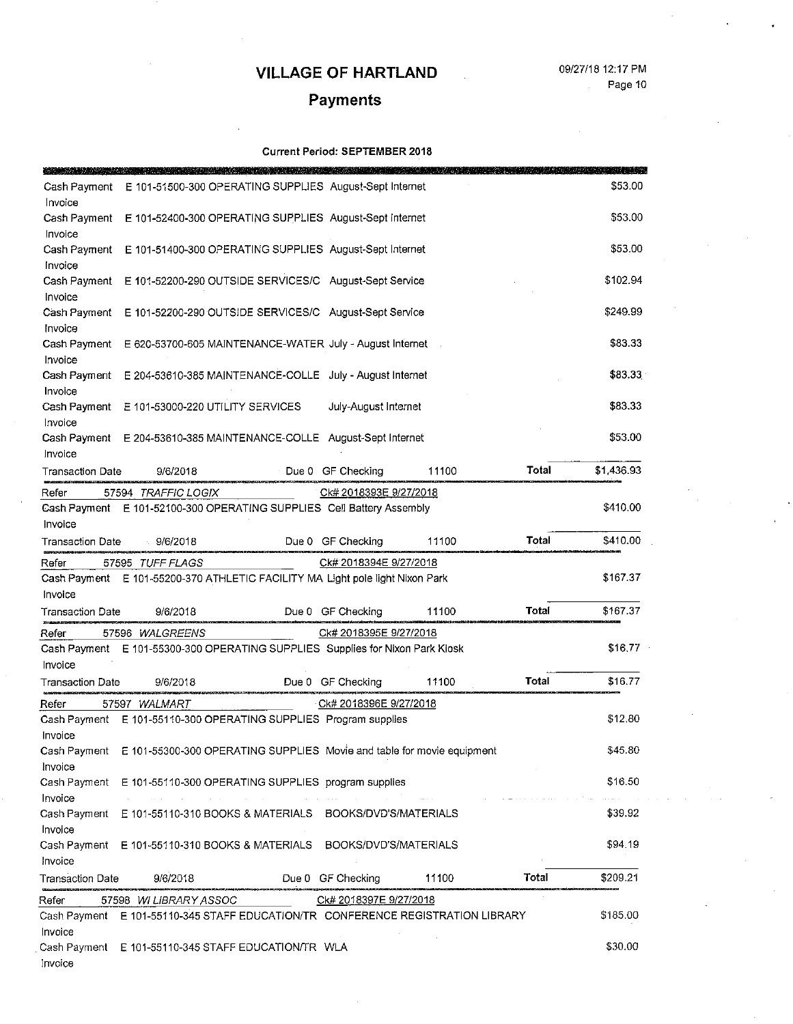#### 09/27/18 12:17 PM Page 10

# Payments

| Cash Payment                       | E 101-51500-300 OPERATING SUPPLIES August-Sept Internet                         |       |                        |       |              | \$53.00    |
|------------------------------------|---------------------------------------------------------------------------------|-------|------------------------|-------|--------------|------------|
| Invoice<br>Cash Payment            | E 101-52400-300 OPERATING SUPPLIES August-Sept internet                         |       |                        |       |              | \$53.00    |
| Invoice<br>Cash Payment            | E 101-51400-300 OPERATING SUPPLIES August-Sept Internet                         |       |                        |       |              | \$53.00    |
| Invoice<br>Cash Payment            | E 101-52200-290 OUTSIDE SERVICES/C August-Sept Service                          |       |                        |       |              | \$102.94   |
| Invoice<br>Cash Payment            | E 101-52200-290 OUTSIDE SERVICES/C August-Sept Service                          |       |                        |       |              | \$249.99   |
| Invoice<br>Cash Payment            | E 620-53700-605 MAINTENANCE-WATER July - August Internet                        |       |                        |       |              | \$83.33    |
| Invoice                            |                                                                                 |       |                        |       |              |            |
| Cash Payment<br>Invoice            | E 204-53610-385 MAINTENANCE-COLLE July - August Internet                        |       |                        |       |              | \$83.33    |
| Cash Payment<br>Invoice            | E 101-53000-220 UTILITY SERVICES                                                |       | July-August Internet   |       |              | \$83,33    |
| Cash Payment<br>Invoice            | E 204-53610-385 MAINTENANCE-COLLE August-Sept Internet                          |       |                        |       |              | \$53.00    |
| Transaction Date                   | 9/6/2018                                                                        |       | Due 0 GF Checking      | 11100 | Total        | \$1,436.93 |
| Refer                              | 57594 TRAFFIC LOGIX                                                             |       | Ck# 2018393E 9/27/2018 |       |              |            |
| Cash Payment                       | E 101-52100-300 OPERATING SUPPLIES Cell Battery Assembly                        |       |                        |       |              | \$410.00   |
| Invoice                            |                                                                                 |       |                        |       |              |            |
| <b>Transaction Date</b>            | 9/6/2018                                                                        |       | Due 0 GF Checking      | 11100 | Total        | \$410.00   |
| Refer                              | 57595 TUFF FLAGS                                                                |       | Ck# 2018394E 9/27/2018 |       |              |            |
| Cash Payment                       | E 101-55200-370 ATHLETIC FACILITY MA Light pole light Nixon Park                |       |                        |       |              | \$167.37   |
| Invoice                            |                                                                                 |       |                        |       |              |            |
| Transaction Date                   | 9/6/2018                                                                        | Due 0 | <b>GF Checking</b>     | 11100 | Total        | \$167.37   |
| Refer                              | 57596 WALGREENS                                                                 |       | Ck# 2018395E 9/27/2018 |       |              |            |
| Cash Payment<br>Invoice            | E 101-55300-300 OPERATING SUPPLIES Supplies for Nixon Park Klosk                |       |                        |       |              | \$16,77    |
| <b>Transaction Date</b>            | 9/6/2018                                                                        | Due 0 | <b>GF Checking</b>     | 11100 | <b>Total</b> | \$16.77    |
| Refer                              | 57597 WALMART                                                                   |       | Ck# 2018396E 9/27/2018 |       |              |            |
| Cash Payment                       | E 101-55110-300 OPERATING SUPPLIES Program supplies                             |       |                        |       |              | \$12,80    |
| Invoice<br>Cash Payment            | E 101-55300-300 OPERATING SUPPLIES Movie and table for movie equipment          |       |                        |       |              | \$45.80    |
| Invoice<br>Cash Payment            | E 101-55110-300 OPERATING SUPPLIES program supplies                             |       |                        |       |              | \$16.50    |
| Invoice<br>Cash Payment<br>Invoice | E 101-55110-310 BOOKS & MATERIALS                                               |       | BOOKS/DVD'S/MATERIALS  |       |              | \$39.92    |
| Invoice                            | Cash Payment E 101-55110-310 BOOKS & MATERIALS                                  |       | BOOKS/DVD'S/MATERIALS  |       |              | \$94.19    |
| Transaction Date                   | 9/6/2018                                                                        |       | Due 0 GF Checking      | 11100 | Total        | \$209.21   |
| Refer                              | 57598 WI LIBRARY ASSOC                                                          |       | Ck# 2018397E 9/27/2018 |       |              |            |
|                                    | Cash Payment E 101-55110-345 STAFF EDUCATION/TR CONFERENCE REGISTRATION LIBRARY |       |                        |       |              | \$185.00   |
| Invoice                            | Cash Payment E 101-55110-345 STAFF EDUCATION/TR WLA                             |       |                        |       |              | \$30.00    |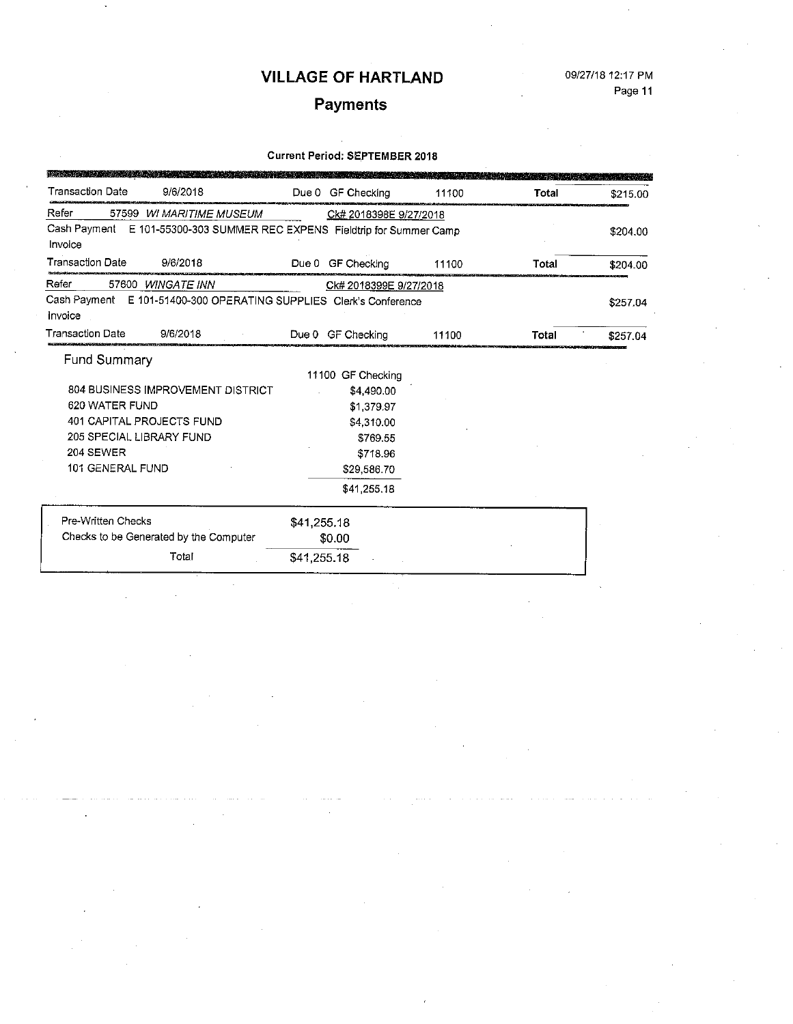### 09/27/18 12:17 PM Page 11

# Payments

#### **Current Period: SEPTEMBER 2018**

| <b>Transaction Date</b><br>9/6/2018                                           | Due 0<br>GF Checking        | 11100 | Total | \$215.00 |
|-------------------------------------------------------------------------------|-----------------------------|-------|-------|----------|
| Refer<br>57599 WI MARITIME MUSEUM                                             | Ck# 2018398E 9/27/2018      |       |       |          |
| Cash Payment E 101-55300-303 SUMMER REC EXPENS Fieldtrip for Summer Camp      |                             |       |       | \$204.00 |
| Invoice                                                                       |                             |       |       |          |
| <b>Transaction Date</b><br>9/6/2018                                           | Due 0<br><b>GF Checking</b> | 11100 | Total | \$204.00 |
| Refer<br>57600 WINGATE INN                                                    | Ck# 2018399E 9/27/2018      |       |       |          |
| Cash Payment E 101-51400-300 OPERATING SUPPLIES Clerk's Conference<br>Invoice |                             |       |       | \$257.04 |
| <b>Transaction Date</b><br>9/6/2018                                           | Due 0 GF Checking           | 11100 | Total | \$257.04 |
| Fund Summary                                                                  |                             |       |       |          |
|                                                                               | 11100 GF Checking           |       |       |          |
| 804 BUSINESS IMPROVEMENT DISTRICT                                             | \$4,490.00                  |       |       |          |
| 620 WATER FUND                                                                | \$1,379.97                  |       |       |          |
| 401 CAPITAL PROJECTS FUND                                                     | \$4,310.00                  |       |       |          |
| 205 SPECIAL LIBRARY FUND                                                      | \$769.55                    |       |       |          |
| <b>204 SEWER</b>                                                              | \$718.96                    |       |       |          |
| 101 GENERAL FUND                                                              | \$29,586.70                 |       |       |          |
|                                                                               | \$41,255,18                 |       |       |          |
| Pre-Written Checks                                                            | \$41,255.18                 |       |       |          |
| Checks to be Generated by the Computer                                        | \$0.00                      |       |       |          |
| Total                                                                         | \$41,255.18                 |       |       |          |

J,

 $\hat{\mathcal{A}}$ 

 $\ddot{\phantom{a}}$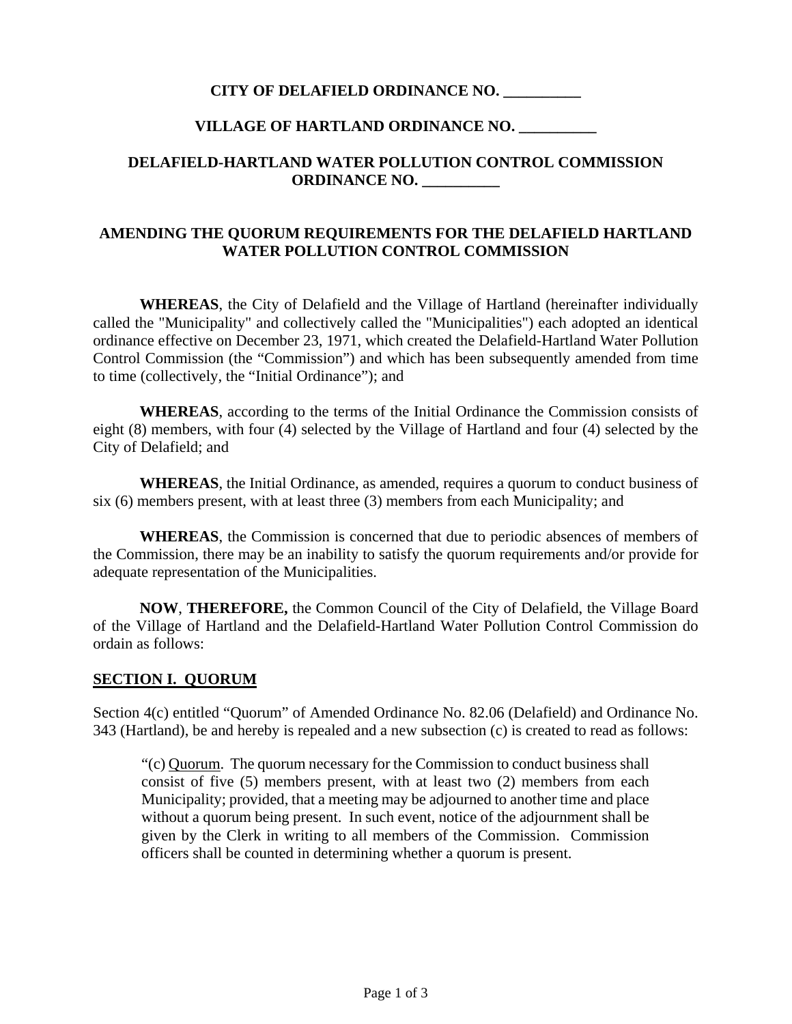### **CITY OF DELAFIELD ORDINANCE NO. \_\_\_\_\_\_\_\_\_\_**

### **VILLAGE OF HARTLAND ORDINANCE NO. \_\_\_\_\_\_\_\_\_\_**

## **DELAFIELD-HARTLAND WATER POLLUTION CONTROL COMMISSION ORDINANCE NO. \_\_\_\_\_\_\_\_\_\_**

### **AMENDING THE QUORUM REQUIREMENTS FOR THE DELAFIELD HARTLAND WATER POLLUTION CONTROL COMMISSION**

 **WHEREAS**, the City of Delafield and the Village of Hartland (hereinafter individually called the "Municipality" and collectively called the "Municipalities") each adopted an identical ordinance effective on December 23, 1971, which created the Delafield-Hartland Water Pollution Control Commission (the "Commission") and which has been subsequently amended from time to time (collectively, the "Initial Ordinance"); and

 **WHEREAS**, according to the terms of the Initial Ordinance the Commission consists of eight (8) members, with four (4) selected by the Village of Hartland and four (4) selected by the City of Delafield; and

 **WHEREAS**, the Initial Ordinance, as amended, requires a quorum to conduct business of six (6) members present, with at least three (3) members from each Municipality; and

 **WHEREAS**, the Commission is concerned that due to periodic absences of members of the Commission, there may be an inability to satisfy the quorum requirements and/or provide for adequate representation of the Municipalities.

 **NOW**, **THEREFORE,** the Common Council of the City of Delafield, the Village Board of the Village of Hartland and the Delafield-Hartland Water Pollution Control Commission do ordain as follows:

### **SECTION I. QUORUM**

Section 4(c) entitled "Quorum" of Amended Ordinance No. 82.06 (Delafield) and Ordinance No. 343 (Hartland), be and hereby is repealed and a new subsection (c) is created to read as follows:

"(c) Quorum. The quorum necessary for the Commission to conduct business shall consist of five (5) members present, with at least two (2) members from each Municipality; provided, that a meeting may be adjourned to another time and place without a quorum being present. In such event, notice of the adjournment shall be given by the Clerk in writing to all members of the Commission. Commission officers shall be counted in determining whether a quorum is present.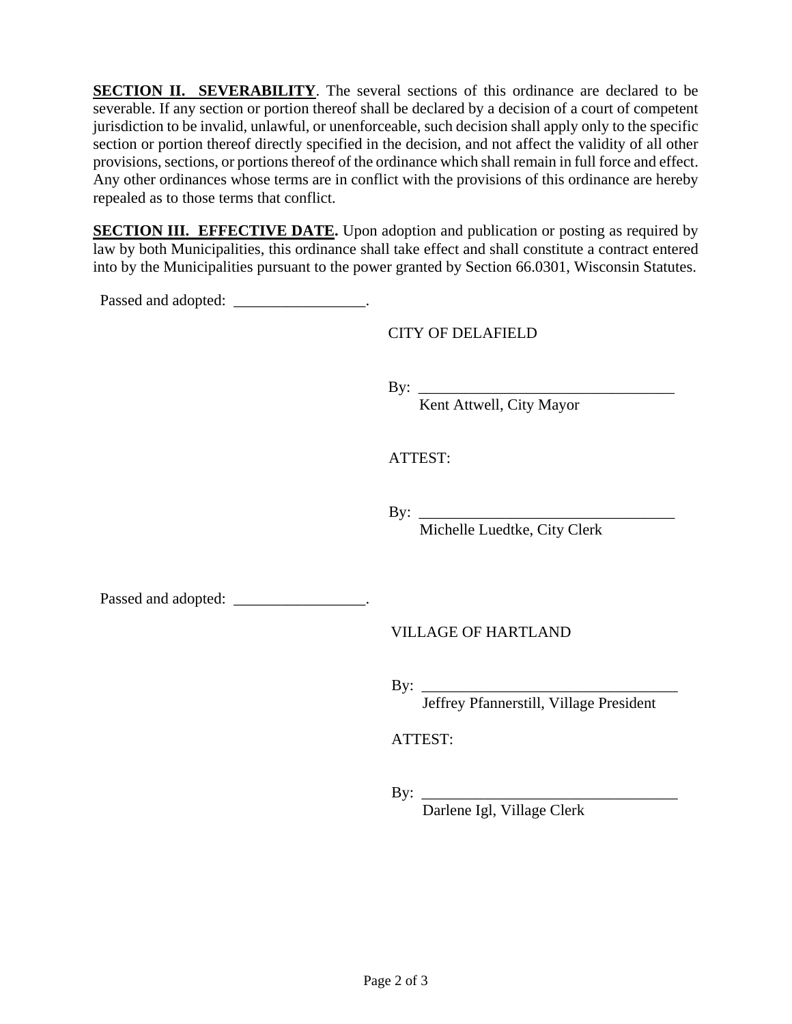**SECTION II. SEVERABILITY**. The several sections of this ordinance are declared to be severable. If any section or portion thereof shall be declared by a decision of a court of competent jurisdiction to be invalid, unlawful, or unenforceable, such decision shall apply only to the specific section or portion thereof directly specified in the decision, and not affect the validity of all other provisions, sections, or portions thereof of the ordinance which shall remain in full force and effect. Any other ordinances whose terms are in conflict with the provisions of this ordinance are hereby repealed as to those terms that conflict.

**SECTION III. EFFECTIVE DATE.** Upon adoption and publication or posting as required by law by both Municipalities, this ordinance shall take effect and shall constitute a contract entered into by the Municipalities pursuant to the power granted by Section 66.0301, Wisconsin Statutes.

Passed and adopted: \_\_\_\_\_\_\_\_\_\_\_\_\_\_\_\_\_\_.

CITY OF DELAFIELD

By: \_\_\_\_\_\_\_\_\_\_\_\_\_\_\_\_\_\_\_\_\_\_\_\_\_\_\_\_\_\_\_\_\_

Kent Attwell, City Mayor

ATTEST:

By:  $\frac{1}{\sqrt{2\pi}}$ 

Michelle Luedtke, City Clerk

Passed and adopted: \_\_\_\_\_\_\_\_\_\_\_\_\_\_\_\_\_\_.

VILLAGE OF HARTLAND

By: \_\_\_\_\_\_\_\_\_\_\_\_\_\_\_\_\_\_\_\_\_\_\_\_\_\_\_\_\_\_\_\_\_

Jeffrey Pfannerstill, Village President

ATTEST:

By: \_\_\_\_\_\_\_\_\_\_\_\_\_\_\_\_\_\_\_\_\_\_\_\_\_\_\_\_\_\_\_\_\_

Darlene Igl, Village Clerk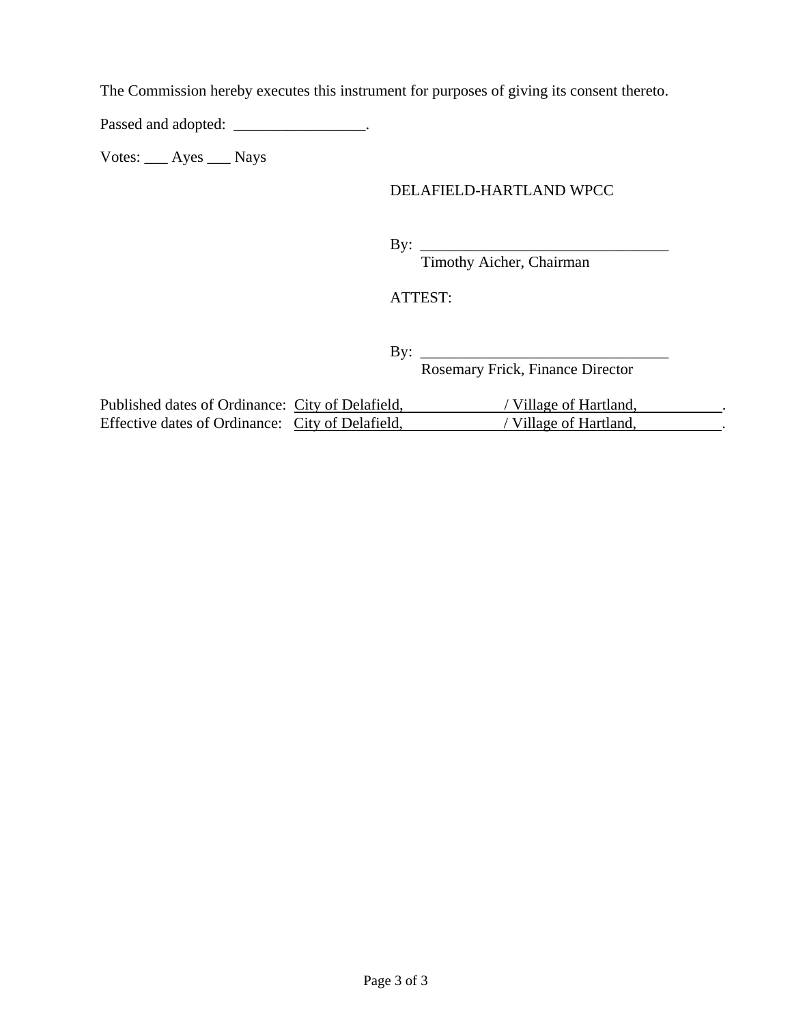The Commission hereby executes this instrument for purposes of giving its consent thereto.

Passed and adopted: \_\_\_\_\_\_\_\_\_\_\_\_\_\_\_\_\_\_.

Votes: \_\_\_ Ayes \_\_\_ Nays

## DELAFIELD-HARTLAND WPCC

By: \_\_\_\_\_\_\_\_\_\_\_\_\_\_\_\_\_\_\_\_\_\_\_\_\_\_\_\_\_\_\_\_

Timothy Aicher, Chairman

ATTEST:

By: \_\_\_\_\_\_\_\_\_\_\_\_\_\_\_\_\_\_\_\_\_\_\_\_\_\_\_\_\_\_\_\_

Rosemary Frick, Finance Director

| Published dates of Ordinance: City of Delafield, | Village of Hartland, |  |
|--------------------------------------------------|----------------------|--|
| Effective dates of Ordinance: City of Delafield, | Village of Hartland. |  |